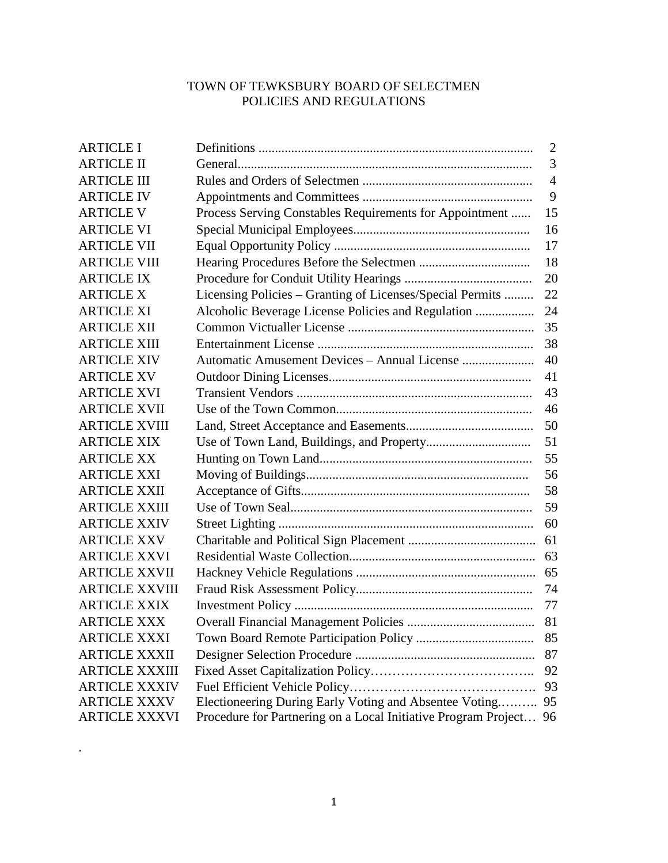# TOWN OF TEWKSBURY BOARD OF SELECTMEN POLICIES AND REGULATIONS

| <b>ARTICLE I</b>      |                                                                   | 2              |
|-----------------------|-------------------------------------------------------------------|----------------|
| <b>ARTICLE II</b>     |                                                                   | 3              |
| <b>ARTICLE III</b>    |                                                                   | $\overline{4}$ |
| <b>ARTICLE IV</b>     |                                                                   | 9              |
| <b>ARTICLE V</b>      | Process Serving Constables Requirements for Appointment           | 15             |
| <b>ARTICLE VI</b>     |                                                                   | 16             |
| <b>ARTICLE VII</b>    |                                                                   | 17             |
| <b>ARTICLE VIII</b>   |                                                                   | 18             |
| <b>ARTICLE IX</b>     |                                                                   | 20             |
| <b>ARTICLE X</b>      | Licensing Policies - Granting of Licenses/Special Permits         | 22             |
| <b>ARTICLE XI</b>     | Alcoholic Beverage License Policies and Regulation                | 24             |
| <b>ARTICLE XII</b>    |                                                                   | 35             |
| <b>ARTICLE XIII</b>   |                                                                   | 38             |
| <b>ARTICLE XIV</b>    |                                                                   | 40             |
| <b>ARTICLE XV</b>     |                                                                   | 41             |
| <b>ARTICLE XVI</b>    |                                                                   | 43             |
| <b>ARTICLE XVII</b>   |                                                                   | 46             |
| <b>ARTICLE XVIII</b>  |                                                                   | 50             |
| <b>ARTICLE XIX</b>    |                                                                   | 51             |
| <b>ARTICLE XX</b>     |                                                                   | 55             |
| <b>ARTICLE XXI</b>    |                                                                   | 56             |
| <b>ARTICLE XXII</b>   |                                                                   | 58             |
| <b>ARTICLE XXIII</b>  |                                                                   | 59             |
| <b>ARTICLE XXIV</b>   |                                                                   | 60             |
| <b>ARTICLE XXV</b>    |                                                                   | 61             |
| <b>ARTICLE XXVI</b>   |                                                                   | 63             |
| <b>ARTICLE XXVII</b>  |                                                                   |                |
| <b>ARTICLE XXVIII</b> |                                                                   | 74             |
| <b>ARTICLE XXIX</b>   |                                                                   | 77             |
| <b>ARTICLE XXX</b>    |                                                                   | 81             |
| <b>ARTICLE XXXI</b>   |                                                                   | 85             |
| <b>ARTICLE XXXII</b>  |                                                                   | 87             |
| <b>ARTICLE XXXIII</b> |                                                                   | 92             |
| <b>ARTICLE XXXIV</b>  |                                                                   | 93             |
| <b>ARTICLE XXXV</b>   | Electioneering During Early Voting and Absentee Voting            | 95             |
| <b>ARTICLE XXXVI</b>  | Procedure for Partnering on a Local Initiative Program Project 96 |                |

.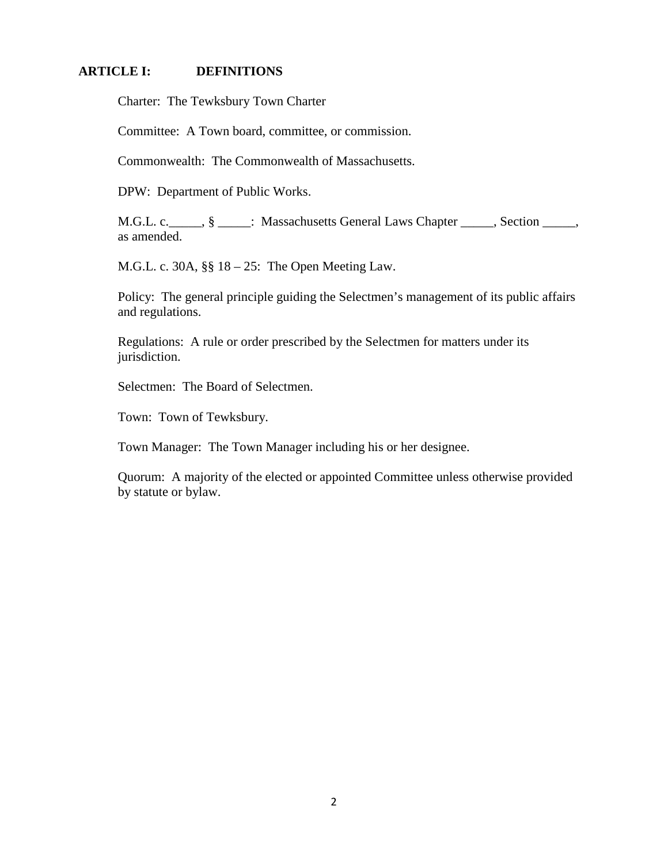## **ARTICLE I: DEFINITIONS**

Charter: The Tewksbury Town Charter

Committee: A Town board, committee, or commission.

Commonwealth: The Commonwealth of Massachusetts.

DPW: Department of Public Works.

M.G.L. c. \_\_\_\_\_, § \_\_\_\_\_: Massachusetts General Laws Chapter \_\_\_\_\_, Section \_\_\_\_\_, as amended.

M.G.L. c. 30A, §§ 18 – 25: The Open Meeting Law.

Policy: The general principle guiding the Selectmen's management of its public affairs and regulations.

Regulations: A rule or order prescribed by the Selectmen for matters under its jurisdiction.

Selectmen: The Board of Selectmen.

Town: Town of Tewksbury.

Town Manager: The Town Manager including his or her designee.

Quorum: A majority of the elected or appointed Committee unless otherwise provided by statute or bylaw.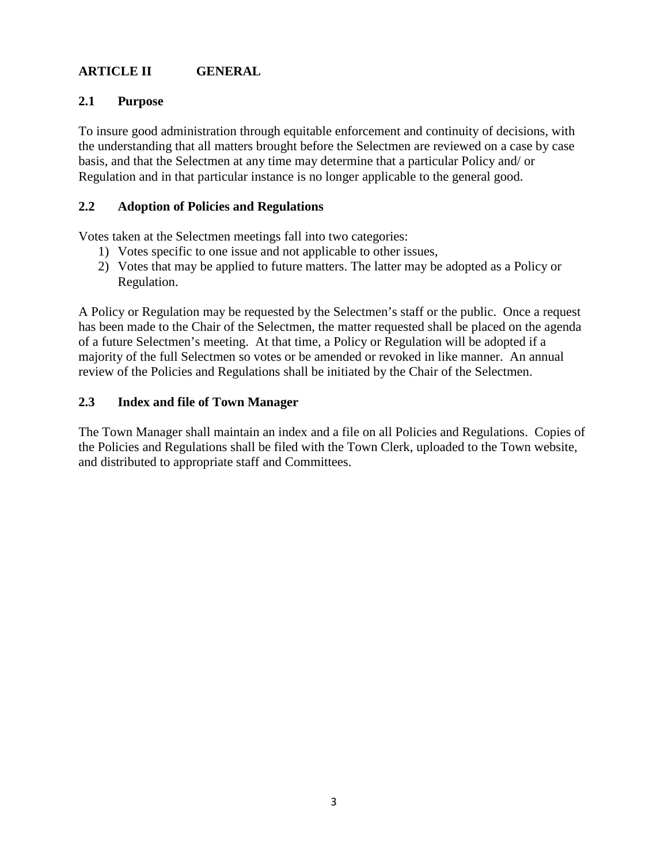# **ARTICLE II GENERAL**

# **2.1 Purpose**

To insure good administration through equitable enforcement and continuity of decisions, with the understanding that all matters brought before the Selectmen are reviewed on a case by case basis, and that the Selectmen at any time may determine that a particular Policy and/ or Regulation and in that particular instance is no longer applicable to the general good.

## **2.2 Adoption of Policies and Regulations**

Votes taken at the Selectmen meetings fall into two categories:

- 1) Votes specific to one issue and not applicable to other issues,
- 2) Votes that may be applied to future matters. The latter may be adopted as a Policy or Regulation.

A Policy or Regulation may be requested by the Selectmen's staff or the public. Once a request has been made to the Chair of the Selectmen, the matter requested shall be placed on the agenda of a future Selectmen's meeting. At that time, a Policy or Regulation will be adopted if a majority of the full Selectmen so votes or be amended or revoked in like manner. An annual review of the Policies and Regulations shall be initiated by the Chair of the Selectmen.

## **2.3 Index and file of Town Manager**

The Town Manager shall maintain an index and a file on all Policies and Regulations. Copies of the Policies and Regulations shall be filed with the Town Clerk, uploaded to the Town website, and distributed to appropriate staff and Committees.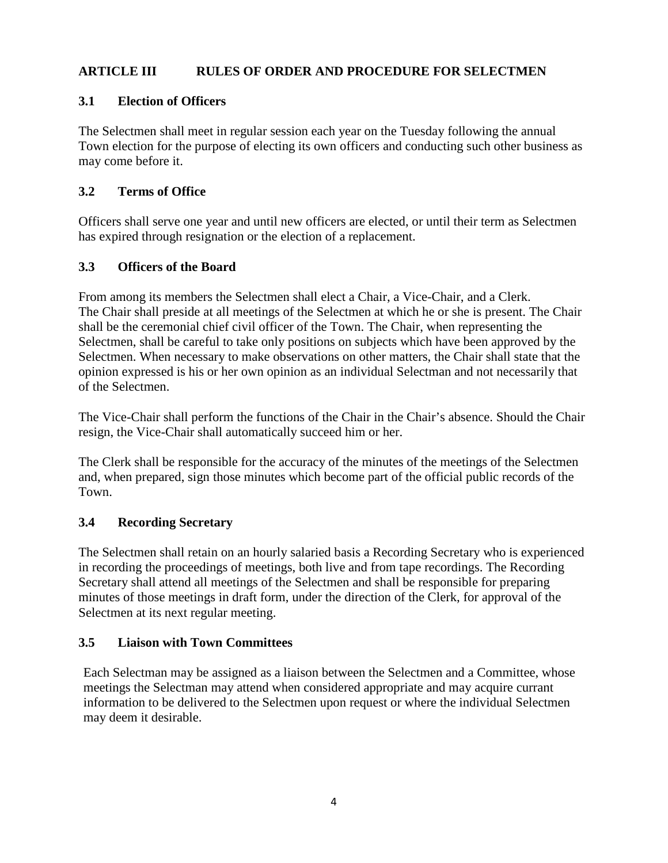# **ARTICLE III RULES OF ORDER AND PROCEDURE FOR SELECTMEN**

# **3.1 Election of Officers**

The Selectmen shall meet in regular session each year on the Tuesday following the annual Town election for the purpose of electing its own officers and conducting such other business as may come before it.

# **3.2 Terms of Office**

Officers shall serve one year and until new officers are elected, or until their term as Selectmen has expired through resignation or the election of a replacement.

# **3.3 Officers of the Board**

From among its members the Selectmen shall elect a Chair, a Vice-Chair, and a Clerk. The Chair shall preside at all meetings of the Selectmen at which he or she is present. The Chair shall be the ceremonial chief civil officer of the Town. The Chair, when representing the Selectmen, shall be careful to take only positions on subjects which have been approved by the Selectmen. When necessary to make observations on other matters, the Chair shall state that the opinion expressed is his or her own opinion as an individual Selectman and not necessarily that of the Selectmen.

The Vice-Chair shall perform the functions of the Chair in the Chair's absence. Should the Chair resign, the Vice-Chair shall automatically succeed him or her.

The Clerk shall be responsible for the accuracy of the minutes of the meetings of the Selectmen and, when prepared, sign those minutes which become part of the official public records of the Town.

# **3.4 Recording Secretary**

The Selectmen shall retain on an hourly salaried basis a Recording Secretary who is experienced in recording the proceedings of meetings, both live and from tape recordings. The Recording Secretary shall attend all meetings of the Selectmen and shall be responsible for preparing minutes of those meetings in draft form, under the direction of the Clerk, for approval of the Selectmen at its next regular meeting.

# **3.5 Liaison with Town Committees**

Each Selectman may be assigned as a liaison between the Selectmen and a Committee, whose meetings the Selectman may attend when considered appropriate and may acquire currant information to be delivered to the Selectmen upon request or where the individual Selectmen may deem it desirable.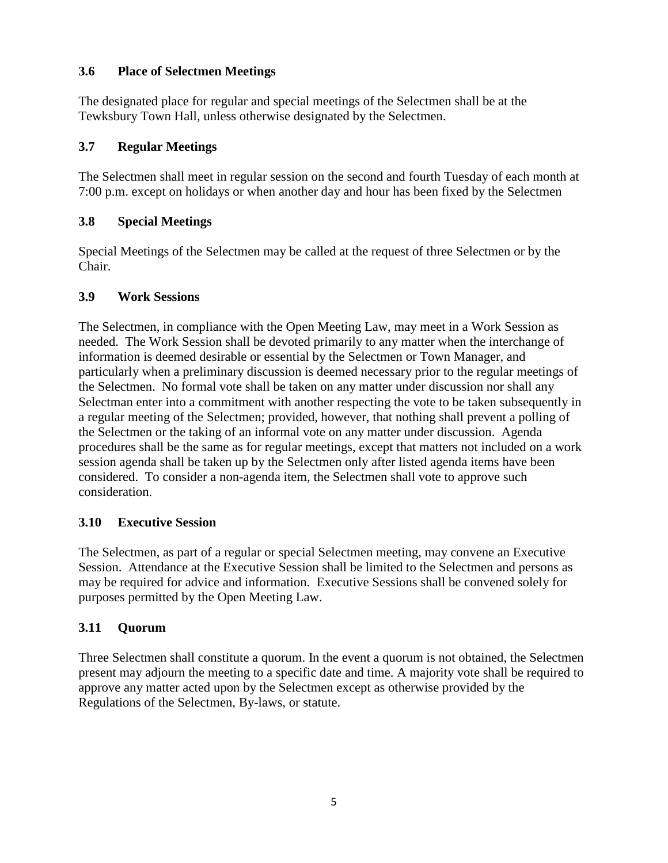# **3.6 Place of Selectmen Meetings**

The designated place for regular and special meetings of the Selectmen shall be at the Tewksbury Town Hall, unless otherwise designated by the Selectmen.

# **3.7 Regular Meetings**

The Selectmen shall meet in regular session on the second and fourth Tuesday of each month at 7:00 p.m. except on holidays or when another day and hour has been fixed by the Selectmen

# **3.8 Special Meetings**

Special Meetings of the Selectmen may be called at the request of three Selectmen or by the Chair.

# **3.9 Work Sessions**

The Selectmen, in compliance with the Open Meeting Law, may meet in a Work Session as needed. The Work Session shall be devoted primarily to any matter when the interchange of information is deemed desirable or essential by the Selectmen or Town Manager, and particularly when a preliminary discussion is deemed necessary prior to the regular meetings of the Selectmen. No formal vote shall be taken on any matter under discussion nor shall any Selectman enter into a commitment with another respecting the vote to be taken subsequently in a regular meeting of the Selectmen; provided, however, that nothing shall prevent a polling of the Selectmen or the taking of an informal vote on any matter under discussion. Agenda procedures shall be the same as for regular meetings, except that matters not included on a work session agenda shall be taken up by the Selectmen only after listed agenda items have been considered. To consider a non-agenda item, the Selectmen shall vote to approve such consideration.

# **3.10 Executive Session**

The Selectmen, as part of a regular or special Selectmen meeting, may convene an Executive Session. Attendance at the Executive Session shall be limited to the Selectmen and persons as may be required for advice and information. Executive Sessions shall be convened solely for purposes permitted by the Open Meeting Law.

# **3.11 Quorum**

Three Selectmen shall constitute a quorum. In the event a quorum is not obtained, the Selectmen present may adjourn the meeting to a specific date and time. A majority vote shall be required to approve any matter acted upon by the Selectmen except as otherwise provided by the Regulations of the Selectmen, By-laws, or statute.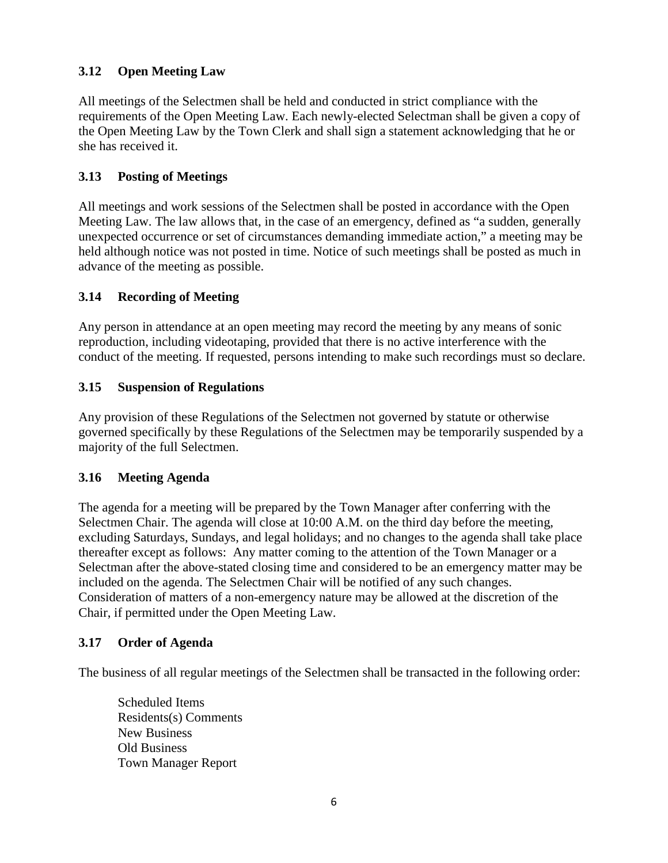# **3.12 Open Meeting Law**

All meetings of the Selectmen shall be held and conducted in strict compliance with the requirements of the Open Meeting Law. Each newly-elected Selectman shall be given a copy of the Open Meeting Law by the Town Clerk and shall sign a statement acknowledging that he or she has received it.

# **3.13 Posting of Meetings**

All meetings and work sessions of the Selectmen shall be posted in accordance with the Open Meeting Law. The law allows that, in the case of an emergency, defined as "a sudden, generally unexpected occurrence or set of circumstances demanding immediate action," a meeting may be held although notice was not posted in time. Notice of such meetings shall be posted as much in advance of the meeting as possible.

# **3.14 Recording of Meeting**

Any person in attendance at an open meeting may record the meeting by any means of sonic reproduction, including videotaping, provided that there is no active interference with the conduct of the meeting. If requested, persons intending to make such recordings must so declare.

# **3.15 Suspension of Regulations**

Any provision of these Regulations of the Selectmen not governed by statute or otherwise governed specifically by these Regulations of the Selectmen may be temporarily suspended by a majority of the full Selectmen.

# **3.16 Meeting Agenda**

The agenda for a meeting will be prepared by the Town Manager after conferring with the Selectmen Chair. The agenda will close at 10:00 A.M. on the third day before the meeting, excluding Saturdays, Sundays, and legal holidays; and no changes to the agenda shall take place thereafter except as follows: Any matter coming to the attention of the Town Manager or a Selectman after the above-stated closing time and considered to be an emergency matter may be included on the agenda. The Selectmen Chair will be notified of any such changes. Consideration of matters of a non-emergency nature may be allowed at the discretion of the Chair, if permitted under the Open Meeting Law.

# **3.17 Order of Agenda**

The business of all regular meetings of the Selectmen shall be transacted in the following order:

Scheduled Items Residents(s) Comments New Business Old Business Town Manager Report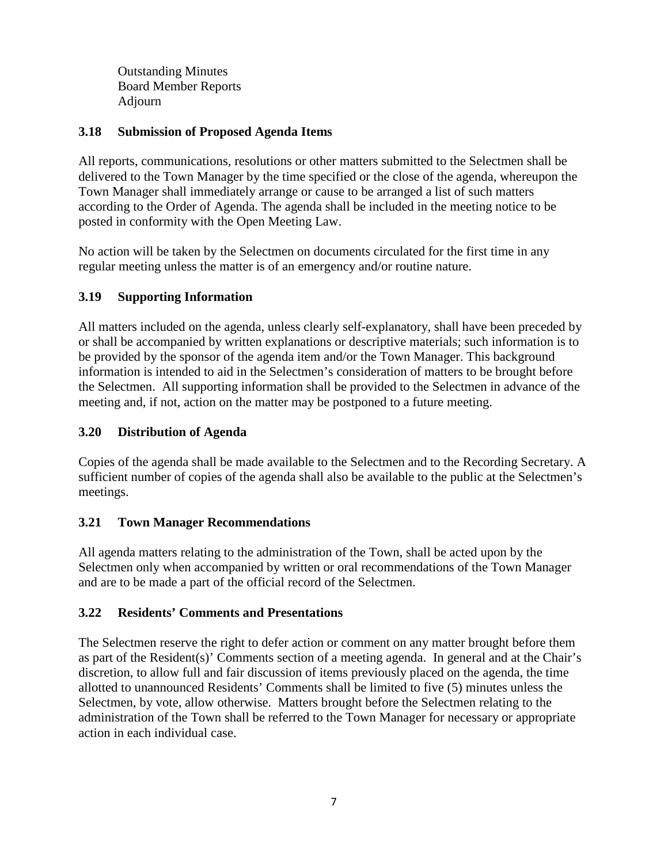Outstanding Minutes Board Member Reports Adjourn

## **3.18 Submission of Proposed Agenda Items**

All reports, communications, resolutions or other matters submitted to the Selectmen shall be delivered to the Town Manager by the time specified or the close of the agenda, whereupon the Town Manager shall immediately arrange or cause to be arranged a list of such matters according to the Order of Agenda. The agenda shall be included in the meeting notice to be posted in conformity with the Open Meeting Law.

No action will be taken by the Selectmen on documents circulated for the first time in any regular meeting unless the matter is of an emergency and/or routine nature.

# **3.19 Supporting Information**

All matters included on the agenda, unless clearly self-explanatory, shall have been preceded by or shall be accompanied by written explanations or descriptive materials; such information is to be provided by the sponsor of the agenda item and/or the Town Manager. This background information is intended to aid in the Selectmen's consideration of matters to be brought before the Selectmen. All supporting information shall be provided to the Selectmen in advance of the meeting and, if not, action on the matter may be postponed to a future meeting.

# **3.20 Distribution of Agenda**

Copies of the agenda shall be made available to the Selectmen and to the Recording Secretary. A sufficient number of copies of the agenda shall also be available to the public at the Selectmen's meetings.

# **3.21 Town Manager Recommendations**

All agenda matters relating to the administration of the Town, shall be acted upon by the Selectmen only when accompanied by written or oral recommendations of the Town Manager and are to be made a part of the official record of the Selectmen.

# **3.22 Residents' Comments and Presentations**

The Selectmen reserve the right to defer action or comment on any matter brought before them as part of the Resident(s)' Comments section of a meeting agenda. In general and at the Chair's discretion, to allow full and fair discussion of items previously placed on the agenda, the time allotted to unannounced Residents' Comments shall be limited to five (5) minutes unless the Selectmen, by vote, allow otherwise. Matters brought before the Selectmen relating to the administration of the Town shall be referred to the Town Manager for necessary or appropriate action in each individual case.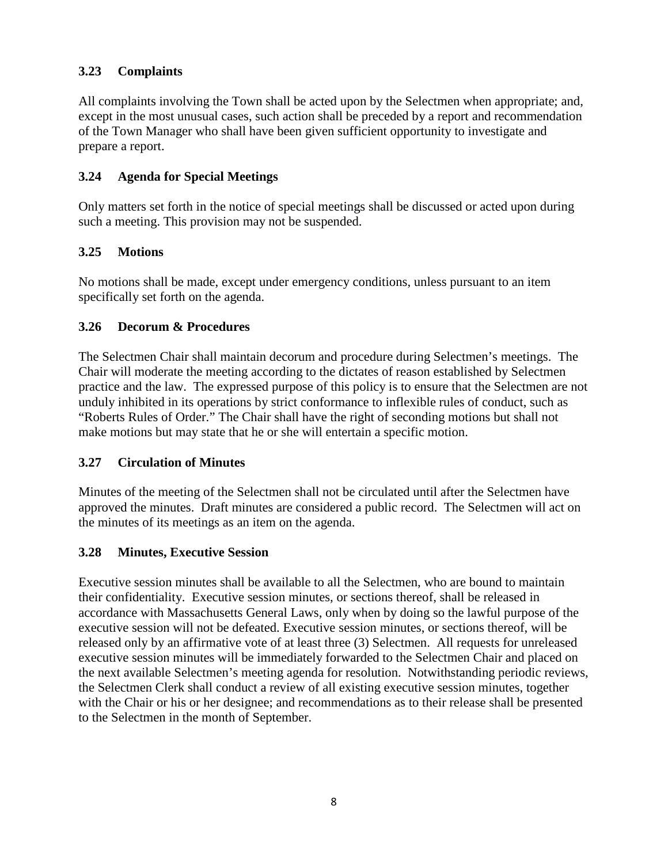# **3.23 Complaints**

All complaints involving the Town shall be acted upon by the Selectmen when appropriate; and, except in the most unusual cases, such action shall be preceded by a report and recommendation of the Town Manager who shall have been given sufficient opportunity to investigate and prepare a report.

## **3.24 Agenda for Special Meetings**

Only matters set forth in the notice of special meetings shall be discussed or acted upon during such a meeting. This provision may not be suspended.

## **3.25 Motions**

No motions shall be made, except under emergency conditions, unless pursuant to an item specifically set forth on the agenda.

## **3.26 Decorum & Procedures**

The Selectmen Chair shall maintain decorum and procedure during Selectmen's meetings. The Chair will moderate the meeting according to the dictates of reason established by Selectmen practice and the law. The expressed purpose of this policy is to ensure that the Selectmen are not unduly inhibited in its operations by strict conformance to inflexible rules of conduct, such as "Roberts Rules of Order." The Chair shall have the right of seconding motions but shall not make motions but may state that he or she will entertain a specific motion.

## **3.27 Circulation of Minutes**

Minutes of the meeting of the Selectmen shall not be circulated until after the Selectmen have approved the minutes. Draft minutes are considered a public record. The Selectmen will act on the minutes of its meetings as an item on the agenda.

## **3.28 Minutes, Executive Session**

Executive session minutes shall be available to all the Selectmen, who are bound to maintain their confidentiality. Executive session minutes, or sections thereof, shall be released in accordance with Massachusetts General Laws, only when by doing so the lawful purpose of the executive session will not be defeated. Executive session minutes, or sections thereof, will be released only by an affirmative vote of at least three (3) Selectmen. All requests for unreleased executive session minutes will be immediately forwarded to the Selectmen Chair and placed on the next available Selectmen's meeting agenda for resolution. Notwithstanding periodic reviews, the Selectmen Clerk shall conduct a review of all existing executive session minutes, together with the Chair or his or her designee; and recommendations as to their release shall be presented to the Selectmen in the month of September.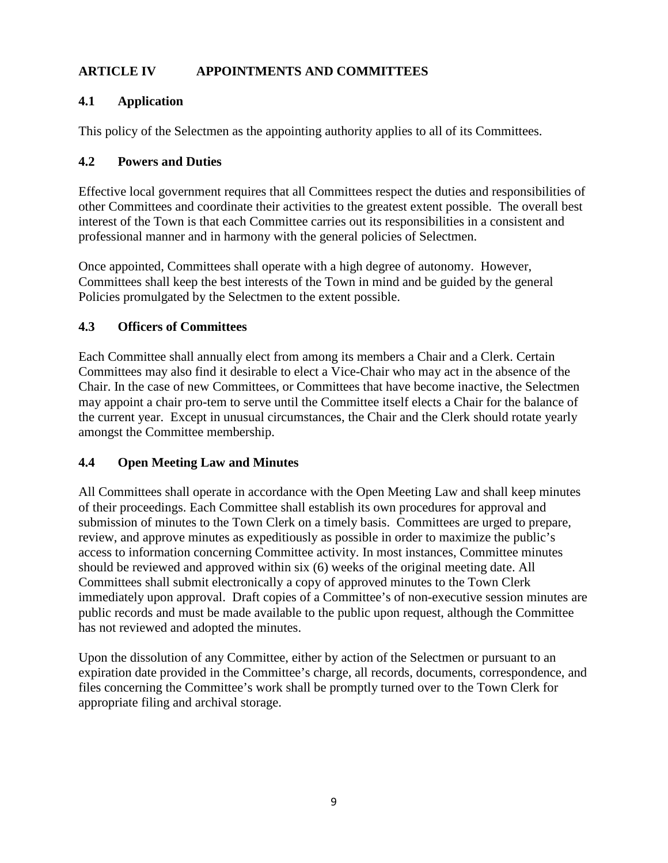# **ARTICLE IV APPOINTMENTS AND COMMITTEES**

# **4.1 Application**

This policy of the Selectmen as the appointing authority applies to all of its Committees.

# **4.2 Powers and Duties**

Effective local government requires that all Committees respect the duties and responsibilities of other Committees and coordinate their activities to the greatest extent possible. The overall best interest of the Town is that each Committee carries out its responsibilities in a consistent and professional manner and in harmony with the general policies of Selectmen.

Once appointed, Committees shall operate with a high degree of autonomy. However, Committees shall keep the best interests of the Town in mind and be guided by the general Policies promulgated by the Selectmen to the extent possible.

# **4.3 Officers of Committees**

Each Committee shall annually elect from among its members a Chair and a Clerk. Certain Committees may also find it desirable to elect a Vice-Chair who may act in the absence of the Chair. In the case of new Committees, or Committees that have become inactive, the Selectmen may appoint a chair pro-tem to serve until the Committee itself elects a Chair for the balance of the current year. Except in unusual circumstances, the Chair and the Clerk should rotate yearly amongst the Committee membership.

# **4.4 Open Meeting Law and Minutes**

All Committees shall operate in accordance with the Open Meeting Law and shall keep minutes of their proceedings. Each Committee shall establish its own procedures for approval and submission of minutes to the Town Clerk on a timely basis. Committees are urged to prepare, review, and approve minutes as expeditiously as possible in order to maximize the public's access to information concerning Committee activity. In most instances, Committee minutes should be reviewed and approved within six (6) weeks of the original meeting date. All Committees shall submit electronically a copy of approved minutes to the Town Clerk immediately upon approval. Draft copies of a Committee's of non-executive session minutes are public records and must be made available to the public upon request, although the Committee has not reviewed and adopted the minutes.

Upon the dissolution of any Committee, either by action of the Selectmen or pursuant to an expiration date provided in the Committee's charge, all records, documents, correspondence, and files concerning the Committee's work shall be promptly turned over to the Town Clerk for appropriate filing and archival storage.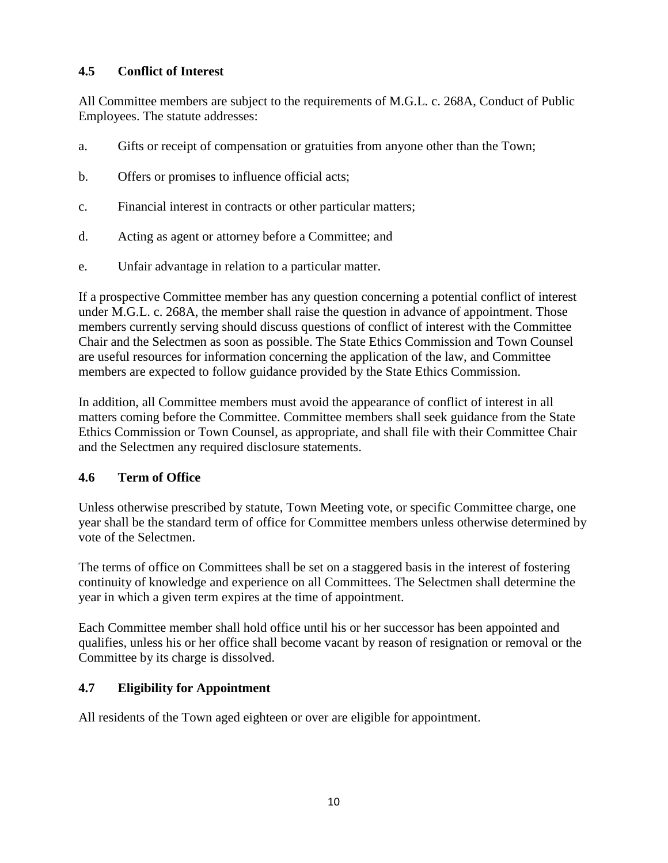# **4.5 Conflict of Interest**

All Committee members are subject to the requirements of M.G.L. c. 268A, Conduct of Public Employees. The statute addresses:

- a. Gifts or receipt of compensation or gratuities from anyone other than the Town;
- b. Offers or promises to influence official acts;
- c. Financial interest in contracts or other particular matters;
- d. Acting as agent or attorney before a Committee; and
- e. Unfair advantage in relation to a particular matter.

If a prospective Committee member has any question concerning a potential conflict of interest under M.G.L. c. 268A, the member shall raise the question in advance of appointment. Those members currently serving should discuss questions of conflict of interest with the Committee Chair and the Selectmen as soon as possible. The State Ethics Commission and Town Counsel are useful resources for information concerning the application of the law, and Committee members are expected to follow guidance provided by the State Ethics Commission.

In addition, all Committee members must avoid the appearance of conflict of interest in all matters coming before the Committee. Committee members shall seek guidance from the State Ethics Commission or Town Counsel, as appropriate, and shall file with their Committee Chair and the Selectmen any required disclosure statements.

# **4.6 Term of Office**

Unless otherwise prescribed by statute, Town Meeting vote, or specific Committee charge, one year shall be the standard term of office for Committee members unless otherwise determined by vote of the Selectmen.

The terms of office on Committees shall be set on a staggered basis in the interest of fostering continuity of knowledge and experience on all Committees. The Selectmen shall determine the year in which a given term expires at the time of appointment.

Each Committee member shall hold office until his or her successor has been appointed and qualifies, unless his or her office shall become vacant by reason of resignation or removal or the Committee by its charge is dissolved.

# **4.7 Eligibility for Appointment**

All residents of the Town aged eighteen or over are eligible for appointment.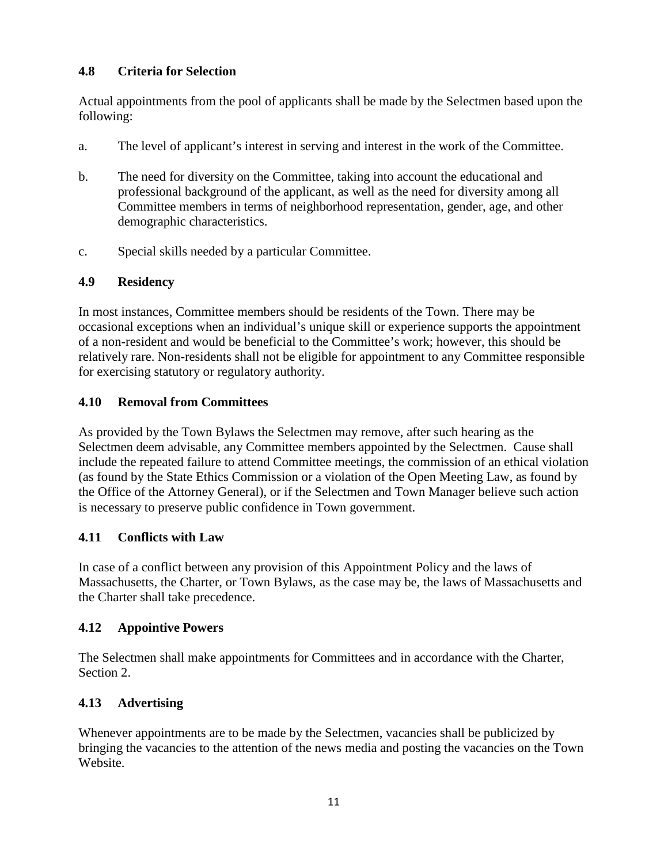# **4.8 Criteria for Selection**

Actual appointments from the pool of applicants shall be made by the Selectmen based upon the following:

- a. The level of applicant's interest in serving and interest in the work of the Committee.
- b. The need for diversity on the Committee, taking into account the educational and professional background of the applicant, as well as the need for diversity among all Committee members in terms of neighborhood representation, gender, age, and other demographic characteristics.
- c. Special skills needed by a particular Committee.

# **4.9 Residency**

In most instances, Committee members should be residents of the Town. There may be occasional exceptions when an individual's unique skill or experience supports the appointment of a non-resident and would be beneficial to the Committee's work; however, this should be relatively rare. Non-residents shall not be eligible for appointment to any Committee responsible for exercising statutory or regulatory authority.

# **4.10 Removal from Committees**

As provided by the Town Bylaws the Selectmen may remove, after such hearing as the Selectmen deem advisable, any Committee members appointed by the Selectmen. Cause shall include the repeated failure to attend Committee meetings, the commission of an ethical violation (as found by the State Ethics Commission or a violation of the Open Meeting Law, as found by the Office of the Attorney General), or if the Selectmen and Town Manager believe such action is necessary to preserve public confidence in Town government.

# **4.11 Conflicts with Law**

In case of a conflict between any provision of this Appointment Policy and the laws of Massachusetts, the Charter, or Town Bylaws, as the case may be, the laws of Massachusetts and the Charter shall take precedence.

# **4.12 Appointive Powers**

The Selectmen shall make appointments for Committees and in accordance with the Charter, Section 2.

# **4.13 Advertising**

Whenever appointments are to be made by the Selectmen, vacancies shall be publicized by bringing the vacancies to the attention of the news media and posting the vacancies on the Town Website.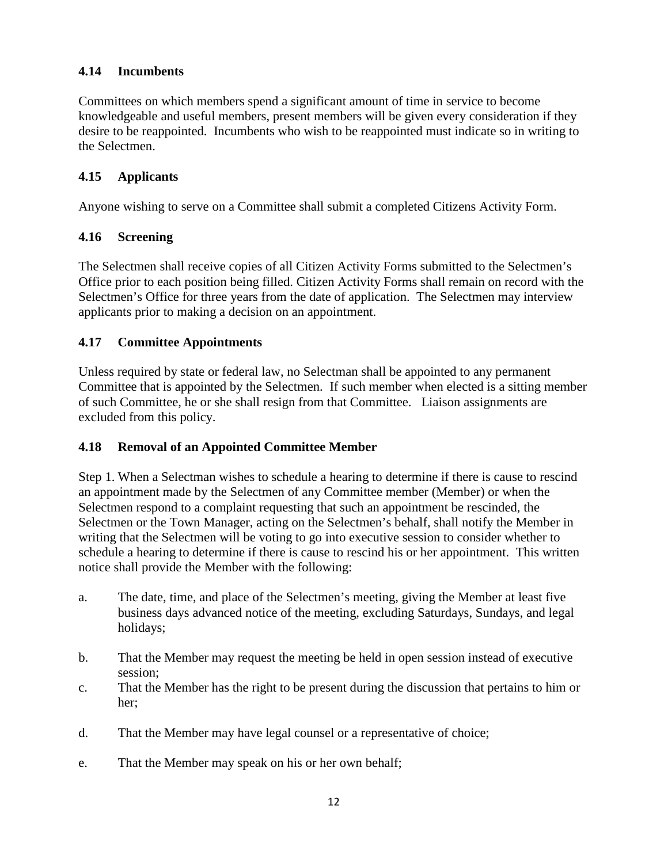# **4.14 Incumbents**

Committees on which members spend a significant amount of time in service to become knowledgeable and useful members, present members will be given every consideration if they desire to be reappointed. Incumbents who wish to be reappointed must indicate so in writing to the Selectmen.

## **4.15 Applicants**

Anyone wishing to serve on a Committee shall submit a completed Citizens Activity Form.

## **4.16 Screening**

The Selectmen shall receive copies of all Citizen Activity Forms submitted to the Selectmen's Office prior to each position being filled. Citizen Activity Forms shall remain on record with the Selectmen's Office for three years from the date of application. The Selectmen may interview applicants prior to making a decision on an appointment.

## **4.17 Committee Appointments**

Unless required by state or federal law, no Selectman shall be appointed to any permanent Committee that is appointed by the Selectmen. If such member when elected is a sitting member of such Committee, he or she shall resign from that Committee. Liaison assignments are excluded from this policy.

## **4.18 Removal of an Appointed Committee Member**

Step 1. When a Selectman wishes to schedule a hearing to determine if there is cause to rescind an appointment made by the Selectmen of any Committee member (Member) or when the Selectmen respond to a complaint requesting that such an appointment be rescinded, the Selectmen or the Town Manager, acting on the Selectmen's behalf, shall notify the Member in writing that the Selectmen will be voting to go into executive session to consider whether to schedule a hearing to determine if there is cause to rescind his or her appointment. This written notice shall provide the Member with the following:

- a. The date, time, and place of the Selectmen's meeting, giving the Member at least five business days advanced notice of the meeting, excluding Saturdays, Sundays, and legal holidays;
- b. That the Member may request the meeting be held in open session instead of executive session;
- c. That the Member has the right to be present during the discussion that pertains to him or her;
- d. That the Member may have legal counsel or a representative of choice;
- e. That the Member may speak on his or her own behalf;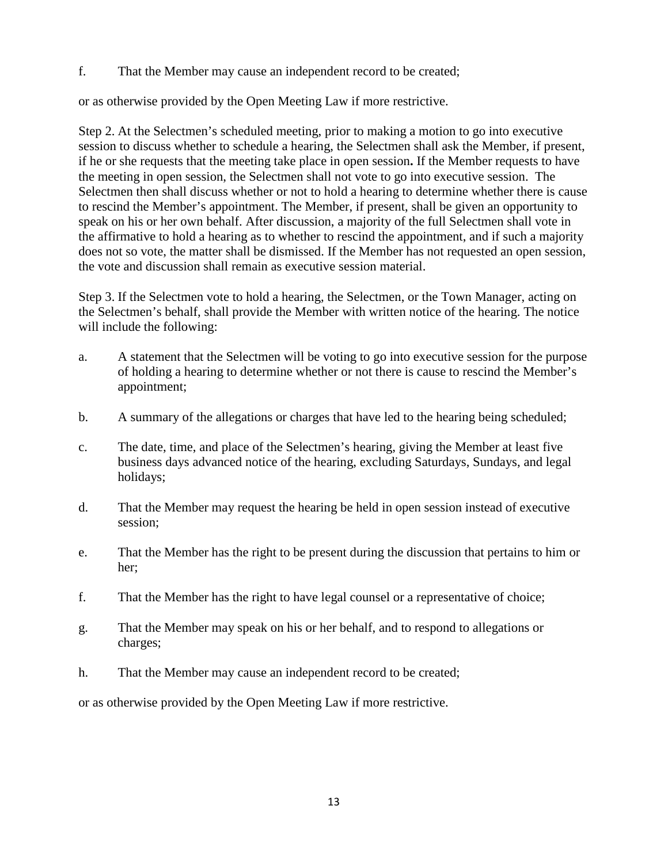f. That the Member may cause an independent record to be created;

or as otherwise provided by the Open Meeting Law if more restrictive.

Step 2. At the Selectmen's scheduled meeting, prior to making a motion to go into executive session to discuss whether to schedule a hearing, the Selectmen shall ask the Member, if present, if he or she requests that the meeting take place in open session**.** If the Member requests to have the meeting in open session, the Selectmen shall not vote to go into executive session. The Selectmen then shall discuss whether or not to hold a hearing to determine whether there is cause to rescind the Member's appointment. The Member, if present, shall be given an opportunity to speak on his or her own behalf. After discussion, a majority of the full Selectmen shall vote in the affirmative to hold a hearing as to whether to rescind the appointment, and if such a majority does not so vote, the matter shall be dismissed. If the Member has not requested an open session, the vote and discussion shall remain as executive session material.

Step 3. If the Selectmen vote to hold a hearing, the Selectmen, or the Town Manager, acting on the Selectmen's behalf, shall provide the Member with written notice of the hearing. The notice will include the following:

- a. A statement that the Selectmen will be voting to go into executive session for the purpose of holding a hearing to determine whether or not there is cause to rescind the Member's appointment;
- b. A summary of the allegations or charges that have led to the hearing being scheduled;
- c. The date, time, and place of the Selectmen's hearing, giving the Member at least five business days advanced notice of the hearing, excluding Saturdays, Sundays, and legal holidays;
- d. That the Member may request the hearing be held in open session instead of executive session;
- e. That the Member has the right to be present during the discussion that pertains to him or her;
- f. That the Member has the right to have legal counsel or a representative of choice;
- g. That the Member may speak on his or her behalf, and to respond to allegations or charges;
- h. That the Member may cause an independent record to be created;

or as otherwise provided by the Open Meeting Law if more restrictive.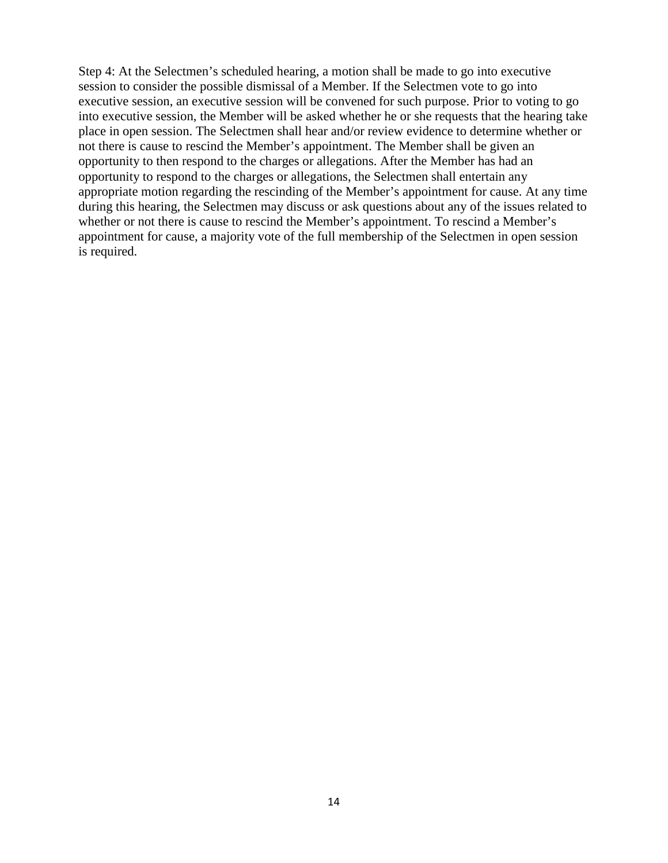Step 4: At the Selectmen's scheduled hearing, a motion shall be made to go into executive session to consider the possible dismissal of a Member. If the Selectmen vote to go into executive session, an executive session will be convened for such purpose. Prior to voting to go into executive session, the Member will be asked whether he or she requests that the hearing take place in open session. The Selectmen shall hear and/or review evidence to determine whether or not there is cause to rescind the Member's appointment. The Member shall be given an opportunity to then respond to the charges or allegations. After the Member has had an opportunity to respond to the charges or allegations, the Selectmen shall entertain any appropriate motion regarding the rescinding of the Member's appointment for cause. At any time during this hearing, the Selectmen may discuss or ask questions about any of the issues related to whether or not there is cause to rescind the Member's appointment. To rescind a Member's appointment for cause, a majority vote of the full membership of the Selectmen in open session is required.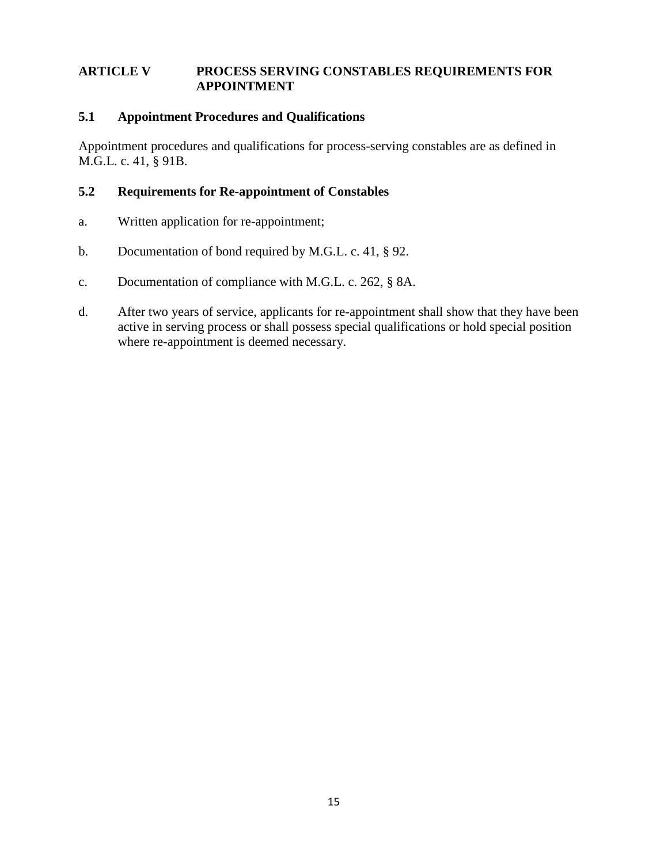## **ARTICLE V PROCESS SERVING CONSTABLES REQUIREMENTS FOR APPOINTMENT**

## **5.1 Appointment Procedures and Qualifications**

Appointment procedures and qualifications for process-serving constables are as defined in M.G.L. c. 41, § 91B.

## **5.2 Requirements for Re-appointment of Constables**

- a. Written application for re-appointment;
- b. Documentation of bond required by M.G.L. c. 41, § 92.
- c. Documentation of compliance with M.G.L. c. 262, § 8A.
- d. After two years of service, applicants for re-appointment shall show that they have been active in serving process or shall possess special qualifications or hold special position where re-appointment is deemed necessary.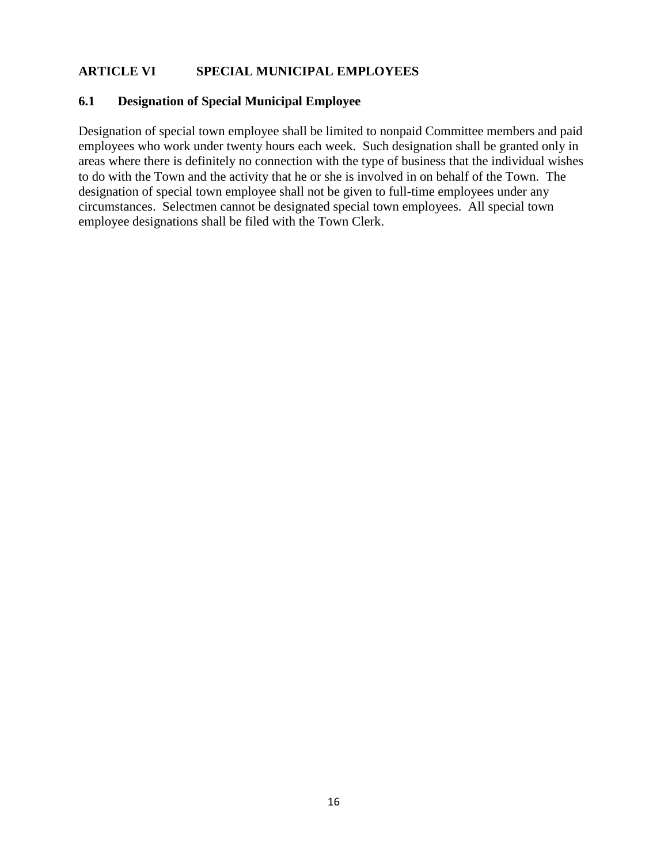# **ARTICLE VI SPECIAL MUNICIPAL EMPLOYEES**

### **6.1 Designation of Special Municipal Employee**

Designation of special town employee shall be limited to nonpaid Committee members and paid employees who work under twenty hours each week. Such designation shall be granted only in areas where there is definitely no connection with the type of business that the individual wishes to do with the Town and the activity that he or she is involved in on behalf of the Town. The designation of special town employee shall not be given to full-time employees under any circumstances. Selectmen cannot be designated special town employees. All special town employee designations shall be filed with the Town Clerk.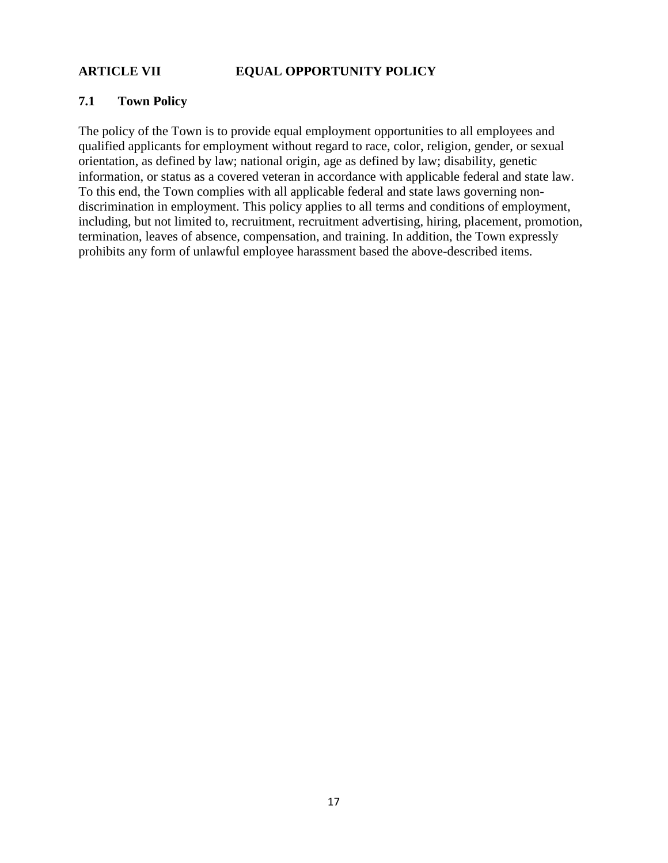# **ARTICLE VII EQUAL OPPORTUNITY POLICY**

## **7.1 Town Policy**

The policy of the Town is to provide equal employment opportunities to all employees and qualified applicants for employment without regard to race, color, religion, gender, or sexual orientation, as defined by law; national origin, age as defined by law; disability, genetic information, or status as a covered veteran in accordance with applicable federal and state law. To this end, the Town complies with all applicable federal and state laws governing nondiscrimination in employment. This policy applies to all terms and conditions of employment, including, but not limited to, recruitment, recruitment advertising, hiring, placement, promotion, termination, leaves of absence, compensation, and training. In addition, the Town expressly prohibits any form of unlawful employee harassment based the above-described items.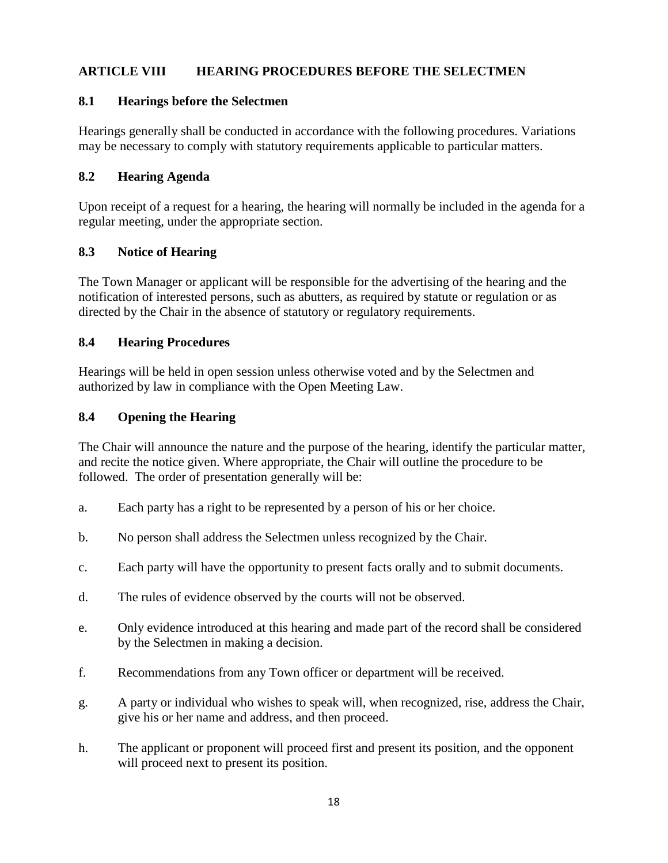# **ARTICLE VIII HEARING PROCEDURES BEFORE THE SELECTMEN**

## **8.1 Hearings before the Selectmen**

Hearings generally shall be conducted in accordance with the following procedures. Variations may be necessary to comply with statutory requirements applicable to particular matters.

## **8.2 Hearing Agenda**

Upon receipt of a request for a hearing, the hearing will normally be included in the agenda for a regular meeting, under the appropriate section.

## **8.3 Notice of Hearing**

The Town Manager or applicant will be responsible for the advertising of the hearing and the notification of interested persons, such as abutters, as required by statute or regulation or as directed by the Chair in the absence of statutory or regulatory requirements.

## **8.4 Hearing Procedures**

Hearings will be held in open session unless otherwise voted and by the Selectmen and authorized by law in compliance with the Open Meeting Law.

## **8.4 Opening the Hearing**

The Chair will announce the nature and the purpose of the hearing, identify the particular matter, and recite the notice given. Where appropriate, the Chair will outline the procedure to be followed. The order of presentation generally will be:

- a. Each party has a right to be represented by a person of his or her choice.
- b. No person shall address the Selectmen unless recognized by the Chair.
- c. Each party will have the opportunity to present facts orally and to submit documents.
- d. The rules of evidence observed by the courts will not be observed.
- e. Only evidence introduced at this hearing and made part of the record shall be considered by the Selectmen in making a decision.
- f. Recommendations from any Town officer or department will be received.
- g. A party or individual who wishes to speak will, when recognized, rise, address the Chair, give his or her name and address, and then proceed.
- h. The applicant or proponent will proceed first and present its position, and the opponent will proceed next to present its position.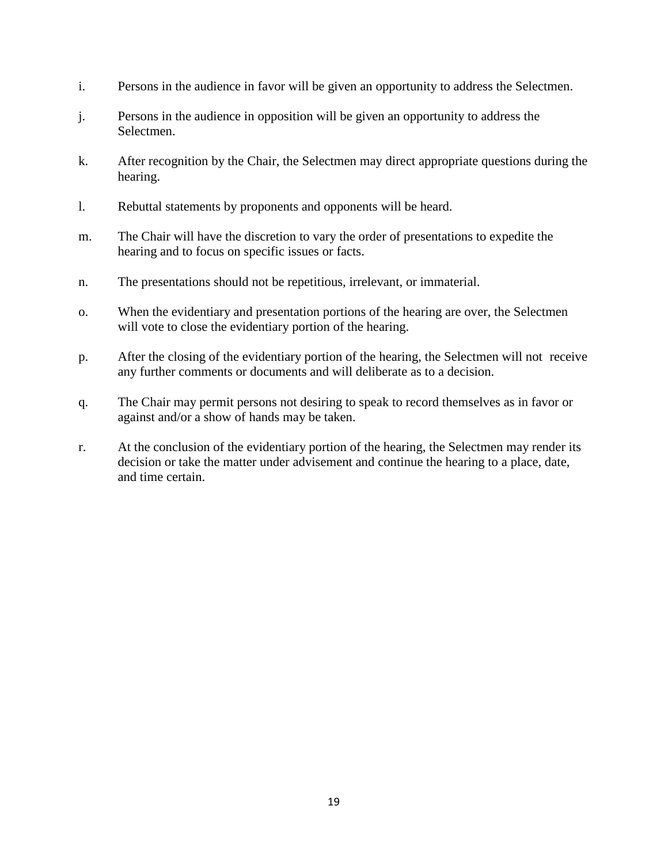- i. Persons in the audience in favor will be given an opportunity to address the Selectmen.
- j. Persons in the audience in opposition will be given an opportunity to address the Selectmen.
- k. After recognition by the Chair, the Selectmen may direct appropriate questions during the hearing.
- l. Rebuttal statements by proponents and opponents will be heard.
- m. The Chair will have the discretion to vary the order of presentations to expedite the hearing and to focus on specific issues or facts.
- n. The presentations should not be repetitious, irrelevant, or immaterial.
- o. When the evidentiary and presentation portions of the hearing are over, the Selectmen will vote to close the evidentiary portion of the hearing.
- p. After the closing of the evidentiary portion of the hearing, the Selectmen will not receive any further comments or documents and will deliberate as to a decision.
- q. The Chair may permit persons not desiring to speak to record themselves as in favor or against and/or a show of hands may be taken.
- r. At the conclusion of the evidentiary portion of the hearing, the Selectmen may render its decision or take the matter under advisement and continue the hearing to a place, date, and time certain.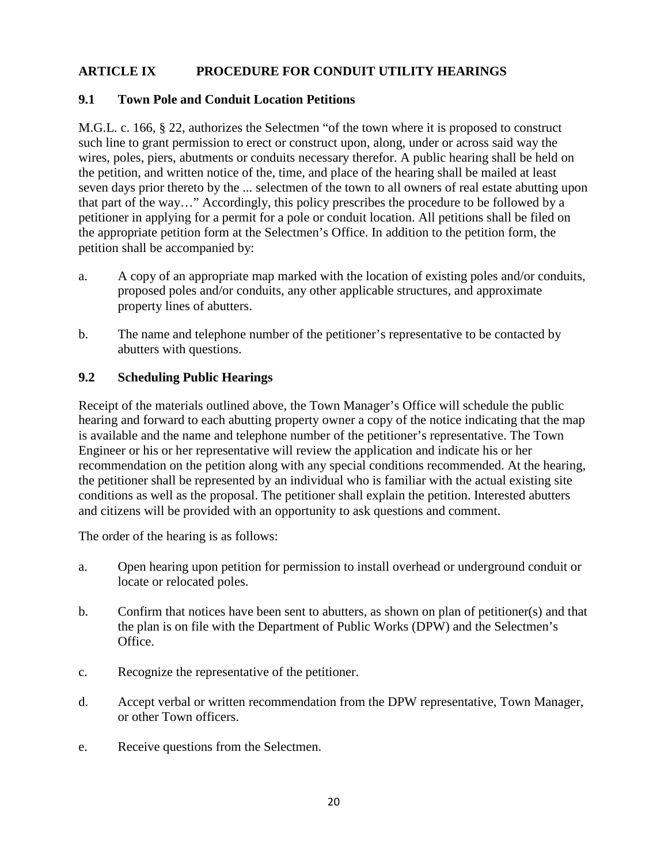# **ARTICLE IX PROCEDURE FOR CONDUIT UTILITY HEARINGS**

## **9.1 Town Pole and Conduit Location Petitions**

M.G.L. c. 166, § 22, authorizes the Selectmen "of the town where it is proposed to construct such line to grant permission to erect or construct upon, along, under or across said way the wires, poles, piers, abutments or conduits necessary therefor. A public hearing shall be held on the petition, and written notice of the, time, and place of the hearing shall be mailed at least seven days prior thereto by the ... selectmen of the town to all owners of real estate abutting upon that part of the way…" Accordingly, this policy prescribes the procedure to be followed by a petitioner in applying for a permit for a pole or conduit location. All petitions shall be filed on the appropriate petition form at the Selectmen's Office. In addition to the petition form, the petition shall be accompanied by:

- a. A copy of an appropriate map marked with the location of existing poles and/or conduits, proposed poles and/or conduits, any other applicable structures, and approximate property lines of abutters.
- b. The name and telephone number of the petitioner's representative to be contacted by abutters with questions.

## **9.2 Scheduling Public Hearings**

Receipt of the materials outlined above, the Town Manager's Office will schedule the public hearing and forward to each abutting property owner a copy of the notice indicating that the map is available and the name and telephone number of the petitioner's representative. The Town Engineer or his or her representative will review the application and indicate his or her recommendation on the petition along with any special conditions recommended. At the hearing, the petitioner shall be represented by an individual who is familiar with the actual existing site conditions as well as the proposal. The petitioner shall explain the petition. Interested abutters and citizens will be provided with an opportunity to ask questions and comment.

The order of the hearing is as follows:

- a. Open hearing upon petition for permission to install overhead or underground conduit or locate or relocated poles.
- b. Confirm that notices have been sent to abutters, as shown on plan of petitioner(s) and that the plan is on file with the Department of Public Works (DPW) and the Selectmen's Office.
- c. Recognize the representative of the petitioner.
- d. Accept verbal or written recommendation from the DPW representative, Town Manager, or other Town officers.
- e. Receive questions from the Selectmen.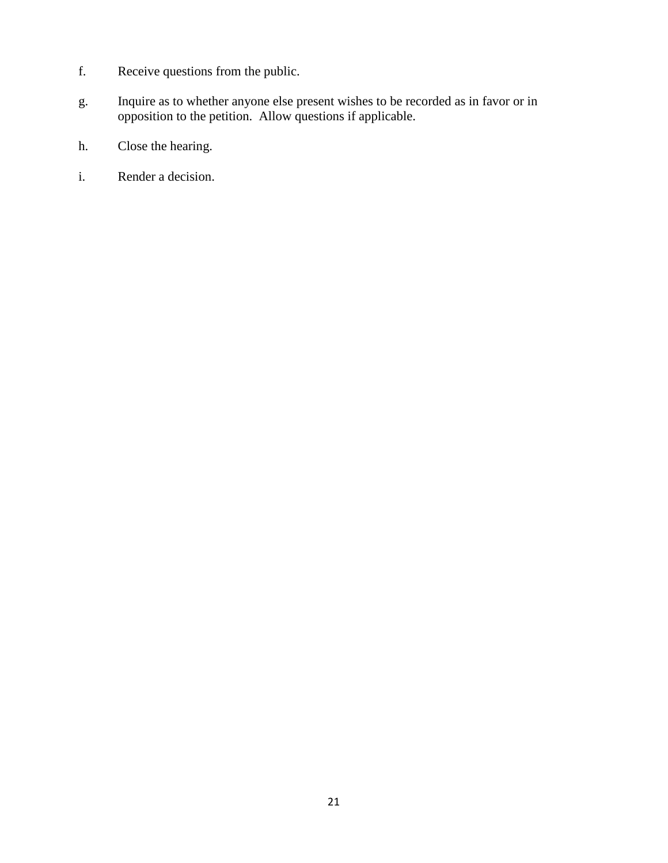- f. Receive questions from the public.
- g. Inquire as to whether anyone else present wishes to be recorded as in favor or in opposition to the petition. Allow questions if applicable.
- h. Close the hearing.
- i. Render a decision.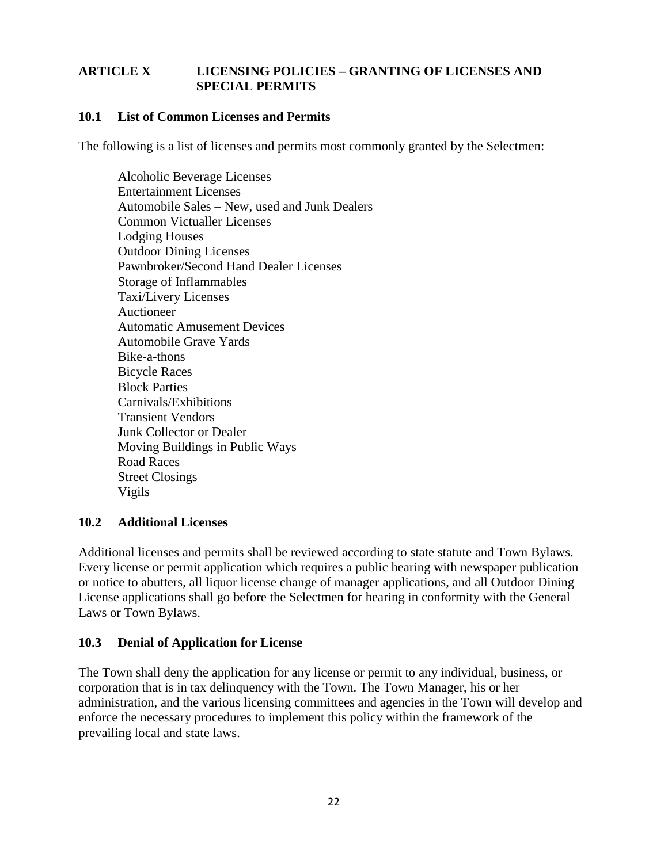# **ARTICLE X LICENSING POLICIES – GRANTING OF LICENSES AND SPECIAL PERMITS**

## **10.1 List of Common Licenses and Permits**

The following is a list of licenses and permits most commonly granted by the Selectmen:

Alcoholic Beverage Licenses Entertainment Licenses Automobile Sales – New, used and Junk Dealers Common Victualler Licenses Lodging Houses Outdoor Dining Licenses Pawnbroker/Second Hand Dealer Licenses Storage of Inflammables Taxi/Livery Licenses Auctioneer Automatic Amusement Devices Automobile Grave Yards Bike-a-thons Bicycle Races Block Parties Carnivals/Exhibitions Transient Vendors Junk Collector or Dealer Moving Buildings in Public Ways Road Races Street Closings Vigils

## **10.2 Additional Licenses**

Additional licenses and permits shall be reviewed according to state statute and Town Bylaws. Every license or permit application which requires a public hearing with newspaper publication or notice to abutters, all liquor license change of manager applications, and all Outdoor Dining License applications shall go before the Selectmen for hearing in conformity with the General Laws or Town Bylaws.

## **10.3 Denial of Application for License**

The Town shall deny the application for any license or permit to any individual, business, or corporation that is in tax delinquency with the Town. The Town Manager, his or her administration, and the various licensing committees and agencies in the Town will develop and enforce the necessary procedures to implement this policy within the framework of the prevailing local and state laws.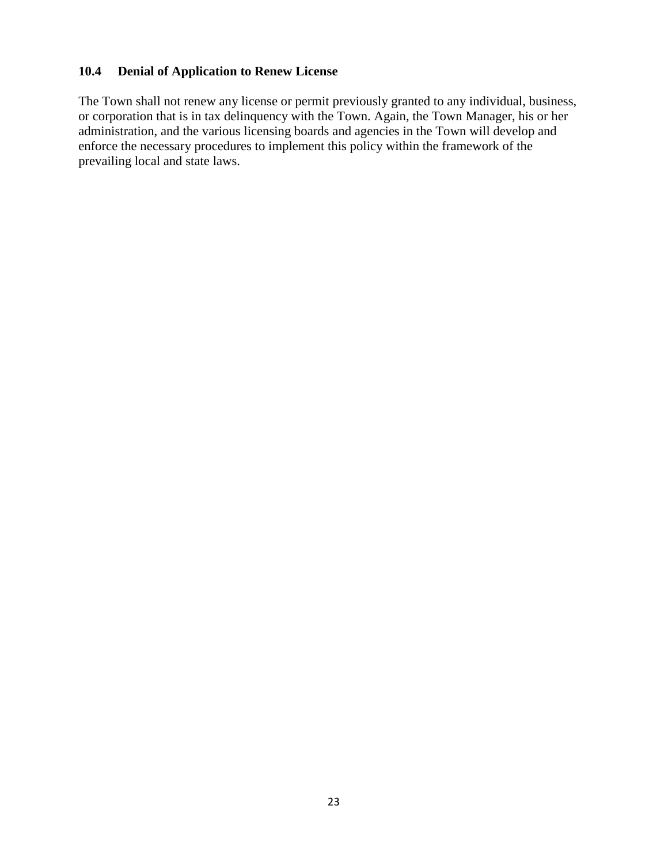# **10.4 Denial of Application to Renew License**

The Town shall not renew any license or permit previously granted to any individual, business, or corporation that is in tax delinquency with the Town. Again, the Town Manager, his or her administration, and the various licensing boards and agencies in the Town will develop and enforce the necessary procedures to implement this policy within the framework of the prevailing local and state laws.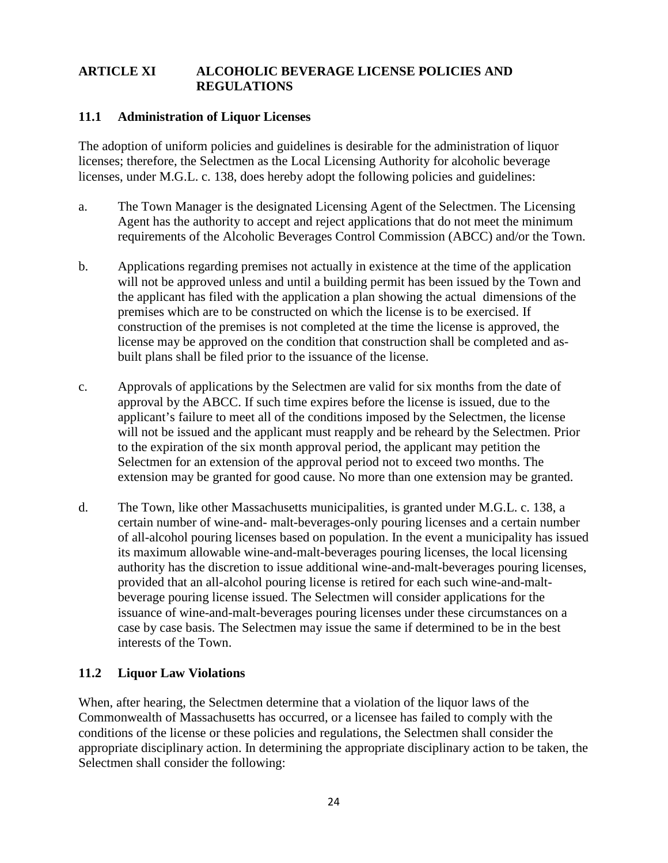## **ARTICLE XI ALCOHOLIC BEVERAGE LICENSE POLICIES AND REGULATIONS**

## **11.1 Administration of Liquor Licenses**

The adoption of uniform policies and guidelines is desirable for the administration of liquor licenses; therefore, the Selectmen as the Local Licensing Authority for alcoholic beverage licenses, under M.G.L. c. 138, does hereby adopt the following policies and guidelines:

- a. The Town Manager is the designated Licensing Agent of the Selectmen. The Licensing Agent has the authority to accept and reject applications that do not meet the minimum requirements of the Alcoholic Beverages Control Commission (ABCC) and/or the Town.
- b. Applications regarding premises not actually in existence at the time of the application will not be approved unless and until a building permit has been issued by the Town and the applicant has filed with the application a plan showing the actual dimensions of the premises which are to be constructed on which the license is to be exercised. If construction of the premises is not completed at the time the license is approved, the license may be approved on the condition that construction shall be completed and asbuilt plans shall be filed prior to the issuance of the license.
- c. Approvals of applications by the Selectmen are valid for six months from the date of approval by the ABCC. If such time expires before the license is issued, due to the applicant's failure to meet all of the conditions imposed by the Selectmen, the license will not be issued and the applicant must reapply and be reheard by the Selectmen. Prior to the expiration of the six month approval period, the applicant may petition the Selectmen for an extension of the approval period not to exceed two months. The extension may be granted for good cause. No more than one extension may be granted.
- d. The Town, like other Massachusetts municipalities, is granted under M.G.L. c. 138, a certain number of wine-and- malt-beverages-only pouring licenses and a certain number of all-alcohol pouring licenses based on population. In the event a municipality has issued its maximum allowable wine-and-malt-beverages pouring licenses, the local licensing authority has the discretion to issue additional wine-and-malt-beverages pouring licenses, provided that an all-alcohol pouring license is retired for each such wine-and-maltbeverage pouring license issued. The Selectmen will consider applications for the issuance of wine-and-malt-beverages pouring licenses under these circumstances on a case by case basis. The Selectmen may issue the same if determined to be in the best interests of the Town.

## **11.2 Liquor Law Violations**

When, after hearing, the Selectmen determine that a violation of the liquor laws of the Commonwealth of Massachusetts has occurred, or a licensee has failed to comply with the conditions of the license or these policies and regulations, the Selectmen shall consider the appropriate disciplinary action. In determining the appropriate disciplinary action to be taken, the Selectmen shall consider the following: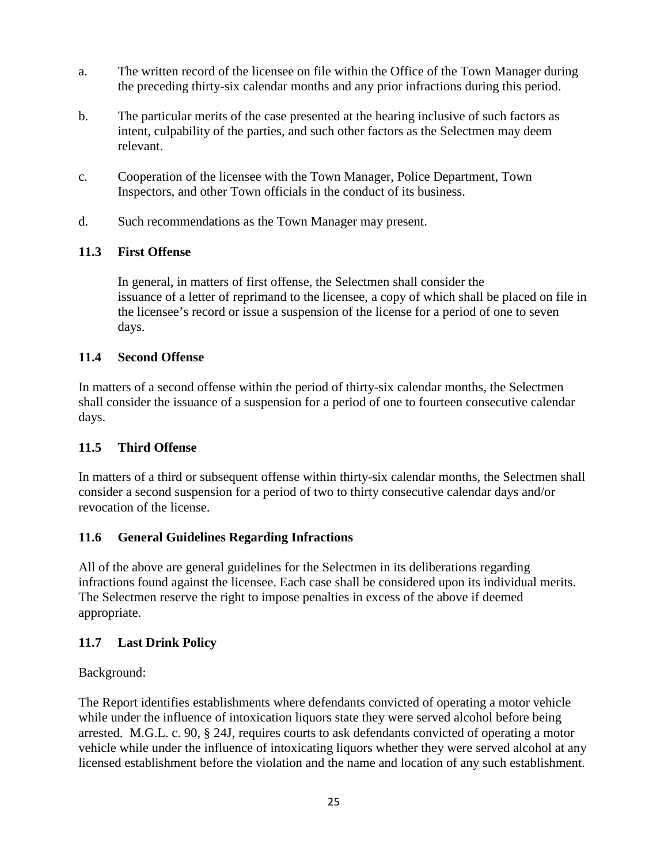- a. The written record of the licensee on file within the Office of the Town Manager during the preceding thirty-six calendar months and any prior infractions during this period.
- b. The particular merits of the case presented at the hearing inclusive of such factors as intent, culpability of the parties, and such other factors as the Selectmen may deem relevant.
- c. Cooperation of the licensee with the Town Manager, Police Department, Town Inspectors, and other Town officials in the conduct of its business.
- d. Such recommendations as the Town Manager may present.

# **11.3 First Offense**

In general, in matters of first offense, the Selectmen shall consider the issuance of a letter of reprimand to the licensee, a copy of which shall be placed on file in the licensee's record or issue a suspension of the license for a period of one to seven days.

# **11.4 Second Offense**

In matters of a second offense within the period of thirty-six calendar months, the Selectmen shall consider the issuance of a suspension for a period of one to fourteen consecutive calendar days.

# **11.5 Third Offense**

In matters of a third or subsequent offense within thirty-six calendar months, the Selectmen shall consider a second suspension for a period of two to thirty consecutive calendar days and/or revocation of the license.

# **11.6 General Guidelines Regarding Infractions**

All of the above are general guidelines for the Selectmen in its deliberations regarding infractions found against the licensee. Each case shall be considered upon its individual merits. The Selectmen reserve the right to impose penalties in excess of the above if deemed appropriate.

# **11.7 Last Drink Policy**

Background:

The Report identifies establishments where defendants convicted of operating a motor vehicle while under the influence of intoxication liquors state they were served alcohol before being arrested. M.G.L. c. 90, § 24J, requires courts to ask defendants convicted of operating a motor vehicle while under the influence of intoxicating liquors whether they were served alcohol at any licensed establishment before the violation and the name and location of any such establishment.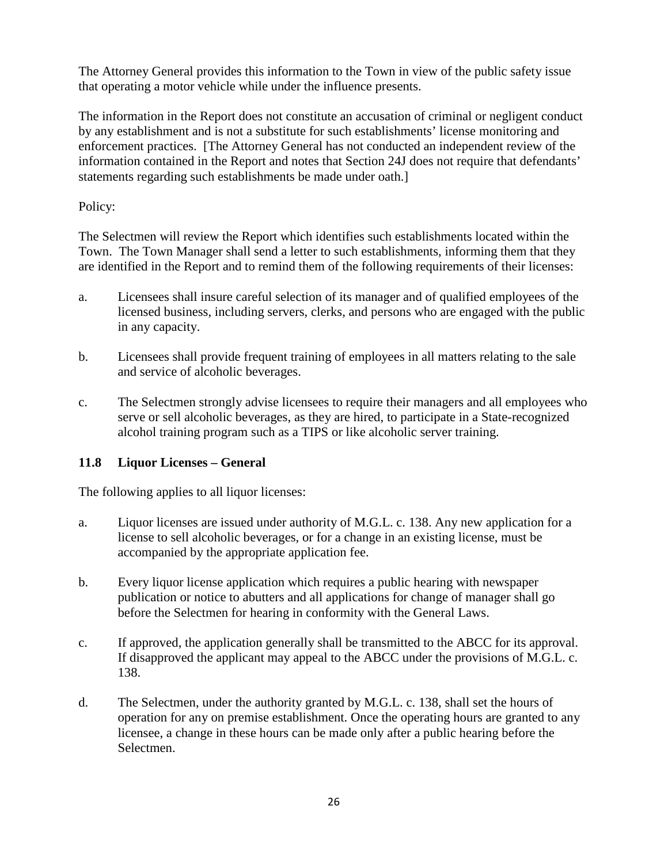The Attorney General provides this information to the Town in view of the public safety issue that operating a motor vehicle while under the influence presents.

The information in the Report does not constitute an accusation of criminal or negligent conduct by any establishment and is not a substitute for such establishments' license monitoring and enforcement practices. [The Attorney General has not conducted an independent review of the information contained in the Report and notes that Section 24J does not require that defendants' statements regarding such establishments be made under oath.]

Policy:

The Selectmen will review the Report which identifies such establishments located within the Town. The Town Manager shall send a letter to such establishments, informing them that they are identified in the Report and to remind them of the following requirements of their licenses:

- a. Licensees shall insure careful selection of its manager and of qualified employees of the licensed business, including servers, clerks, and persons who are engaged with the public in any capacity.
- b. Licensees shall provide frequent training of employees in all matters relating to the sale and service of alcoholic beverages.
- c. The Selectmen strongly advise licensees to require their managers and all employees who serve or sell alcoholic beverages, as they are hired, to participate in a State-recognized alcohol training program such as a TIPS or like alcoholic server training.

# **11.8 Liquor Licenses – General**

The following applies to all liquor licenses:

- a. Liquor licenses are issued under authority of M.G.L. c. 138. Any new application for a license to sell alcoholic beverages, or for a change in an existing license, must be accompanied by the appropriate application fee.
- b. Every liquor license application which requires a public hearing with newspaper publication or notice to abutters and all applications for change of manager shall go before the Selectmen for hearing in conformity with the General Laws.
- c. If approved, the application generally shall be transmitted to the ABCC for its approval. If disapproved the applicant may appeal to the ABCC under the provisions of M.G.L. c. 138.
- d. The Selectmen, under the authority granted by M.G.L. c. 138, shall set the hours of operation for any on premise establishment. Once the operating hours are granted to any licensee, a change in these hours can be made only after a public hearing before the Selectmen.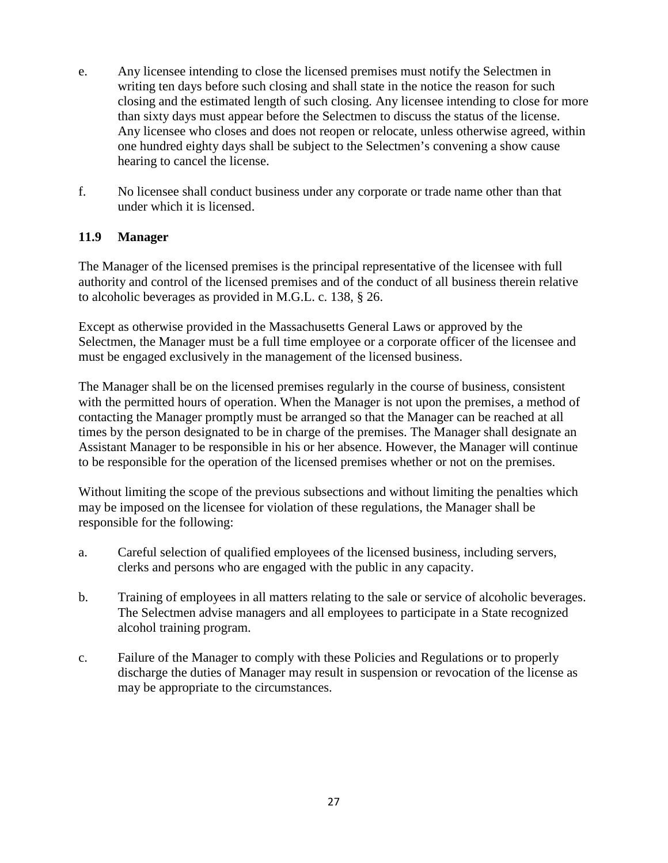- e. Any licensee intending to close the licensed premises must notify the Selectmen in writing ten days before such closing and shall state in the notice the reason for such closing and the estimated length of such closing. Any licensee intending to close for more than sixty days must appear before the Selectmen to discuss the status of the license. Any licensee who closes and does not reopen or relocate, unless otherwise agreed, within one hundred eighty days shall be subject to the Selectmen's convening a show cause hearing to cancel the license.
- f. No licensee shall conduct business under any corporate or trade name other than that under which it is licensed.

# **11.9 Manager**

The Manager of the licensed premises is the principal representative of the licensee with full authority and control of the licensed premises and of the conduct of all business therein relative to alcoholic beverages as provided in M.G.L. c. 138, § 26.

Except as otherwise provided in the Massachusetts General Laws or approved by the Selectmen, the Manager must be a full time employee or a corporate officer of the licensee and must be engaged exclusively in the management of the licensed business.

The Manager shall be on the licensed premises regularly in the course of business, consistent with the permitted hours of operation. When the Manager is not upon the premises, a method of contacting the Manager promptly must be arranged so that the Manager can be reached at all times by the person designated to be in charge of the premises. The Manager shall designate an Assistant Manager to be responsible in his or her absence. However, the Manager will continue to be responsible for the operation of the licensed premises whether or not on the premises.

Without limiting the scope of the previous subsections and without limiting the penalties which may be imposed on the licensee for violation of these regulations, the Manager shall be responsible for the following:

- a. Careful selection of qualified employees of the licensed business, including servers, clerks and persons who are engaged with the public in any capacity.
- b. Training of employees in all matters relating to the sale or service of alcoholic beverages. The Selectmen advise managers and all employees to participate in a State recognized alcohol training program.
- c. Failure of the Manager to comply with these Policies and Regulations or to properly discharge the duties of Manager may result in suspension or revocation of the license as may be appropriate to the circumstances.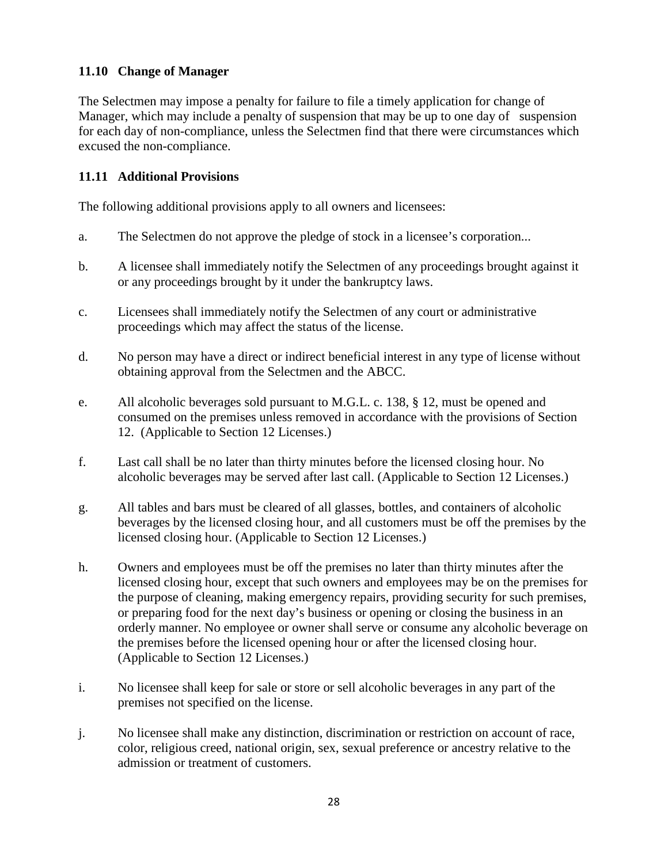# **11.10 Change of Manager**

The Selectmen may impose a penalty for failure to file a timely application for change of Manager, which may include a penalty of suspension that may be up to one day of suspension for each day of non-compliance, unless the Selectmen find that there were circumstances which excused the non-compliance.

# **11.11 Additional Provisions**

The following additional provisions apply to all owners and licensees:

- a. The Selectmen do not approve the pledge of stock in a licensee's corporation...
- b. A licensee shall immediately notify the Selectmen of any proceedings brought against it or any proceedings brought by it under the bankruptcy laws.
- c. Licensees shall immediately notify the Selectmen of any court or administrative proceedings which may affect the status of the license.
- d. No person may have a direct or indirect beneficial interest in any type of license without obtaining approval from the Selectmen and the ABCC.
- e. All alcoholic beverages sold pursuant to M.G.L. c. 138, § 12, must be opened and consumed on the premises unless removed in accordance with the provisions of Section 12. (Applicable to Section 12 Licenses.)
- f. Last call shall be no later than thirty minutes before the licensed closing hour. No alcoholic beverages may be served after last call. (Applicable to Section 12 Licenses.)
- g. All tables and bars must be cleared of all glasses, bottles, and containers of alcoholic beverages by the licensed closing hour, and all customers must be off the premises by the licensed closing hour. (Applicable to Section 12 Licenses.)
- h. Owners and employees must be off the premises no later than thirty minutes after the licensed closing hour, except that such owners and employees may be on the premises for the purpose of cleaning, making emergency repairs, providing security for such premises, or preparing food for the next day's business or opening or closing the business in an orderly manner. No employee or owner shall serve or consume any alcoholic beverage on the premises before the licensed opening hour or after the licensed closing hour. (Applicable to Section 12 Licenses.)
- i. No licensee shall keep for sale or store or sell alcoholic beverages in any part of the premises not specified on the license.
- j. No licensee shall make any distinction, discrimination or restriction on account of race, color, religious creed, national origin, sex, sexual preference or ancestry relative to the admission or treatment of customers.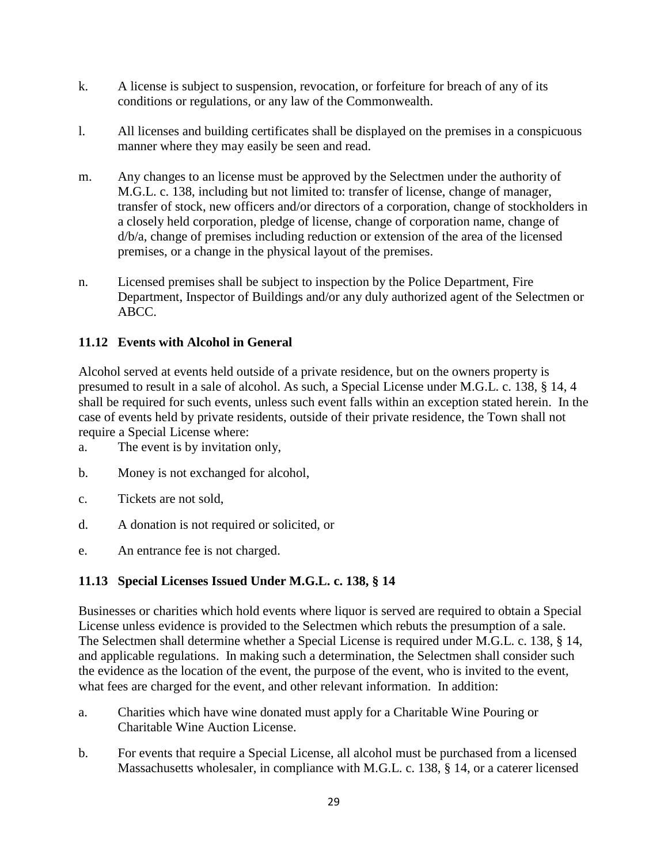- k. A license is subject to suspension, revocation, or forfeiture for breach of any of its conditions or regulations, or any law of the Commonwealth.
- l. All licenses and building certificates shall be displayed on the premises in a conspicuous manner where they may easily be seen and read.
- m. Any changes to an license must be approved by the Selectmen under the authority of M.G.L. c. 138, including but not limited to: transfer of license, change of manager, transfer of stock, new officers and/or directors of a corporation, change of stockholders in a closely held corporation, pledge of license, change of corporation name, change of d/b/a, change of premises including reduction or extension of the area of the licensed premises, or a change in the physical layout of the premises.
- n. Licensed premises shall be subject to inspection by the Police Department, Fire Department, Inspector of Buildings and/or any duly authorized agent of the Selectmen or ABCC.

# **11.12 Events with Alcohol in General**

Alcohol served at events held outside of a private residence, but on the owners property is presumed to result in a sale of alcohol. As such, a Special License under M.G.L. c. 138, § 14, 4 shall be required for such events, unless such event falls within an exception stated herein. In the case of events held by private residents, outside of their private residence, the Town shall not require a Special License where:

- a. The event is by invitation only,
- b. Money is not exchanged for alcohol,
- c. Tickets are not sold,
- d. A donation is not required or solicited, or
- e. An entrance fee is not charged.

# **11.13 Special Licenses Issued Under M.G.L. c. 138, § 14**

Businesses or charities which hold events where liquor is served are required to obtain a Special License unless evidence is provided to the Selectmen which rebuts the presumption of a sale. The Selectmen shall determine whether a Special License is required under M.G.L. c. 138, § 14, and applicable regulations. In making such a determination, the Selectmen shall consider such the evidence as the location of the event, the purpose of the event, who is invited to the event, what fees are charged for the event, and other relevant information. In addition:

- a. Charities which have wine donated must apply for a Charitable Wine Pouring or Charitable Wine Auction License.
- b. For events that require a Special License, all alcohol must be purchased from a licensed Massachusetts wholesaler, in compliance with M.G.L. c. 138, § 14, or a caterer licensed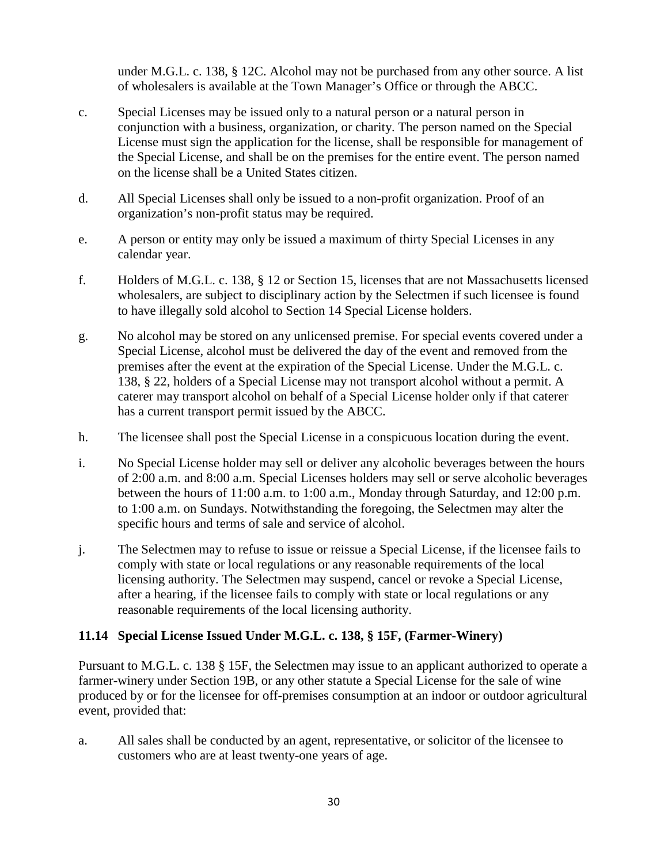under M.G.L. c. 138, § 12C. Alcohol may not be purchased from any other source. A list of wholesalers is available at the Town Manager's Office or through the ABCC.

- c. Special Licenses may be issued only to a natural person or a natural person in conjunction with a business, organization, or charity. The person named on the Special License must sign the application for the license, shall be responsible for management of the Special License, and shall be on the premises for the entire event. The person named on the license shall be a United States citizen.
- d. All Special Licenses shall only be issued to a non-profit organization. Proof of an organization's non-profit status may be required.
- e. A person or entity may only be issued a maximum of thirty Special Licenses in any calendar year.
- f. Holders of M.G.L. c. 138, § 12 or Section 15, licenses that are not Massachusetts licensed wholesalers, are subject to disciplinary action by the Selectmen if such licensee is found to have illegally sold alcohol to Section 14 Special License holders.
- g. No alcohol may be stored on any unlicensed premise. For special events covered under a Special License, alcohol must be delivered the day of the event and removed from the premises after the event at the expiration of the Special License. Under the M.G.L. c. 138, § 22, holders of a Special License may not transport alcohol without a permit. A caterer may transport alcohol on behalf of a Special License holder only if that caterer has a current transport permit issued by the ABCC.
- h. The licensee shall post the Special License in a conspicuous location during the event.
- i. No Special License holder may sell or deliver any alcoholic beverages between the hours of 2:00 a.m. and 8:00 a.m. Special Licenses holders may sell or serve alcoholic beverages between the hours of 11:00 a.m. to 1:00 a.m., Monday through Saturday, and 12:00 p.m. to 1:00 a.m. on Sundays. Notwithstanding the foregoing, the Selectmen may alter the specific hours and terms of sale and service of alcohol.
- j. The Selectmen may to refuse to issue or reissue a Special License, if the licensee fails to comply with state or local regulations or any reasonable requirements of the local licensing authority. The Selectmen may suspend, cancel or revoke a Special License, after a hearing, if the licensee fails to comply with state or local regulations or any reasonable requirements of the local licensing authority.

# **11.14 Special License Issued Under M.G.L. c. 138, § 15F, (Farmer-Winery)**

Pursuant to M.G.L. c. 138 § 15F, the Selectmen may issue to an applicant authorized to operate a farmer-winery under Section 19B, or any other statute a Special License for the sale of wine produced by or for the licensee for off-premises consumption at an indoor or outdoor agricultural event, provided that:

a. All sales shall be conducted by an agent, representative, or solicitor of the licensee to customers who are at least twenty-one years of age.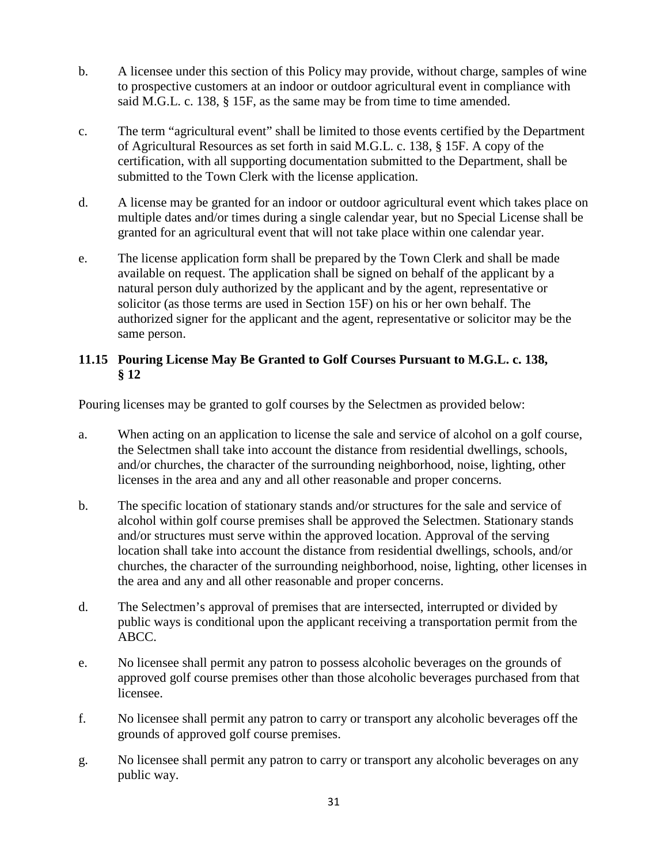- b. A licensee under this section of this Policy may provide, without charge, samples of wine to prospective customers at an indoor or outdoor agricultural event in compliance with said M.G.L. c. 138, § 15F, as the same may be from time to time amended.
- c. The term "agricultural event" shall be limited to those events certified by the Department of Agricultural Resources as set forth in said M.G.L. c. 138, § 15F. A copy of the certification, with all supporting documentation submitted to the Department, shall be submitted to the Town Clerk with the license application.
- d. A license may be granted for an indoor or outdoor agricultural event which takes place on multiple dates and/or times during a single calendar year, but no Special License shall be granted for an agricultural event that will not take place within one calendar year.
- e. The license application form shall be prepared by the Town Clerk and shall be made available on request. The application shall be signed on behalf of the applicant by a natural person duly authorized by the applicant and by the agent, representative or solicitor (as those terms are used in Section 15F) on his or her own behalf. The authorized signer for the applicant and the agent, representative or solicitor may be the same person.

# **11.15 Pouring License May Be Granted to Golf Courses Pursuant to M.G.L. c. 138, § 12**

Pouring licenses may be granted to golf courses by the Selectmen as provided below:

- a. When acting on an application to license the sale and service of alcohol on a golf course, the Selectmen shall take into account the distance from residential dwellings, schools, and/or churches, the character of the surrounding neighborhood, noise, lighting, other licenses in the area and any and all other reasonable and proper concerns.
- b. The specific location of stationary stands and/or structures for the sale and service of alcohol within golf course premises shall be approved the Selectmen. Stationary stands and/or structures must serve within the approved location. Approval of the serving location shall take into account the distance from residential dwellings, schools, and/or churches, the character of the surrounding neighborhood, noise, lighting, other licenses in the area and any and all other reasonable and proper concerns.
- d. The Selectmen's approval of premises that are intersected, interrupted or divided by public ways is conditional upon the applicant receiving a transportation permit from the ABCC.
- e. No licensee shall permit any patron to possess alcoholic beverages on the grounds of approved golf course premises other than those alcoholic beverages purchased from that licensee.
- f. No licensee shall permit any patron to carry or transport any alcoholic beverages off the grounds of approved golf course premises.
- g. No licensee shall permit any patron to carry or transport any alcoholic beverages on any public way.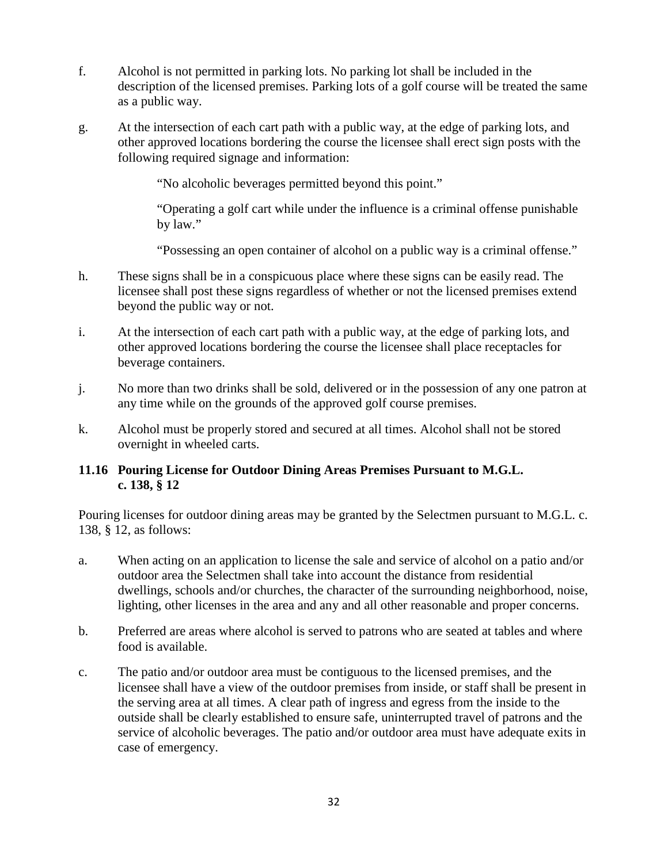- f. Alcohol is not permitted in parking lots. No parking lot shall be included in the description of the licensed premises. Parking lots of a golf course will be treated the same as a public way.
- g. At the intersection of each cart path with a public way, at the edge of parking lots, and other approved locations bordering the course the licensee shall erect sign posts with the following required signage and information:

"No alcoholic beverages permitted beyond this point."

"Operating a golf cart while under the influence is a criminal offense punishable by law."

"Possessing an open container of alcohol on a public way is a criminal offense."

- h. These signs shall be in a conspicuous place where these signs can be easily read. The licensee shall post these signs regardless of whether or not the licensed premises extend beyond the public way or not.
- i. At the intersection of each cart path with a public way, at the edge of parking lots, and other approved locations bordering the course the licensee shall place receptacles for beverage containers.
- j. No more than two drinks shall be sold, delivered or in the possession of any one patron at any time while on the grounds of the approved golf course premises.
- k. Alcohol must be properly stored and secured at all times. Alcohol shall not be stored overnight in wheeled carts.

## **11.16 Pouring License for Outdoor Dining Areas Premises Pursuant to M.G.L. c. 138, § 12**

Pouring licenses for outdoor dining areas may be granted by the Selectmen pursuant to M.G.L. c. 138, § 12, as follows:

- a. When acting on an application to license the sale and service of alcohol on a patio and/or outdoor area the Selectmen shall take into account the distance from residential dwellings, schools and/or churches, the character of the surrounding neighborhood, noise, lighting, other licenses in the area and any and all other reasonable and proper concerns.
- b. Preferred are areas where alcohol is served to patrons who are seated at tables and where food is available.
- c. The patio and/or outdoor area must be contiguous to the licensed premises, and the licensee shall have a view of the outdoor premises from inside, or staff shall be present in the serving area at all times. A clear path of ingress and egress from the inside to the outside shall be clearly established to ensure safe, uninterrupted travel of patrons and the service of alcoholic beverages. The patio and/or outdoor area must have adequate exits in case of emergency.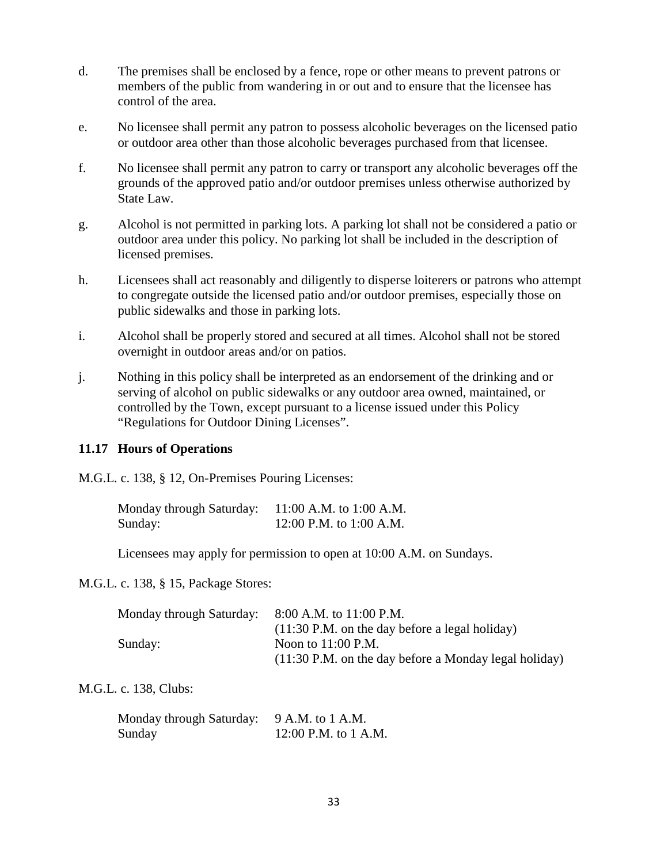- d. The premises shall be enclosed by a fence, rope or other means to prevent patrons or members of the public from wandering in or out and to ensure that the licensee has control of the area.
- e. No licensee shall permit any patron to possess alcoholic beverages on the licensed patio or outdoor area other than those alcoholic beverages purchased from that licensee.
- f. No licensee shall permit any patron to carry or transport any alcoholic beverages off the grounds of the approved patio and/or outdoor premises unless otherwise authorized by State Law.
- g. Alcohol is not permitted in parking lots. A parking lot shall not be considered a patio or outdoor area under this policy. No parking lot shall be included in the description of licensed premises.
- h. Licensees shall act reasonably and diligently to disperse loiterers or patrons who attempt to congregate outside the licensed patio and/or outdoor premises, especially those on public sidewalks and those in parking lots.
- i. Alcohol shall be properly stored and secured at all times. Alcohol shall not be stored overnight in outdoor areas and/or on patios.
- j. Nothing in this policy shall be interpreted as an endorsement of the drinking and or serving of alcohol on public sidewalks or any outdoor area owned, maintained, or controlled by the Town, except pursuant to a license issued under this Policy "Regulations for Outdoor Dining Licenses".

## **11.17 Hours of Operations**

M.G.L. c. 138, § 12, On-Premises Pouring Licenses:

| Monday through Saturday: | 11:00 A.M. to 1:00 A.M. |
|--------------------------|-------------------------|
| Sunday:                  | 12:00 P.M. to 1:00 A.M. |

Licensees may apply for permission to open at 10:00 A.M. on Sundays.

## M.G.L. c. 138, § 15, Package Stores:

| Monday through Saturday: 8:00 A.M. to 11:00 P.M. |                                                          |
|--------------------------------------------------|----------------------------------------------------------|
|                                                  | $(11:30 \text{ P.M.}$ on the day before a legal holiday) |
| Sunday:                                          | Noon to $11:00$ P.M.                                     |
|                                                  | (11:30 P.M. on the day before a Monday legal holiday)    |

## M.G.L. c. 138, Clubs:

| Monday through Saturday: 9 A.M. to 1 A.M. |                      |
|-------------------------------------------|----------------------|
| Sunday                                    | 12:00 P.M. to 1 A.M. |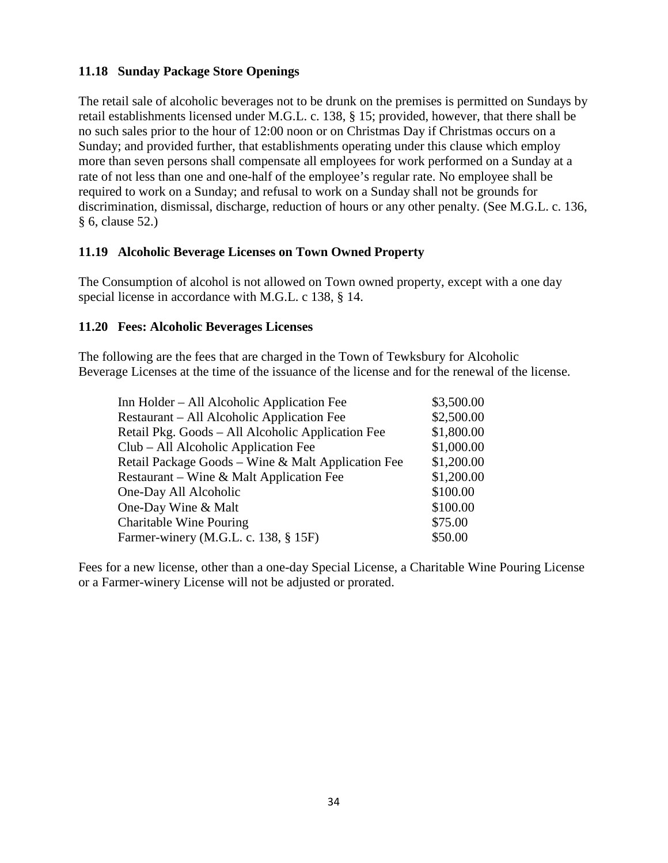# **11.18 Sunday Package Store Openings**

The retail sale of alcoholic beverages not to be drunk on the premises is permitted on Sundays by retail establishments licensed under M.G.L. c. 138, § 15; provided, however, that there shall be no such sales prior to the hour of 12:00 noon or on Christmas Day if Christmas occurs on a Sunday; and provided further, that establishments operating under this clause which employ more than seven persons shall compensate all employees for work performed on a Sunday at a rate of not less than one and one-half of the employee's regular rate. No employee shall be required to work on a Sunday; and refusal to work on a Sunday shall not be grounds for discrimination, dismissal, discharge, reduction of hours or any other penalty. (See M.G.L. c. 136, § 6, clause 52.)

## **11.19 Alcoholic Beverage Licenses on Town Owned Property**

The Consumption of alcohol is not allowed on Town owned property, except with a one day special license in accordance with M.G.L. c 138, § 14.

### **11.20 Fees: Alcoholic Beverages Licenses**

The following are the fees that are charged in the Town of Tewksbury for Alcoholic Beverage Licenses at the time of the issuance of the license and for the renewal of the license.

| Inn Holder – All Alcoholic Application Fee         | \$3,500.00 |
|----------------------------------------------------|------------|
| Restaurant – All Alcoholic Application Fee         | \$2,500.00 |
| Retail Pkg. Goods – All Alcoholic Application Fee  | \$1,800.00 |
| Club - All Alcoholic Application Fee               | \$1,000.00 |
| Retail Package Goods – Wine & Malt Application Fee | \$1,200.00 |
| Restaurant – Wine & Malt Application Fee           | \$1,200.00 |
| One-Day All Alcoholic                              | \$100.00   |
| One-Day Wine & Malt                                | \$100.00   |
| <b>Charitable Wine Pouring</b>                     | \$75.00    |
| Farmer-winery (M.G.L. c. 138, § 15F)               | \$50.00    |
|                                                    |            |

Fees for a new license, other than a one-day Special License, a Charitable Wine Pouring License or a Farmer-winery License will not be adjusted or prorated.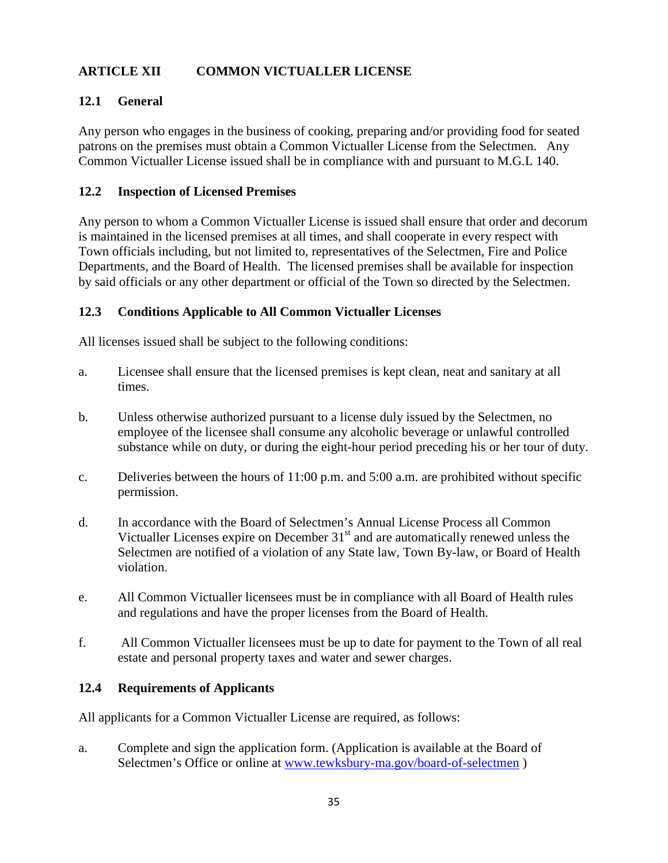# **ARTICLE XII COMMON VICTUALLER LICENSE**

# **12.1 General**

Any person who engages in the business of cooking, preparing and/or providing food for seated patrons on the premises must obtain a Common Victualler License from the Selectmen. Any Common Victualler License issued shall be in compliance with and pursuant to M.G.L 140.

## **12.2 Inspection of Licensed Premises**

Any person to whom a Common Victualler License is issued shall ensure that order and decorum is maintained in the licensed premises at all times, and shall cooperate in every respect with Town officials including, but not limited to, representatives of the Selectmen, Fire and Police Departments, and the Board of Health. The licensed premises shall be available for inspection by said officials or any other department or official of the Town so directed by the Selectmen.

## **12.3 Conditions Applicable to All Common Victualler Licenses**

All licenses issued shall be subject to the following conditions:

- a. Licensee shall ensure that the licensed premises is kept clean, neat and sanitary at all times.
- b. Unless otherwise authorized pursuant to a license duly issued by the Selectmen, no employee of the licensee shall consume any alcoholic beverage or unlawful controlled substance while on duty, or during the eight-hour period preceding his or her tour of duty.
- c. Deliveries between the hours of 11:00 p.m. and 5:00 a.m. are prohibited without specific permission.
- d. In accordance with the Board of Selectmen's Annual License Process all Common Victualler Licenses expire on December  $31<sup>st</sup>$  and are automatically renewed unless the Selectmen are notified of a violation of any State law, Town By-law, or Board of Health violation.
- e. All Common Victualler licensees must be in compliance with all Board of Health rules and regulations and have the proper licenses from the Board of Health.
- f. All Common Victualler licensees must be up to date for payment to the Town of all real estate and personal property taxes and water and sewer charges.

## **12.4 Requirements of Applicants**

All applicants for a Common Victualler License are required, as follows:

a. Complete and sign the application form. (Application is available at the Board of Selectmen's Office or online at [www.tewksbury-ma.gov/board-of-selectmen](http://www.tewksbury-ma.gov/board-of-selectmen) )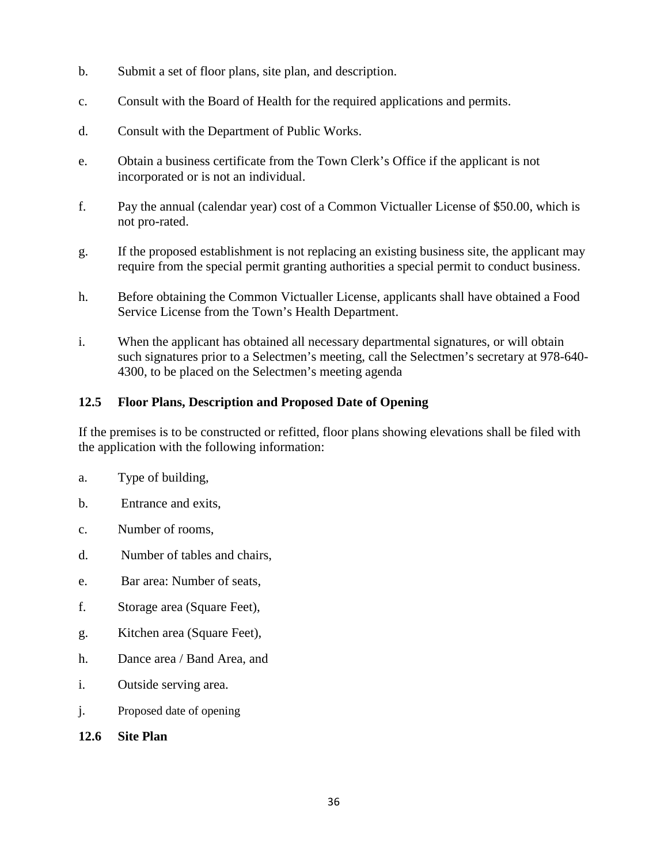- b. Submit a set of floor plans, site plan, and description.
- c. Consult with the Board of Health for the required applications and permits.
- d. Consult with the Department of Public Works.
- e. Obtain a business certificate from the Town Clerk's Office if the applicant is not incorporated or is not an individual.
- f. Pay the annual (calendar year) cost of a Common Victualler License of \$50.00, which is not pro-rated.
- g. If the proposed establishment is not replacing an existing business site, the applicant may require from the special permit granting authorities a special permit to conduct business.
- h. Before obtaining the Common Victualler License, applicants shall have obtained a Food Service License from the Town's Health Department.
- i. When the applicant has obtained all necessary departmental signatures, or will obtain such signatures prior to a Selectmen's meeting, call the Selectmen's secretary at 978-640- 4300, to be placed on the Selectmen's meeting agenda

# **12.5 Floor Plans, Description and Proposed Date of Opening**

If the premises is to be constructed or refitted, floor plans showing elevations shall be filed with the application with the following information:

- a. Type of building,
- b. Entrance and exits,
- c. Number of rooms,
- d. Number of tables and chairs,
- e. Bar area: Number of seats,
- f. Storage area (Square Feet),
- g. Kitchen area (Square Feet),
- h. Dance area / Band Area, and
- i. Outside serving area.
- j. Proposed date of opening

## **12.6 Site Plan**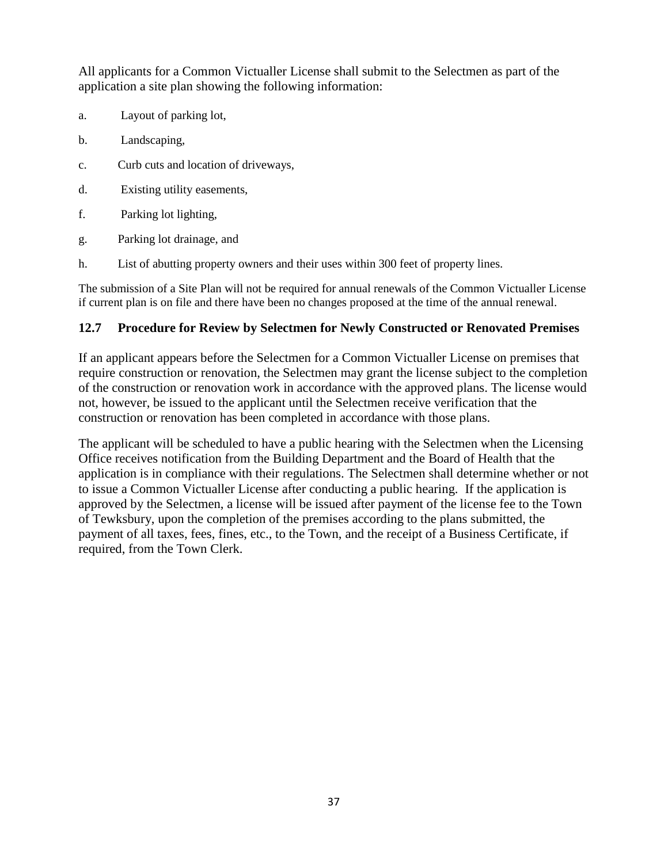All applicants for a Common Victualler License shall submit to the Selectmen as part of the application a site plan showing the following information:

- a. Layout of parking lot,
- b. Landscaping,
- c. Curb cuts and location of driveways,
- d. Existing utility easements,
- f. Parking lot lighting,
- g. Parking lot drainage, and
- h. List of abutting property owners and their uses within 300 feet of property lines.

The submission of a Site Plan will not be required for annual renewals of the Common Victualler License if current plan is on file and there have been no changes proposed at the time of the annual renewal.

#### **12.7 Procedure for Review by Selectmen for Newly Constructed or Renovated Premises**

If an applicant appears before the Selectmen for a Common Victualler License on premises that require construction or renovation, the Selectmen may grant the license subject to the completion of the construction or renovation work in accordance with the approved plans. The license would not, however, be issued to the applicant until the Selectmen receive verification that the construction or renovation has been completed in accordance with those plans.

The applicant will be scheduled to have a public hearing with the Selectmen when the Licensing Office receives notification from the Building Department and the Board of Health that the application is in compliance with their regulations. The Selectmen shall determine whether or not to issue a Common Victualler License after conducting a public hearing. If the application is approved by the Selectmen, a license will be issued after payment of the license fee to the Town of Tewksbury, upon the completion of the premises according to the plans submitted, the payment of all taxes, fees, fines, etc., to the Town, and the receipt of a Business Certificate, if required, from the Town Clerk.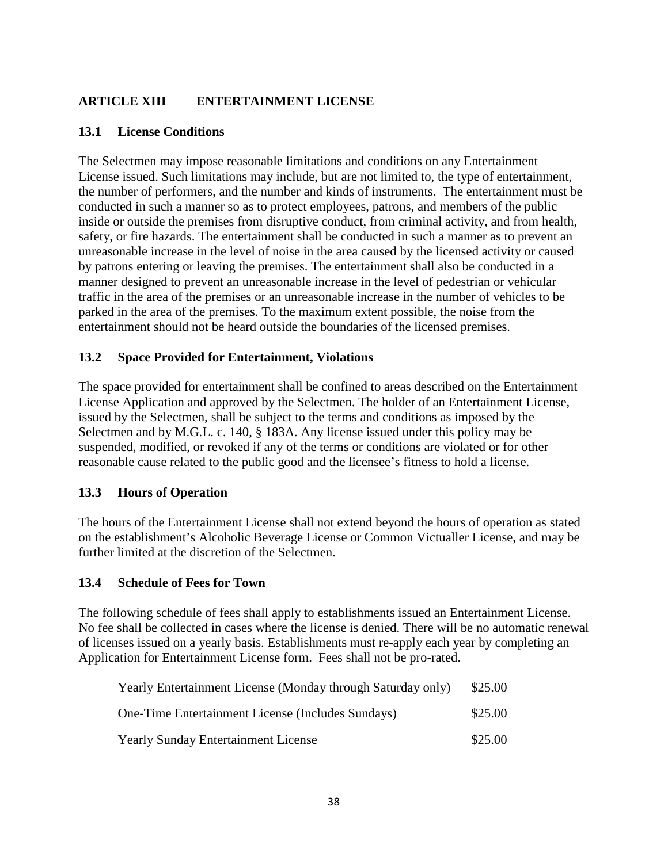# **ARTICLE XIII ENTERTAINMENT LICENSE**

#### **13.1 License Conditions**

The Selectmen may impose reasonable limitations and conditions on any Entertainment License issued. Such limitations may include, but are not limited to, the type of entertainment, the number of performers, and the number and kinds of instruments. The entertainment must be conducted in such a manner so as to protect employees, patrons, and members of the public inside or outside the premises from disruptive conduct, from criminal activity, and from health, safety, or fire hazards. The entertainment shall be conducted in such a manner as to prevent an unreasonable increase in the level of noise in the area caused by the licensed activity or caused by patrons entering or leaving the premises. The entertainment shall also be conducted in a manner designed to prevent an unreasonable increase in the level of pedestrian or vehicular traffic in the area of the premises or an unreasonable increase in the number of vehicles to be parked in the area of the premises. To the maximum extent possible, the noise from the entertainment should not be heard outside the boundaries of the licensed premises.

#### **13.2 Space Provided for Entertainment, Violations**

The space provided for entertainment shall be confined to areas described on the Entertainment License Application and approved by the Selectmen. The holder of an Entertainment License, issued by the Selectmen, shall be subject to the terms and conditions as imposed by the Selectmen and by M.G.L. c. 140, § 183A. Any license issued under this policy may be suspended, modified, or revoked if any of the terms or conditions are violated or for other reasonable cause related to the public good and the licensee's fitness to hold a license.

## **13.3 Hours of Operation**

The hours of the Entertainment License shall not extend beyond the hours of operation as stated on the establishment's Alcoholic Beverage License or Common Victualler License, and may be further limited at the discretion of the Selectmen.

#### **13.4 Schedule of Fees for Town**

The following schedule of fees shall apply to establishments issued an Entertainment License. No fee shall be collected in cases where the license is denied. There will be no automatic renewal of licenses issued on a yearly basis. Establishments must re-apply each year by completing an Application for Entertainment License form. Fees shall not be pro-rated.

| Yearly Entertainment License (Monday through Saturday only) | \$25.00 |
|-------------------------------------------------------------|---------|
| One-Time Entertainment License (Includes Sundays)           | \$25.00 |
| <b>Yearly Sunday Entertainment License</b>                  | \$25.00 |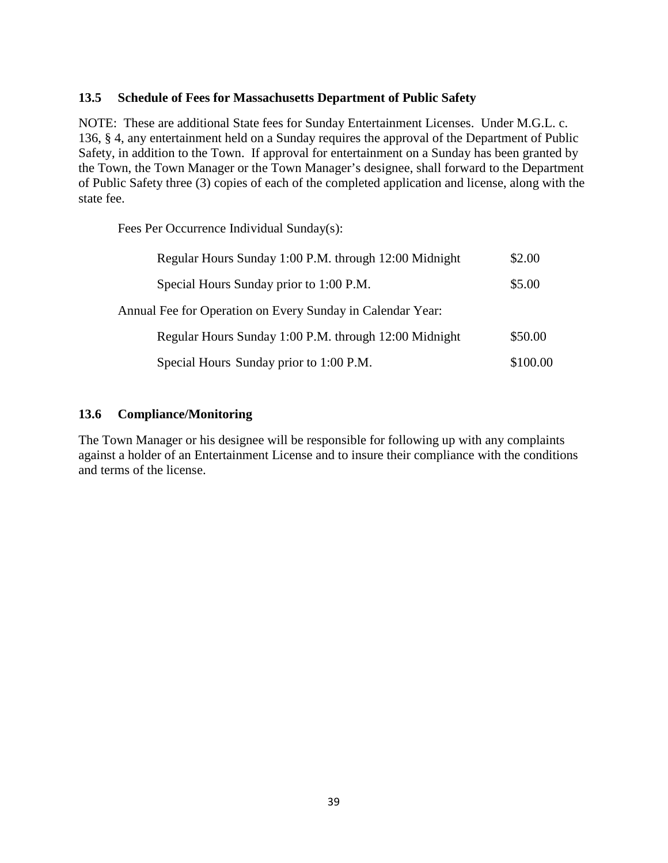#### **13.5 Schedule of Fees for Massachusetts Department of Public Safety**

NOTE: These are additional State fees for Sunday Entertainment Licenses. Under M.G.L. c. 136, § 4, any entertainment held on a Sunday requires the approval of the Department of Public Safety, in addition to the Town. If approval for entertainment on a Sunday has been granted by the Town, the Town Manager or the Town Manager's designee, shall forward to the Department of Public Safety three (3) copies of each of the completed application and license, along with the state fee.

Fees Per Occurrence Individual Sunday(s):

| Regular Hours Sunday 1:00 P.M. through 12:00 Midnight      | \$2.00   |
|------------------------------------------------------------|----------|
| Special Hours Sunday prior to 1:00 P.M.                    | \$5.00   |
| Annual Fee for Operation on Every Sunday in Calendar Year: |          |
| Regular Hours Sunday 1:00 P.M. through 12:00 Midnight      | \$50.00  |
| Special Hours Sunday prior to 1:00 P.M.                    | \$100.00 |

#### **13.6 Compliance/Monitoring**

The Town Manager or his designee will be responsible for following up with any complaints against a holder of an Entertainment License and to insure their compliance with the conditions and terms of the license.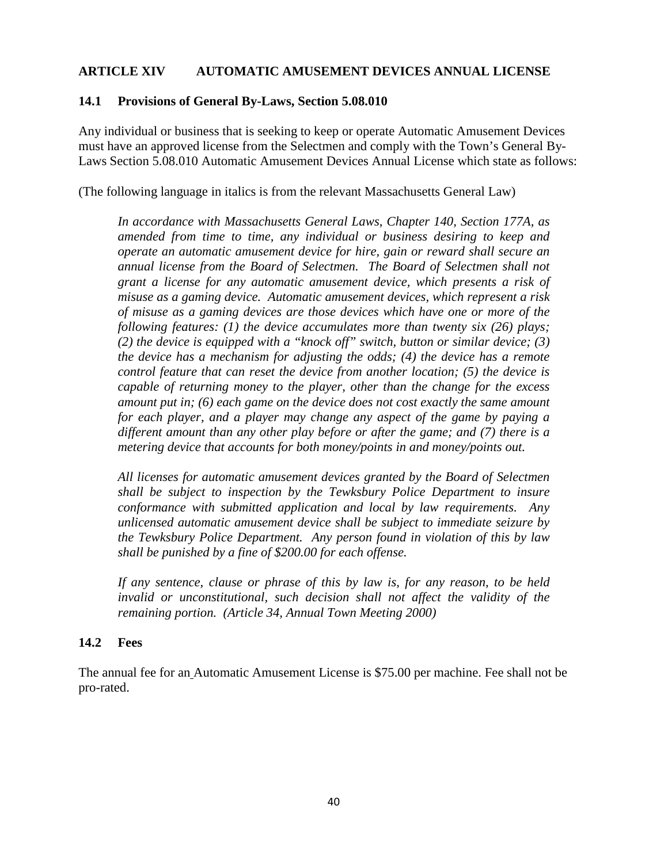#### **ARTICLE XIV AUTOMATIC AMUSEMENT DEVICES ANNUAL LICENSE**

#### **14.1 Provisions of General By-Laws, Section 5.08.010**

Any individual or business that is seeking to keep or operate Automatic Amusement Devices must have an approved license from the Selectmen and comply with the Town's General By-Laws Section 5.08.010 Automatic Amusement Devices Annual License which state as follows:

(The following language in italics is from the relevant Massachusetts General Law)

*In accordance with Massachusetts General Laws, Chapter 140, Section 177A, as amended from time to time, any individual or business desiring to keep and operate an automatic amusement device for hire, gain or reward shall secure an annual license from the Board of Selectmen. The Board of Selectmen shall not grant a license for any automatic amusement device, which presents a risk of misuse as a gaming device. Automatic amusement devices, which represent a risk of misuse as a gaming devices are those devices which have one or more of the following features: (1) the device accumulates more than twenty six (26) plays; (2) the device is equipped with a "knock off" switch, button or similar device; (3) the device has a mechanism for adjusting the odds; (4) the device has a remote control feature that can reset the device from another location; (5) the device is capable of returning money to the player, other than the change for the excess amount put in; (6) each game on the device does not cost exactly the same amount for each player, and a player may change any aspect of the game by paying a different amount than any other play before or after the game; and (7) there is a metering device that accounts for both money/points in and money/points out.*

*All licenses for automatic amusement devices granted by the Board of Selectmen shall be subject to inspection by the Tewksbury Police Department to insure conformance with submitted application and local by law requirements. Any unlicensed automatic amusement device shall be subject to immediate seizure by the Tewksbury Police Department. Any person found in violation of this by law shall be punished by a fine of \$200.00 for each offense.*

*If any sentence, clause or phrase of this by law is, for any reason, to be held*  invalid or unconstitutional, such decision shall not affect the validity of the *remaining portion. (Article 34, Annual Town Meeting 2000)*

#### **14.2 Fees**

The annual fee for an Automatic Amusement License is \$75.00 per machine. Fee shall not be pro-rated.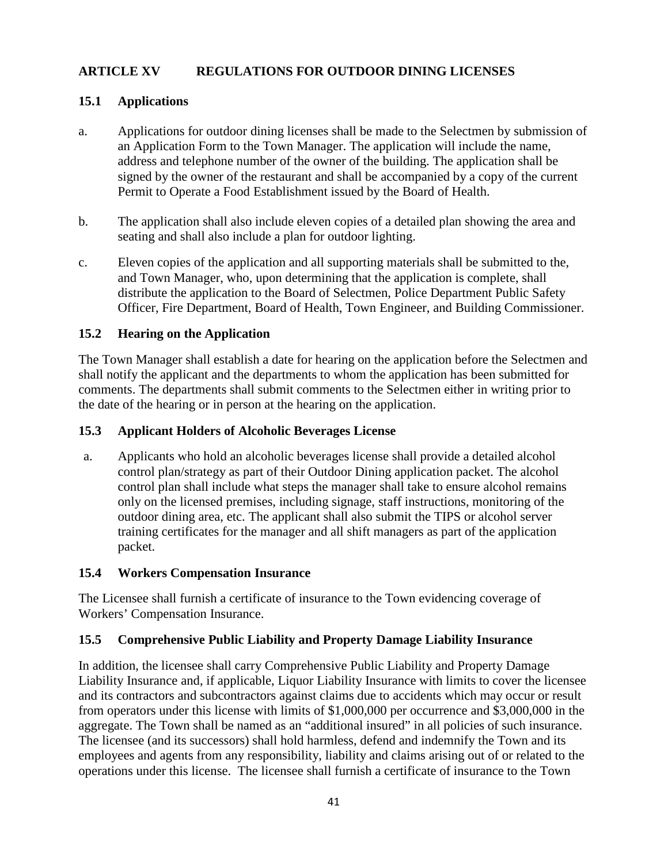## **ARTICLE XV REGULATIONS FOR OUTDOOR DINING LICENSES**

#### **15.1 Applications**

- a. Applications for outdoor dining licenses shall be made to the Selectmen by submission of an Application Form to the Town Manager. The application will include the name, address and telephone number of the owner of the building. The application shall be signed by the owner of the restaurant and shall be accompanied by a copy of the current Permit to Operate a Food Establishment issued by the Board of Health.
- b. The application shall also include eleven copies of a detailed plan showing the area and seating and shall also include a plan for outdoor lighting.
- c. Eleven copies of the application and all supporting materials shall be submitted to the, and Town Manager, who, upon determining that the application is complete, shall distribute the application to the Board of Selectmen, Police Department Public Safety Officer, Fire Department, Board of Health, Town Engineer, and Building Commissioner.

#### **15.2 Hearing on the Application**

The Town Manager shall establish a date for hearing on the application before the Selectmen and shall notify the applicant and the departments to whom the application has been submitted for comments. The departments shall submit comments to the Selectmen either in writing prior to the date of the hearing or in person at the hearing on the application.

#### **15.3 Applicant Holders of Alcoholic Beverages License**

a. Applicants who hold an alcoholic beverages license shall provide a detailed alcohol control plan/strategy as part of their Outdoor Dining application packet. The alcohol control plan shall include what steps the manager shall take to ensure alcohol remains only on the licensed premises, including signage, staff instructions, monitoring of the outdoor dining area, etc. The applicant shall also submit the TIPS or alcohol server training certificates for the manager and all shift managers as part of the application packet.

## **15.4 Workers Compensation Insurance**

The Licensee shall furnish a certificate of insurance to the Town evidencing coverage of Workers' Compensation Insurance.

#### **15.5 Comprehensive Public Liability and Property Damage Liability Insurance**

In addition, the licensee shall carry Comprehensive Public Liability and Property Damage Liability Insurance and, if applicable, Liquor Liability Insurance with limits to cover the licensee and its contractors and subcontractors against claims due to accidents which may occur or result from operators under this license with limits of \$1,000,000 per occurrence and \$3,000,000 in the aggregate. The Town shall be named as an "additional insured" in all policies of such insurance. The licensee (and its successors) shall hold harmless, defend and indemnify the Town and its employees and agents from any responsibility, liability and claims arising out of or related to the operations under this license. The licensee shall furnish a certificate of insurance to the Town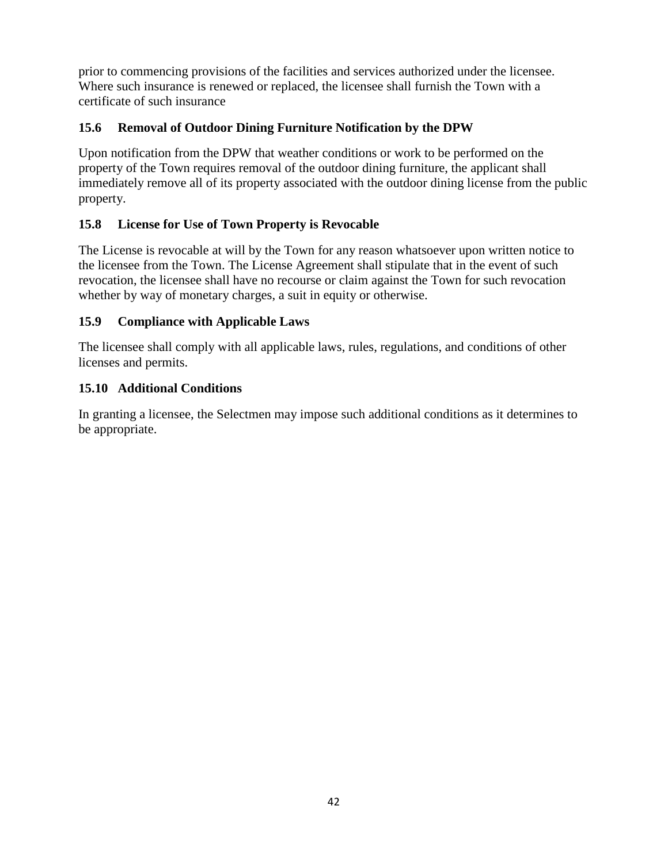prior to commencing provisions of the facilities and services authorized under the licensee. Where such insurance is renewed or replaced, the licensee shall furnish the Town with a certificate of such insurance

# **15.6 Removal of Outdoor Dining Furniture Notification by the DPW**

Upon notification from the DPW that weather conditions or work to be performed on the property of the Town requires removal of the outdoor dining furniture, the applicant shall immediately remove all of its property associated with the outdoor dining license from the public property.

## **15.8 License for Use of Town Property is Revocable**

The License is revocable at will by the Town for any reason whatsoever upon written notice to the licensee from the Town. The License Agreement shall stipulate that in the event of such revocation, the licensee shall have no recourse or claim against the Town for such revocation whether by way of monetary charges, a suit in equity or otherwise.

## **15.9 Compliance with Applicable Laws**

The licensee shall comply with all applicable laws, rules, regulations, and conditions of other licenses and permits.

## **15.10 Additional Conditions**

In granting a licensee, the Selectmen may impose such additional conditions as it determines to be appropriate.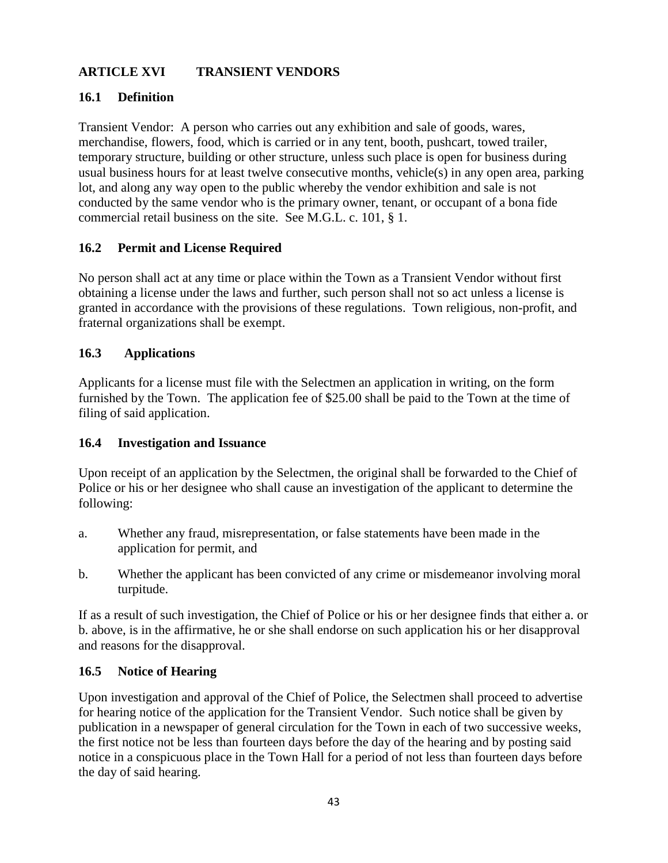# **ARTICLE XVI TRANSIENT VENDORS**

## **16.1 Definition**

Transient Vendor: A person who carries out any exhibition and sale of goods, wares, merchandise, flowers, food, which is carried or in any tent, booth, pushcart, towed trailer, temporary structure, building or other structure, unless such place is open for business during usual business hours for at least twelve consecutive months, vehicle(s) in any open area, parking lot, and along any way open to the public whereby the vendor exhibition and sale is not conducted by the same vendor who is the primary owner, tenant, or occupant of a bona fide commercial retail business on the site. See M.G.L. c. 101, § 1.

## **16.2 Permit and License Required**

No person shall act at any time or place within the Town as a Transient Vendor without first obtaining a license under the laws and further, such person shall not so act unless a license is granted in accordance with the provisions of these regulations. Town religious, non-profit, and fraternal organizations shall be exempt.

#### **16.3 Applications**

Applicants for a license must file with the Selectmen an application in writing, on the form furnished by the Town. The application fee of \$25.00 shall be paid to the Town at the time of filing of said application.

#### **16.4 Investigation and Issuance**

Upon receipt of an application by the Selectmen, the original shall be forwarded to the Chief of Police or his or her designee who shall cause an investigation of the applicant to determine the following:

- a. Whether any fraud, misrepresentation, or false statements have been made in the application for permit, and
- b. Whether the applicant has been convicted of any crime or misdemeanor involving moral turpitude.

If as a result of such investigation, the Chief of Police or his or her designee finds that either a. or b. above, is in the affirmative, he or she shall endorse on such application his or her disapproval and reasons for the disapproval.

## **16.5 Notice of Hearing**

Upon investigation and approval of the Chief of Police, the Selectmen shall proceed to advertise for hearing notice of the application for the Transient Vendor. Such notice shall be given by publication in a newspaper of general circulation for the Town in each of two successive weeks, the first notice not be less than fourteen days before the day of the hearing and by posting said notice in a conspicuous place in the Town Hall for a period of not less than fourteen days before the day of said hearing.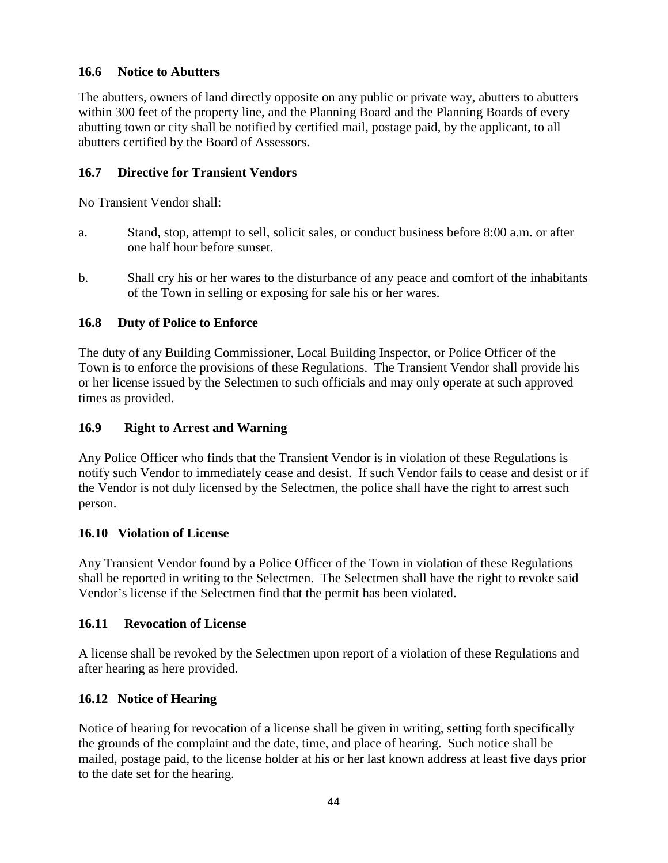## **16.6 Notice to Abutters**

The abutters, owners of land directly opposite on any public or private way, abutters to abutters within 300 feet of the property line, and the Planning Board and the Planning Boards of every abutting town or city shall be notified by certified mail, postage paid, by the applicant, to all abutters certified by the Board of Assessors.

## **16.7 Directive for Transient Vendors**

No Transient Vendor shall:

- a. Stand, stop, attempt to sell, solicit sales, or conduct business before 8:00 a.m. or after one half hour before sunset.
- b. Shall cry his or her wares to the disturbance of any peace and comfort of the inhabitants of the Town in selling or exposing for sale his or her wares.

## **16.8 Duty of Police to Enforce**

The duty of any Building Commissioner, Local Building Inspector, or Police Officer of the Town is to enforce the provisions of these Regulations. The Transient Vendor shall provide his or her license issued by the Selectmen to such officials and may only operate at such approved times as provided.

## **16.9 Right to Arrest and Warning**

Any Police Officer who finds that the Transient Vendor is in violation of these Regulations is notify such Vendor to immediately cease and desist. If such Vendor fails to cease and desist or if the Vendor is not duly licensed by the Selectmen, the police shall have the right to arrest such person.

## **16.10 Violation of License**

Any Transient Vendor found by a Police Officer of the Town in violation of these Regulations shall be reported in writing to the Selectmen. The Selectmen shall have the right to revoke said Vendor's license if the Selectmen find that the permit has been violated.

## **16.11 Revocation of License**

A license shall be revoked by the Selectmen upon report of a violation of these Regulations and after hearing as here provided.

## **16.12 Notice of Hearing**

Notice of hearing for revocation of a license shall be given in writing, setting forth specifically the grounds of the complaint and the date, time, and place of hearing. Such notice shall be mailed, postage paid, to the license holder at his or her last known address at least five days prior to the date set for the hearing.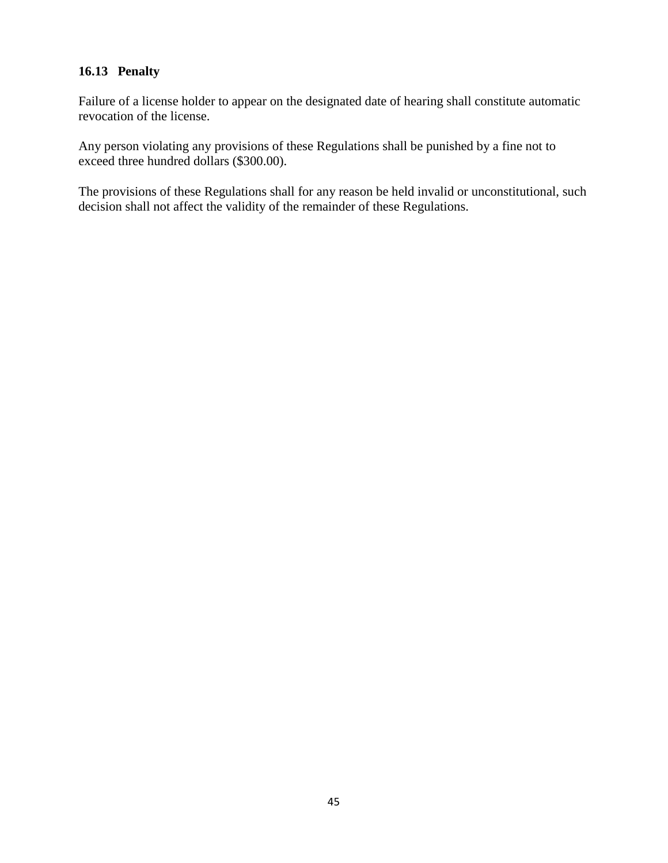## **16.13 Penalty**

Failure of a license holder to appear on the designated date of hearing shall constitute automatic revocation of the license.

Any person violating any provisions of these Regulations shall be punished by a fine not to exceed three hundred dollars (\$300.00).

The provisions of these Regulations shall for any reason be held invalid or unconstitutional, such decision shall not affect the validity of the remainder of these Regulations.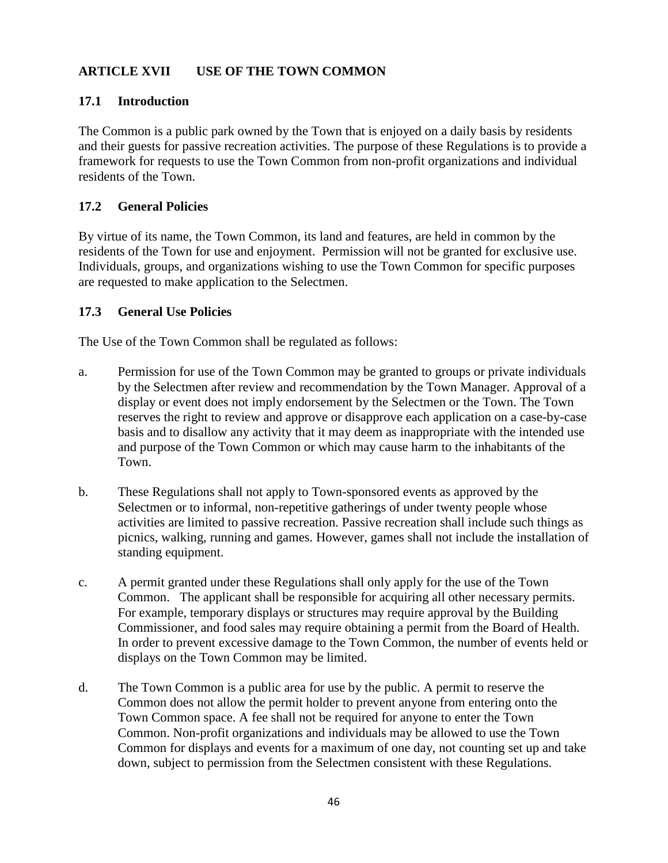# **ARTICLE XVII USE OF THE TOWN COMMON**

#### **17.1 Introduction**

The Common is a public park owned by the Town that is enjoyed on a daily basis by residents and their guests for passive recreation activities. The purpose of these Regulations is to provide a framework for requests to use the Town Common from non-profit organizations and individual residents of the Town.

#### **17.2 General Policies**

By virtue of its name, the Town Common, its land and features, are held in common by the residents of the Town for use and enjoyment. Permission will not be granted for exclusive use. Individuals, groups, and organizations wishing to use the Town Common for specific purposes are requested to make application to the Selectmen.

#### **17.3 General Use Policies**

The Use of the Town Common shall be regulated as follows:

- a. Permission for use of the Town Common may be granted to groups or private individuals by the Selectmen after review and recommendation by the Town Manager. Approval of a display or event does not imply endorsement by the Selectmen or the Town. The Town reserves the right to review and approve or disapprove each application on a case-by-case basis and to disallow any activity that it may deem as inappropriate with the intended use and purpose of the Town Common or which may cause harm to the inhabitants of the Town.
- b. These Regulations shall not apply to Town-sponsored events as approved by the Selectmen or to informal, non-repetitive gatherings of under twenty people whose activities are limited to passive recreation. Passive recreation shall include such things as picnics, walking, running and games. However, games shall not include the installation of standing equipment.
- c. A permit granted under these Regulations shall only apply for the use of the Town Common. The applicant shall be responsible for acquiring all other necessary permits. For example, temporary displays or structures may require approval by the Building Commissioner, and food sales may require obtaining a permit from the Board of Health. In order to prevent excessive damage to the Town Common, the number of events held or displays on the Town Common may be limited.
- d. The Town Common is a public area for use by the public. A permit to reserve the Common does not allow the permit holder to prevent anyone from entering onto the Town Common space. A fee shall not be required for anyone to enter the Town Common. Non-profit organizations and individuals may be allowed to use the Town Common for displays and events for a maximum of one day, not counting set up and take down, subject to permission from the Selectmen consistent with these Regulations.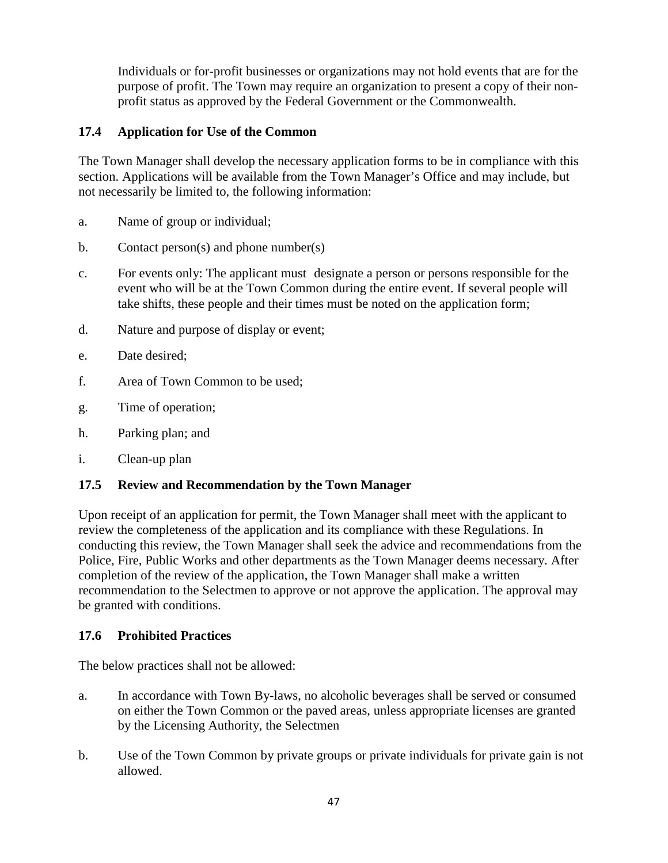Individuals or for-profit businesses or organizations may not hold events that are for the purpose of profit. The Town may require an organization to present a copy of their nonprofit status as approved by the Federal Government or the Commonwealth.

# **17.4 Application for Use of the Common**

The Town Manager shall develop the necessary application forms to be in compliance with this section. Applications will be available from the Town Manager's Office and may include, but not necessarily be limited to, the following information:

- a. Name of group or individual;
- b. Contact person(s) and phone number(s)
- c. For events only: The applicant must designate a person or persons responsible for the event who will be at the Town Common during the entire event. If several people will take shifts, these people and their times must be noted on the application form;
- d. Nature and purpose of display or event;
- e. Date desired;
- f. Area of Town Common to be used;
- g. Time of operation;
- h. Parking plan; and
- i. Clean-up plan

# **17.5 Review and Recommendation by the Town Manager**

Upon receipt of an application for permit, the Town Manager shall meet with the applicant to review the completeness of the application and its compliance with these Regulations. In conducting this review, the Town Manager shall seek the advice and recommendations from the Police, Fire, Public Works and other departments as the Town Manager deems necessary. After completion of the review of the application, the Town Manager shall make a written recommendation to the Selectmen to approve or not approve the application. The approval may be granted with conditions.

## **17.6 Prohibited Practices**

The below practices shall not be allowed:

- a. In accordance with Town By-laws, no alcoholic beverages shall be served or consumed on either the Town Common or the paved areas, unless appropriate licenses are granted by the Licensing Authority, the Selectmen
- b. Use of the Town Common by private groups or private individuals for private gain is not allowed.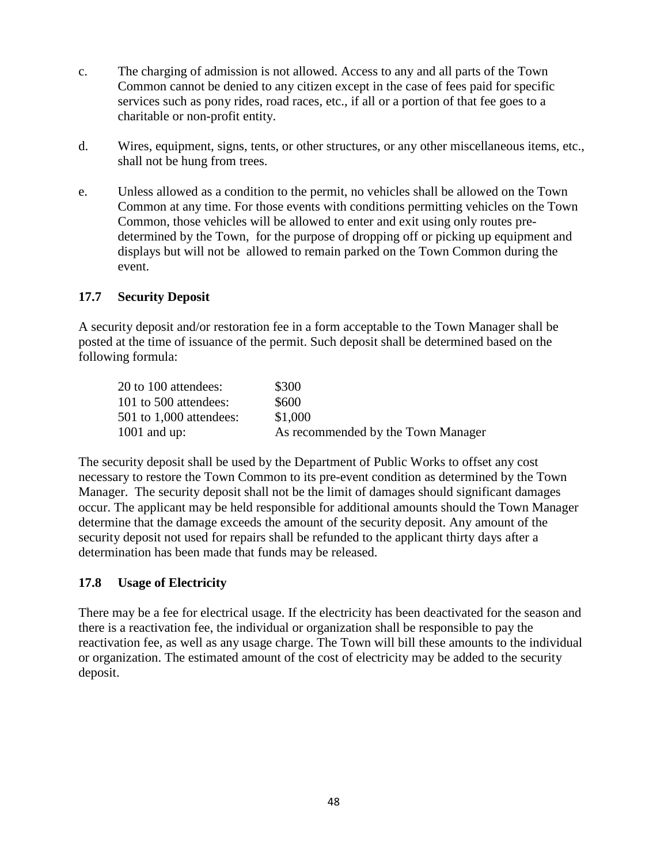- c. The charging of admission is not allowed. Access to any and all parts of the Town Common cannot be denied to any citizen except in the case of fees paid for specific services such as pony rides, road races, etc., if all or a portion of that fee goes to a charitable or non-profit entity.
- d. Wires, equipment, signs, tents, or other structures, or any other miscellaneous items, etc., shall not be hung from trees.
- e. Unless allowed as a condition to the permit, no vehicles shall be allowed on the Town Common at any time. For those events with conditions permitting vehicles on the Town Common, those vehicles will be allowed to enter and exit using only routes predetermined by the Town, for the purpose of dropping off or picking up equipment and displays but will not be allowed to remain parked on the Town Common during the event.

#### **17.7 Security Deposit**

A security deposit and/or restoration fee in a form acceptable to the Town Manager shall be posted at the time of issuance of the permit. Such deposit shall be determined based on the following formula:

| 20 to 100 attendees:      | \$300                              |
|---------------------------|------------------------------------|
| 101 to 500 attendees:     | \$600                              |
| $501$ to 1,000 attendees: | \$1,000                            |
| $1001$ and up:            | As recommended by the Town Manager |

The security deposit shall be used by the Department of Public Works to offset any cost necessary to restore the Town Common to its pre-event condition as determined by the Town Manager. The security deposit shall not be the limit of damages should significant damages occur. The applicant may be held responsible for additional amounts should the Town Manager determine that the damage exceeds the amount of the security deposit. Any amount of the security deposit not used for repairs shall be refunded to the applicant thirty days after a determination has been made that funds may be released.

## **17.8 Usage of Electricity**

There may be a fee for electrical usage. If the electricity has been deactivated for the season and there is a reactivation fee, the individual or organization shall be responsible to pay the reactivation fee, as well as any usage charge. The Town will bill these amounts to the individual or organization. The estimated amount of the cost of electricity may be added to the security deposit.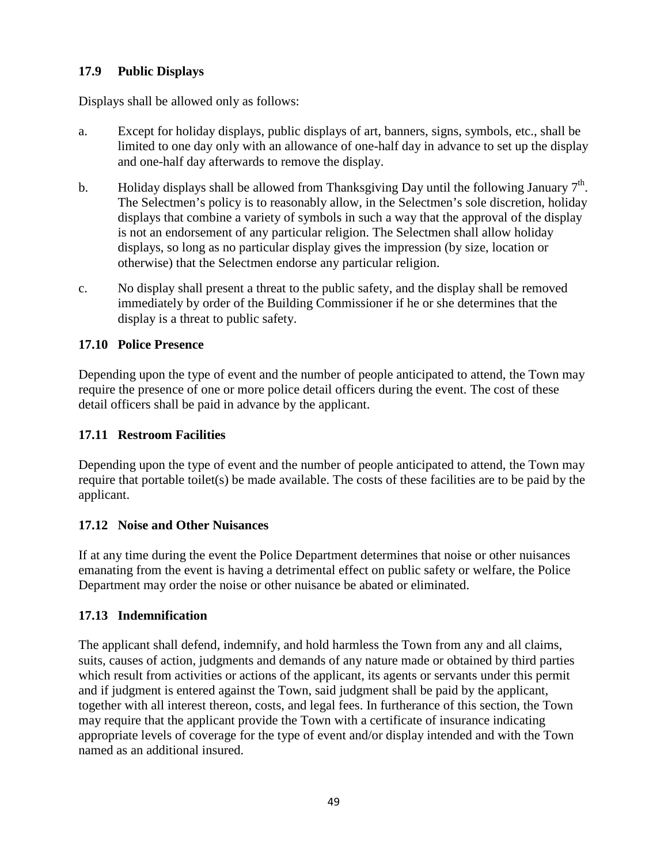# **17.9 Public Displays**

Displays shall be allowed only as follows:

- a. Except for holiday displays, public displays of art, banners, signs, symbols, etc., shall be limited to one day only with an allowance of one-half day in advance to set up the display and one-half day afterwards to remove the display.
- b. Holiday displays shall be allowed from Thanksgiving Day until the following January  $7<sup>th</sup>$ . The Selectmen's policy is to reasonably allow, in the Selectmen's sole discretion, holiday displays that combine a variety of symbols in such a way that the approval of the display is not an endorsement of any particular religion. The Selectmen shall allow holiday displays, so long as no particular display gives the impression (by size, location or otherwise) that the Selectmen endorse any particular religion.
- c. No display shall present a threat to the public safety, and the display shall be removed immediately by order of the Building Commissioner if he or she determines that the display is a threat to public safety.

## **17.10 Police Presence**

Depending upon the type of event and the number of people anticipated to attend, the Town may require the presence of one or more police detail officers during the event. The cost of these detail officers shall be paid in advance by the applicant.

## **17.11 Restroom Facilities**

Depending upon the type of event and the number of people anticipated to attend, the Town may require that portable toilet(s) be made available. The costs of these facilities are to be paid by the applicant.

## **17.12 Noise and Other Nuisances**

If at any time during the event the Police Department determines that noise or other nuisances emanating from the event is having a detrimental effect on public safety or welfare, the Police Department may order the noise or other nuisance be abated or eliminated.

## **17.13 Indemnification**

The applicant shall defend, indemnify, and hold harmless the Town from any and all claims, suits, causes of action, judgments and demands of any nature made or obtained by third parties which result from activities or actions of the applicant, its agents or servants under this permit and if judgment is entered against the Town, said judgment shall be paid by the applicant, together with all interest thereon, costs, and legal fees. In furtherance of this section, the Town may require that the applicant provide the Town with a certificate of insurance indicating appropriate levels of coverage for the type of event and/or display intended and with the Town named as an additional insured.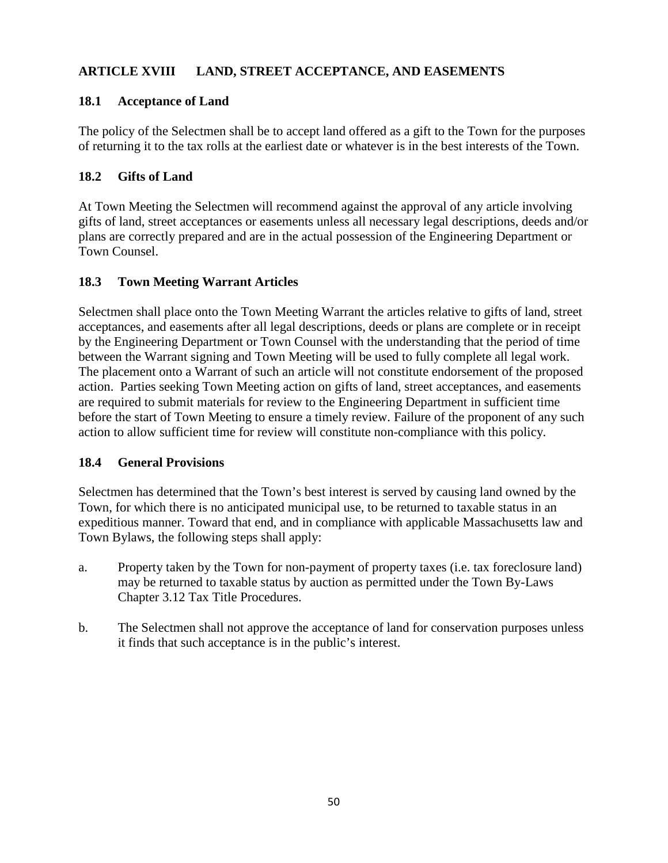# **ARTICLE XVIII LAND, STREET ACCEPTANCE, AND EASEMENTS**

#### **18.1 Acceptance of Land**

The policy of the Selectmen shall be to accept land offered as a gift to the Town for the purposes of returning it to the tax rolls at the earliest date or whatever is in the best interests of the Town.

#### **18.2 Gifts of Land**

At Town Meeting the Selectmen will recommend against the approval of any article involving gifts of land, street acceptances or easements unless all necessary legal descriptions, deeds and/or plans are correctly prepared and are in the actual possession of the Engineering Department or Town Counsel.

#### **18.3 Town Meeting Warrant Articles**

Selectmen shall place onto the Town Meeting Warrant the articles relative to gifts of land, street acceptances, and easements after all legal descriptions, deeds or plans are complete or in receipt by the Engineering Department or Town Counsel with the understanding that the period of time between the Warrant signing and Town Meeting will be used to fully complete all legal work. The placement onto a Warrant of such an article will not constitute endorsement of the proposed action. Parties seeking Town Meeting action on gifts of land, street acceptances, and easements are required to submit materials for review to the Engineering Department in sufficient time before the start of Town Meeting to ensure a timely review. Failure of the proponent of any such action to allow sufficient time for review will constitute non-compliance with this policy.

#### **18.4 General Provisions**

Selectmen has determined that the Town's best interest is served by causing land owned by the Town, for which there is no anticipated municipal use, to be returned to taxable status in an expeditious manner. Toward that end, and in compliance with applicable Massachusetts law and Town Bylaws, the following steps shall apply:

- a. Property taken by the Town for non-payment of property taxes (i.e. tax foreclosure land) may be returned to taxable status by auction as permitted under the Town By-Laws Chapter 3.12 Tax Title Procedures.
- b. The Selectmen shall not approve the acceptance of land for conservation purposes unless it finds that such acceptance is in the public's interest.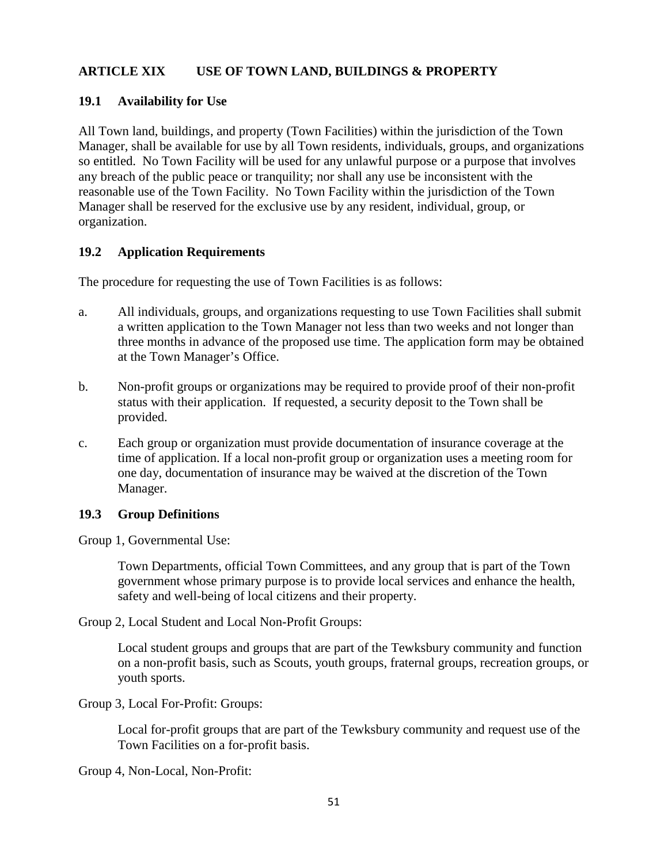## **ARTICLE XIX USE OF TOWN LAND, BUILDINGS & PROPERTY**

#### **19.1 Availability for Use**

All Town land, buildings, and property (Town Facilities) within the jurisdiction of the Town Manager, shall be available for use by all Town residents, individuals, groups, and organizations so entitled. No Town Facility will be used for any unlawful purpose or a purpose that involves any breach of the public peace or tranquility; nor shall any use be inconsistent with the reasonable use of the Town Facility. No Town Facility within the jurisdiction of the Town Manager shall be reserved for the exclusive use by any resident, individual, group, or organization.

#### **19.2 Application Requirements**

The procedure for requesting the use of Town Facilities is as follows:

- a. All individuals, groups, and organizations requesting to use Town Facilities shall submit a written application to the Town Manager not less than two weeks and not longer than three months in advance of the proposed use time. The application form may be obtained at the Town Manager's Office.
- b. Non-profit groups or organizations may be required to provide proof of their non-profit status with their application. If requested, a security deposit to the Town shall be provided.
- c. Each group or organization must provide documentation of insurance coverage at the time of application. If a local non-profit group or organization uses a meeting room for one day, documentation of insurance may be waived at the discretion of the Town Manager.

#### **19.3 Group Definitions**

Group 1, Governmental Use:

Town Departments, official Town Committees, and any group that is part of the Town government whose primary purpose is to provide local services and enhance the health, safety and well-being of local citizens and their property.

Group 2, Local Student and Local Non-Profit Groups:

Local student groups and groups that are part of the Tewksbury community and function on a non-profit basis, such as Scouts, youth groups, fraternal groups, recreation groups, or youth sports.

Group 3, Local For-Profit: Groups:

Local for-profit groups that are part of the Tewksbury community and request use of the Town Facilities on a for-profit basis.

Group 4, Non-Local, Non-Profit: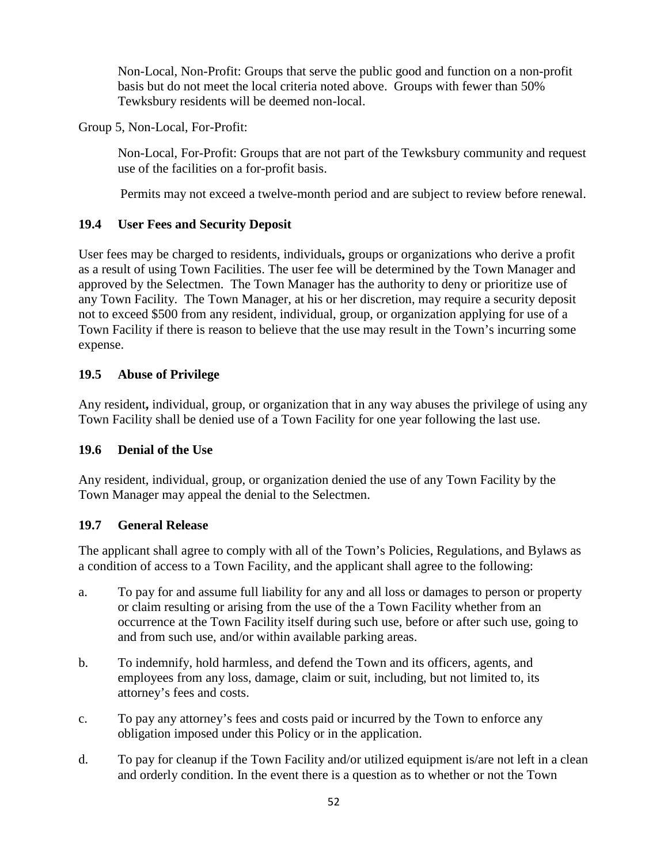Non-Local, Non-Profit: Groups that serve the public good and function on a non-profit basis but do not meet the local criteria noted above. Groups with fewer than 50% Tewksbury residents will be deemed non-local.

Group 5, Non-Local, For-Profit:

Non-Local, For-Profit: Groups that are not part of the Tewksbury community and request use of the facilities on a for-profit basis.

Permits may not exceed a twelve-month period and are subject to review before renewal.

# **19.4 User Fees and Security Deposit**

User fees may be charged to residents, individuals**,** groups or organizations who derive a profit as a result of using Town Facilities. The user fee will be determined by the Town Manager and approved by the Selectmen. The Town Manager has the authority to deny or prioritize use of any Town Facility. The Town Manager, at his or her discretion, may require a security deposit not to exceed \$500 from any resident, individual, group, or organization applying for use of a Town Facility if there is reason to believe that the use may result in the Town's incurring some expense.

# **19.5 Abuse of Privilege**

Any resident**,** individual, group, or organization that in any way abuses the privilege of using any Town Facility shall be denied use of a Town Facility for one year following the last use.

# **19.6 Denial of the Use**

Any resident, individual, group, or organization denied the use of any Town Facility by the Town Manager may appeal the denial to the Selectmen.

# **19.7 General Release**

The applicant shall agree to comply with all of the Town's Policies, Regulations, and Bylaws as a condition of access to a Town Facility, and the applicant shall agree to the following:

- a. To pay for and assume full liability for any and all loss or damages to person or property or claim resulting or arising from the use of the a Town Facility whether from an occurrence at the Town Facility itself during such use, before or after such use, going to and from such use, and/or within available parking areas.
- b. To indemnify, hold harmless, and defend the Town and its officers, agents, and employees from any loss, damage, claim or suit, including, but not limited to, its attorney's fees and costs.
- c. To pay any attorney's fees and costs paid or incurred by the Town to enforce any obligation imposed under this Policy or in the application.
- d. To pay for cleanup if the Town Facility and/or utilized equipment is/are not left in a clean and orderly condition. In the event there is a question as to whether or not the Town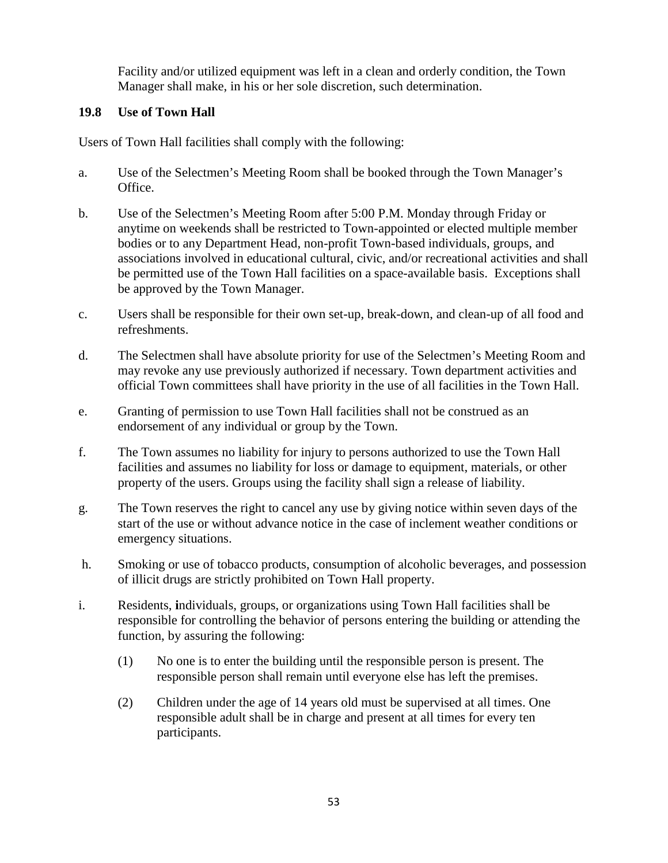Facility and/or utilized equipment was left in a clean and orderly condition, the Town Manager shall make, in his or her sole discretion, such determination.

## **19.8 Use of Town Hall**

Users of Town Hall facilities shall comply with the following:

- a. Use of the Selectmen's Meeting Room shall be booked through the Town Manager's Office.
- b. Use of the Selectmen's Meeting Room after 5:00 P.M. Monday through Friday or anytime on weekends shall be restricted to Town-appointed or elected multiple member bodies or to any Department Head, non-profit Town-based individuals, groups, and associations involved in educational cultural, civic, and/or recreational activities and shall be permitted use of the Town Hall facilities on a space-available basis. Exceptions shall be approved by the Town Manager.
- c. Users shall be responsible for their own set-up, break-down, and clean-up of all food and refreshments.
- d. The Selectmen shall have absolute priority for use of the Selectmen's Meeting Room and may revoke any use previously authorized if necessary. Town department activities and official Town committees shall have priority in the use of all facilities in the Town Hall.
- e. Granting of permission to use Town Hall facilities shall not be construed as an endorsement of any individual or group by the Town.
- f. The Town assumes no liability for injury to persons authorized to use the Town Hall facilities and assumes no liability for loss or damage to equipment, materials, or other property of the users. Groups using the facility shall sign a release of liability.
- g. The Town reserves the right to cancel any use by giving notice within seven days of the start of the use or without advance notice in the case of inclement weather conditions or emergency situations.
- h. Smoking or use of tobacco products, consumption of alcoholic beverages, and possession of illicit drugs are strictly prohibited on Town Hall property.
- i. Residents, **i**ndividuals, groups, or organizations using Town Hall facilities shall be responsible for controlling the behavior of persons entering the building or attending the function, by assuring the following:
	- (1) No one is to enter the building until the responsible person is present. The responsible person shall remain until everyone else has left the premises.
	- (2) Children under the age of 14 years old must be supervised at all times. One responsible adult shall be in charge and present at all times for every ten participants.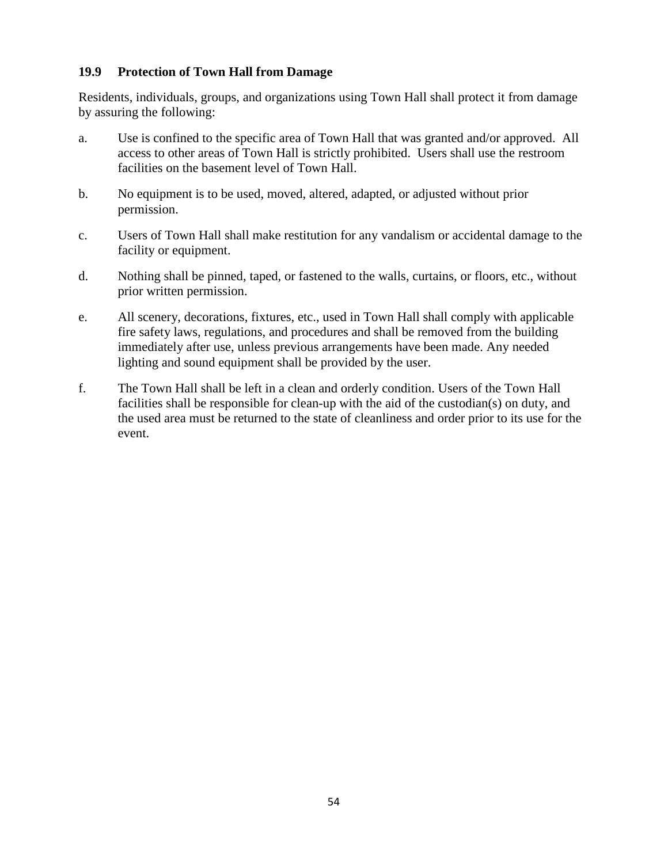## **19.9 Protection of Town Hall from Damage**

Residents, individuals, groups, and organizations using Town Hall shall protect it from damage by assuring the following:

- a. Use is confined to the specific area of Town Hall that was granted and/or approved. All access to other areas of Town Hall is strictly prohibited. Users shall use the restroom facilities on the basement level of Town Hall.
- b. No equipment is to be used, moved, altered, adapted, or adjusted without prior permission.
- c. Users of Town Hall shall make restitution for any vandalism or accidental damage to the facility or equipment.
- d. Nothing shall be pinned, taped, or fastened to the walls, curtains, or floors, etc., without prior written permission.
- e. All scenery, decorations, fixtures, etc., used in Town Hall shall comply with applicable fire safety laws, regulations, and procedures and shall be removed from the building immediately after use, unless previous arrangements have been made. Any needed lighting and sound equipment shall be provided by the user.
- f. The Town Hall shall be left in a clean and orderly condition. Users of the Town Hall facilities shall be responsible for clean-up with the aid of the custodian(s) on duty, and the used area must be returned to the state of cleanliness and order prior to its use for the event.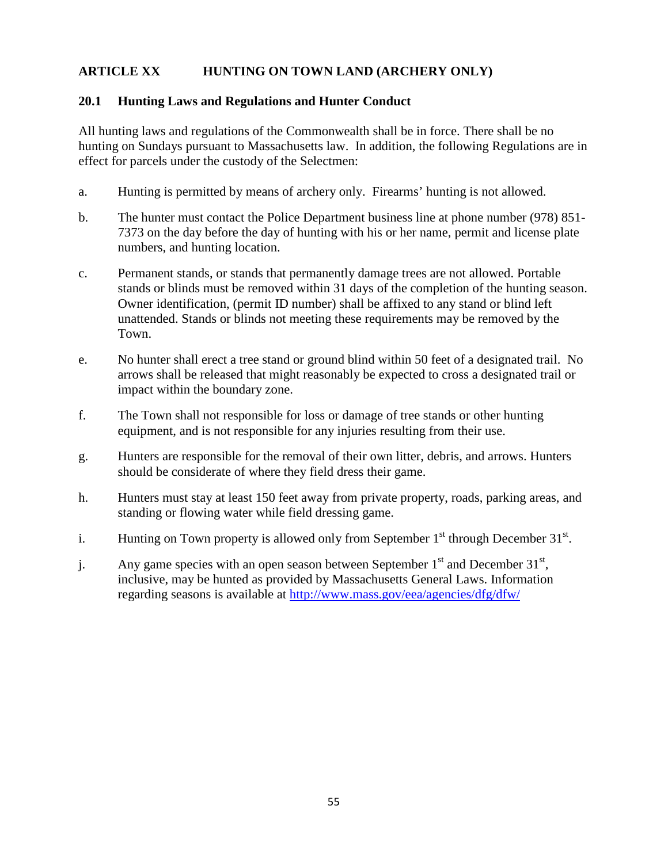## **ARTICLE XX HUNTING ON TOWN LAND (ARCHERY ONLY)**

#### **20.1 Hunting Laws and Regulations and Hunter Conduct**

All hunting laws and regulations of the Commonwealth shall be in force. There shall be no hunting on Sundays pursuant to Massachusetts law. In addition, the following Regulations are in effect for parcels under the custody of the Selectmen:

- a. Hunting is permitted by means of archery only. Firearms' hunting is not allowed.
- b. The hunter must contact the Police Department business line at phone number (978) 851- 7373 on the day before the day of hunting with his or her name, permit and license plate numbers, and hunting location.
- c. Permanent stands, or stands that permanently damage trees are not allowed. Portable stands or blinds must be removed within 31 days of the completion of the hunting season. Owner identification, (permit ID number) shall be affixed to any stand or blind left unattended. Stands or blinds not meeting these requirements may be removed by the Town.
- e. No hunter shall erect a tree stand or ground blind within 50 feet of a designated trail. No arrows shall be released that might reasonably be expected to cross a designated trail or impact within the boundary zone.
- f. The Town shall not responsible for loss or damage of tree stands or other hunting equipment, and is not responsible for any injuries resulting from their use.
- g. Hunters are responsible for the removal of their own litter, debris, and arrows. Hunters should be considerate of where they field dress their game.
- h. Hunters must stay at least 150 feet away from private property, roads, parking areas, and standing or flowing water while field dressing game.
- i. Hunting on Town property is allowed only from September  $1<sup>st</sup>$  through December  $31<sup>st</sup>$ .
- j. Any game species with an open season between September  $1<sup>st</sup>$  and December  $31<sup>st</sup>$ , inclusive, may be hunted as provided by Massachusetts General Laws. Information regarding seasons is available at<http://www.mass.gov/eea/agencies/dfg/dfw/>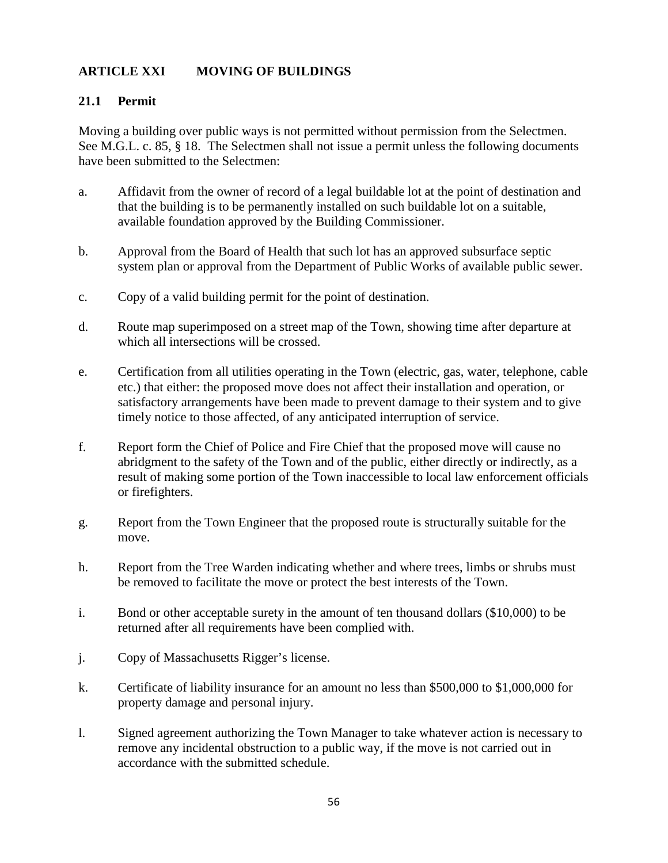# **ARTICLE XXI MOVING OF BUILDINGS**

#### **21.1 Permit**

Moving a building over public ways is not permitted without permission from the Selectmen. See M.G.L. c. 85, § 18. The Selectmen shall not issue a permit unless the following documents have been submitted to the Selectmen:

- a. Affidavit from the owner of record of a legal buildable lot at the point of destination and that the building is to be permanently installed on such buildable lot on a suitable, available foundation approved by the Building Commissioner.
- b. Approval from the Board of Health that such lot has an approved subsurface septic system plan or approval from the Department of Public Works of available public sewer.
- c. Copy of a valid building permit for the point of destination.
- d. Route map superimposed on a street map of the Town, showing time after departure at which all intersections will be crossed.
- e. Certification from all utilities operating in the Town (electric, gas, water, telephone, cable etc.) that either: the proposed move does not affect their installation and operation, or satisfactory arrangements have been made to prevent damage to their system and to give timely notice to those affected, of any anticipated interruption of service.
- f. Report form the Chief of Police and Fire Chief that the proposed move will cause no abridgment to the safety of the Town and of the public, either directly or indirectly, as a result of making some portion of the Town inaccessible to local law enforcement officials or firefighters.
- g. Report from the Town Engineer that the proposed route is structurally suitable for the move.
- h. Report from the Tree Warden indicating whether and where trees, limbs or shrubs must be removed to facilitate the move or protect the best interests of the Town.
- i. Bond or other acceptable surety in the amount of ten thousand dollars (\$10,000) to be returned after all requirements have been complied with.
- j. Copy of Massachusetts Rigger's license.
- k. Certificate of liability insurance for an amount no less than \$500,000 to \$1,000,000 for property damage and personal injury.
- l. Signed agreement authorizing the Town Manager to take whatever action is necessary to remove any incidental obstruction to a public way, if the move is not carried out in accordance with the submitted schedule.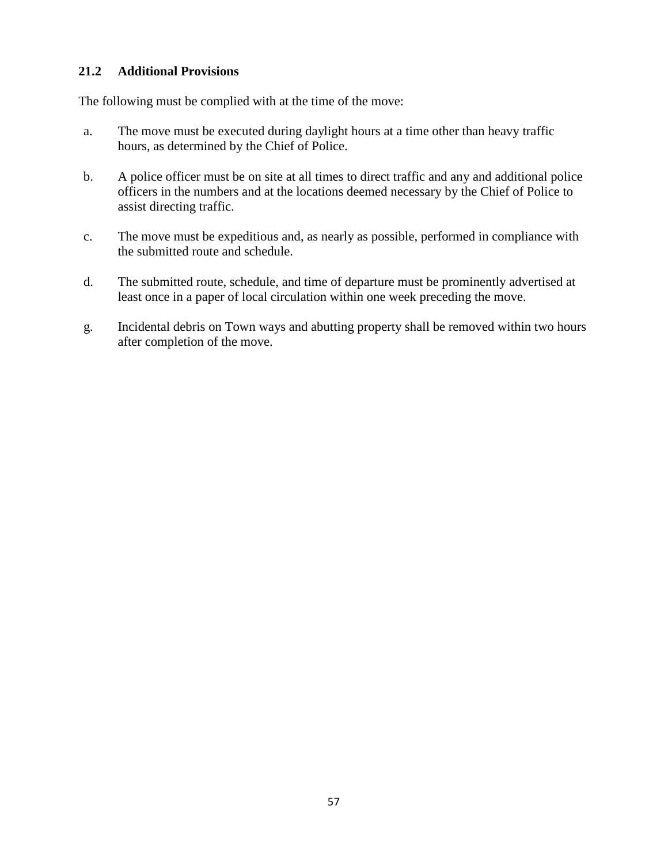#### **21.2 Additional Provisions**

The following must be complied with at the time of the move:

- a. The move must be executed during daylight hours at a time other than heavy traffic hours, as determined by the Chief of Police.
- b. A police officer must be on site at all times to direct traffic and any and additional police officers in the numbers and at the locations deemed necessary by the Chief of Police to assist directing traffic.
- c. The move must be expeditious and, as nearly as possible, performed in compliance with the submitted route and schedule.
- d. The submitted route, schedule, and time of departure must be prominently advertised at least once in a paper of local circulation within one week preceding the move.
- g. Incidental debris on Town ways and abutting property shall be removed within two hours after completion of the move.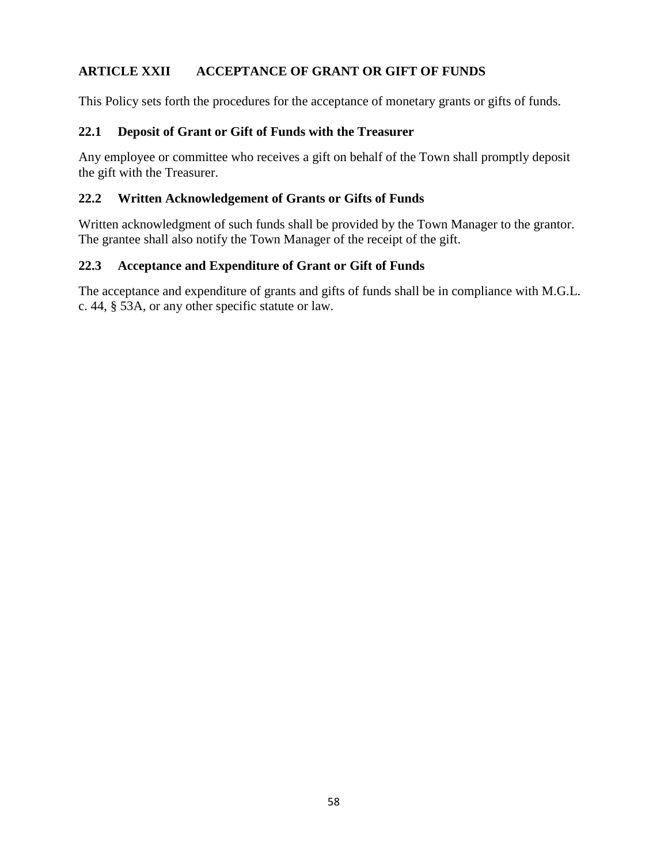# **ARTICLE XXII ACCEPTANCE OF GRANT OR GIFT OF FUNDS**

This Policy sets forth the procedures for the acceptance of monetary grants or gifts of funds.

#### **22.1 Deposit of Grant or Gift of Funds with the Treasurer**

Any employee or committee who receives a gift on behalf of the Town shall promptly deposit the gift with the Treasurer.

#### **22.2 Written Acknowledgement of Grants or Gifts of Funds**

Written acknowledgment of such funds shall be provided by the Town Manager to the grantor. The grantee shall also notify the Town Manager of the receipt of the gift.

#### **22.3 Acceptance and Expenditure of Grant or Gift of Funds**

The acceptance and expenditure of grants and gifts of funds shall be in compliance with M.G.L. c. 44, § 53A, or any other specific statute or law.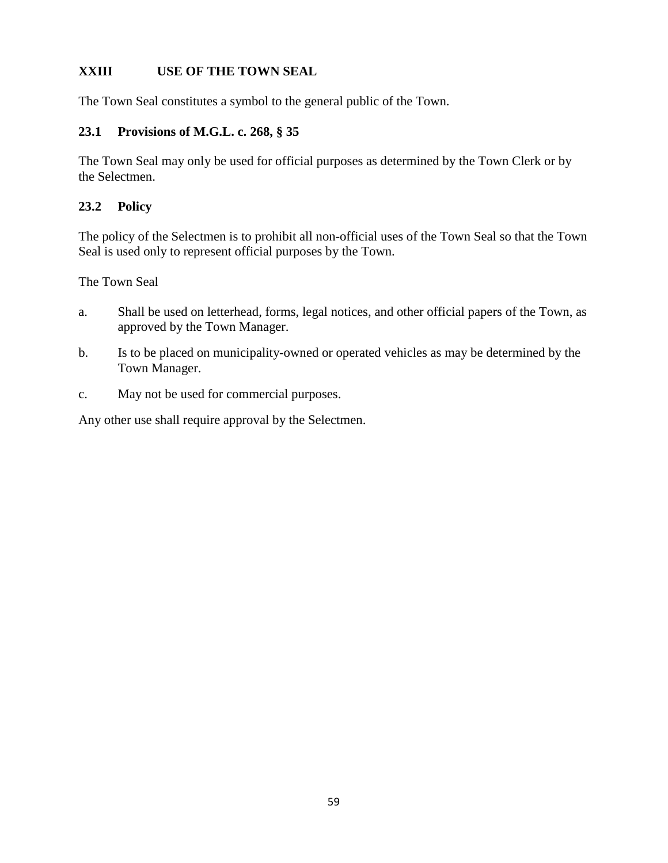# **XXIII USE OF THE TOWN SEAL**

The Town Seal constitutes a symbol to the general public of the Town.

#### **23.1 Provisions of M.G.L. c. 268, § 35**

The Town Seal may only be used for official purposes as determined by the Town Clerk or by the Selectmen.

#### **23.2 Policy**

The policy of the Selectmen is to prohibit all non-official uses of the Town Seal so that the Town Seal is used only to represent official purposes by the Town.

The Town Seal

- a. Shall be used on letterhead, forms, legal notices, and other official papers of the Town, as approved by the Town Manager.
- b. Is to be placed on municipality-owned or operated vehicles as may be determined by the Town Manager.
- c. May not be used for commercial purposes.

Any other use shall require approval by the Selectmen.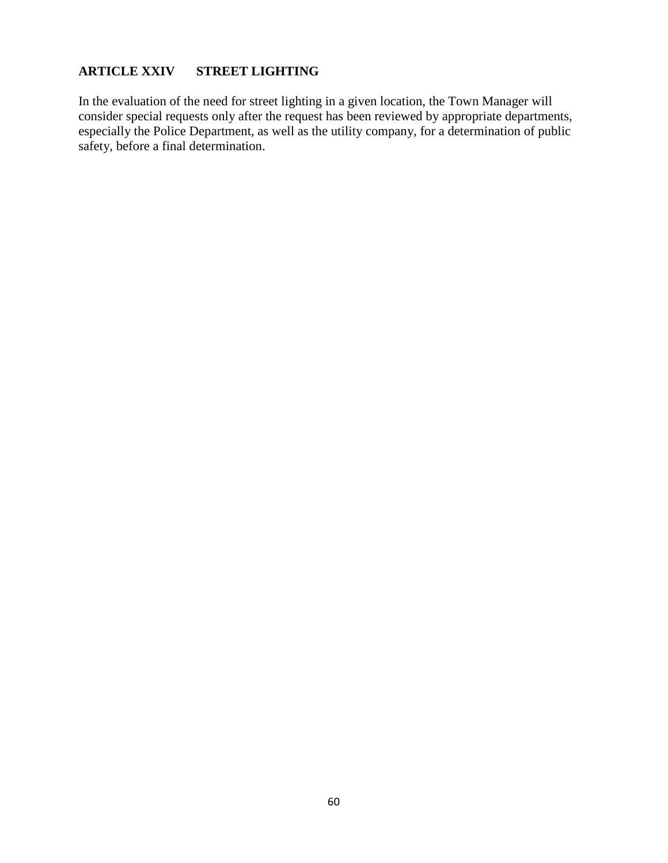# **ARTICLE XXIV STREET LIGHTING**

In the evaluation of the need for street lighting in a given location, the Town Manager will consider special requests only after the request has been reviewed by appropriate departments, especially the Police Department, as well as the utility company, for a determination of public safety, before a final determination.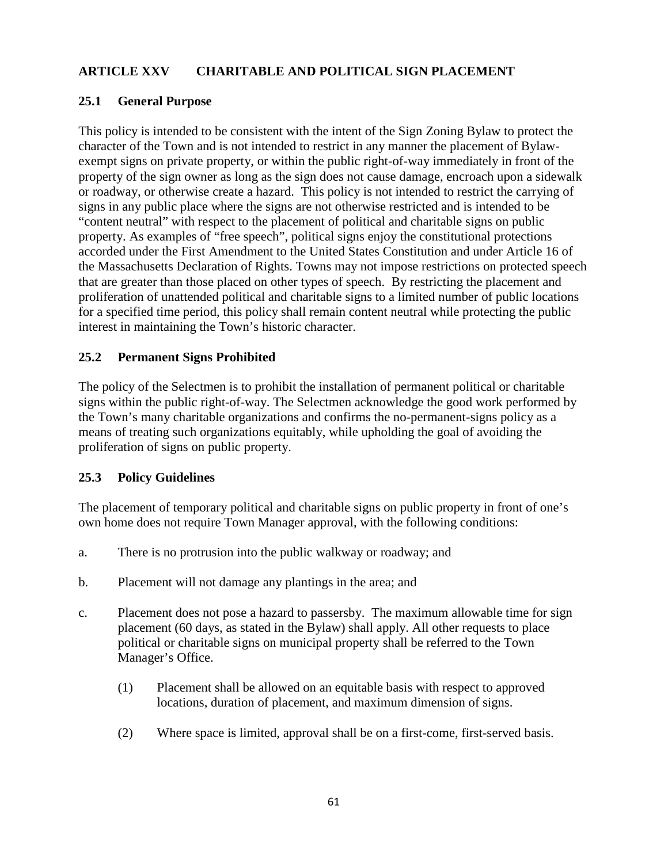# **ARTICLE XXV CHARITABLE AND POLITICAL SIGN PLACEMENT**

#### **25.1 General Purpose**

This policy is intended to be consistent with the intent of the Sign Zoning Bylaw to protect the character of the Town and is not intended to restrict in any manner the placement of Bylawexempt signs on private property, or within the public right-of-way immediately in front of the property of the sign owner as long as the sign does not cause damage, encroach upon a sidewalk or roadway, or otherwise create a hazard. This policy is not intended to restrict the carrying of signs in any public place where the signs are not otherwise restricted and is intended to be "content neutral" with respect to the placement of political and charitable signs on public property. As examples of "free speech", political signs enjoy the constitutional protections accorded under the First Amendment to the United States Constitution and under Article 16 of the Massachusetts Declaration of Rights. Towns may not impose restrictions on protected speech that are greater than those placed on other types of speech. By restricting the placement and proliferation of unattended political and charitable signs to a limited number of public locations for a specified time period, this policy shall remain content neutral while protecting the public interest in maintaining the Town's historic character.

#### **25.2 Permanent Signs Prohibited**

The policy of the Selectmen is to prohibit the installation of permanent political or charitable signs within the public right-of-way. The Selectmen acknowledge the good work performed by the Town's many charitable organizations and confirms the no-permanent-signs policy as a means of treating such organizations equitably, while upholding the goal of avoiding the proliferation of signs on public property.

#### **25.3 Policy Guidelines**

The placement of temporary political and charitable signs on public property in front of one's own home does not require Town Manager approval, with the following conditions:

- a. There is no protrusion into the public walkway or roadway; and
- b. Placement will not damage any plantings in the area; and
- c. Placement does not pose a hazard to passersby. The maximum allowable time for sign placement (60 days, as stated in the Bylaw) shall apply. All other requests to place political or charitable signs on municipal property shall be referred to the Town Manager's Office.
	- (1) Placement shall be allowed on an equitable basis with respect to approved locations, duration of placement, and maximum dimension of signs.
	- (2) Where space is limited, approval shall be on a first-come, first-served basis.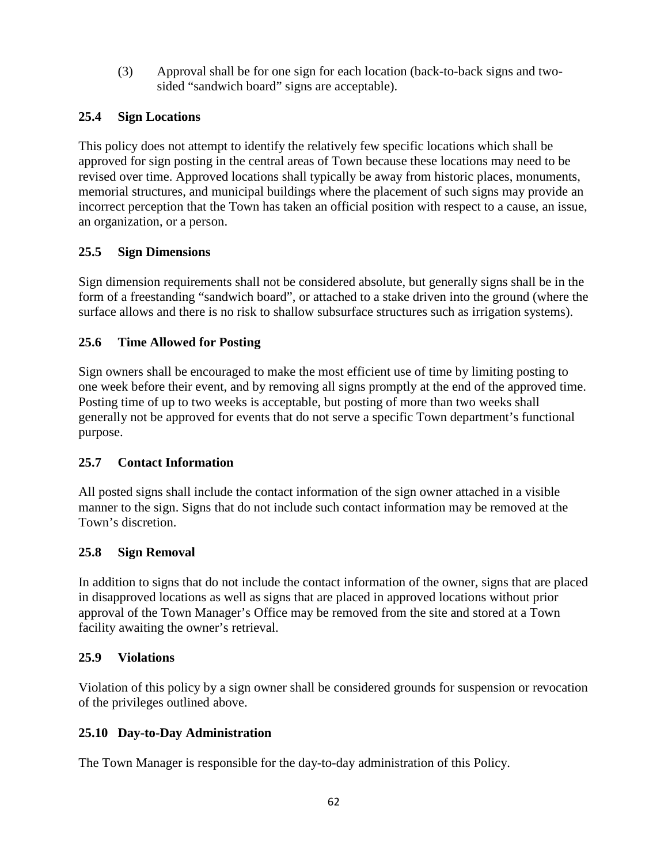(3) Approval shall be for one sign for each location (back-to-back signs and twosided "sandwich board" signs are acceptable).

# **25.4 Sign Locations**

This policy does not attempt to identify the relatively few specific locations which shall be approved for sign posting in the central areas of Town because these locations may need to be revised over time. Approved locations shall typically be away from historic places, monuments, memorial structures, and municipal buildings where the placement of such signs may provide an incorrect perception that the Town has taken an official position with respect to a cause, an issue, an organization, or a person.

## **25.5 Sign Dimensions**

Sign dimension requirements shall not be considered absolute, but generally signs shall be in the form of a freestanding "sandwich board", or attached to a stake driven into the ground (where the surface allows and there is no risk to shallow subsurface structures such as irrigation systems).

## **25.6 Time Allowed for Posting**

Sign owners shall be encouraged to make the most efficient use of time by limiting posting to one week before their event, and by removing all signs promptly at the end of the approved time. Posting time of up to two weeks is acceptable, but posting of more than two weeks shall generally not be approved for events that do not serve a specific Town department's functional purpose.

## **25.7 Contact Information**

All posted signs shall include the contact information of the sign owner attached in a visible manner to the sign. Signs that do not include such contact information may be removed at the Town's discretion.

## **25.8 Sign Removal**

In addition to signs that do not include the contact information of the owner, signs that are placed in disapproved locations as well as signs that are placed in approved locations without prior approval of the Town Manager's Office may be removed from the site and stored at a Town facility awaiting the owner's retrieval.

## **25.9 Violations**

Violation of this policy by a sign owner shall be considered grounds for suspension or revocation of the privileges outlined above.

# **25.10 Day-to-Day Administration**

The Town Manager is responsible for the day-to-day administration of this Policy.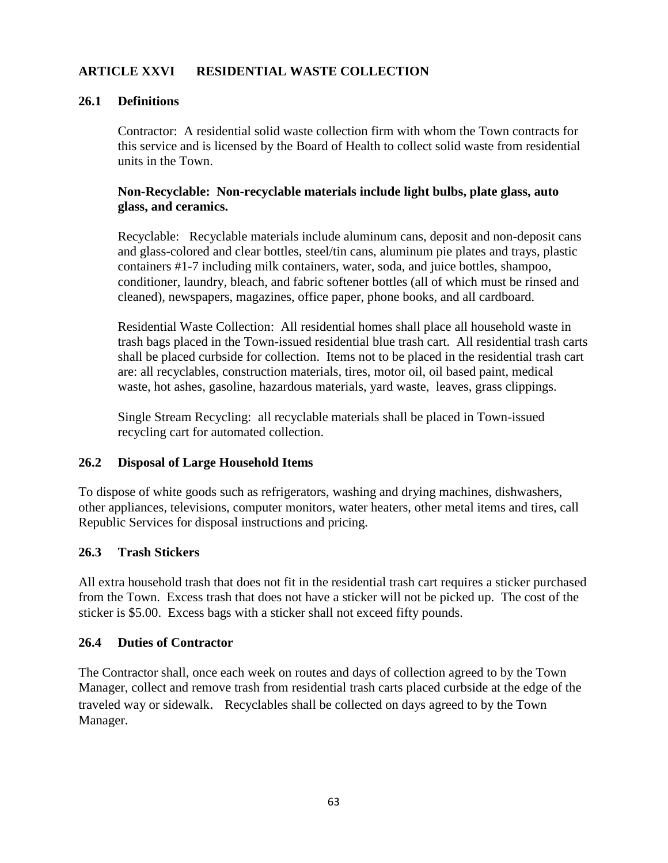## **ARTICLE XXVI RESIDENTIAL WASTE COLLECTION**

#### **26.1 Definitions**

Contractor: A residential solid waste collection firm with whom the Town contracts for this service and is licensed by the Board of Health to collect solid waste from residential units in the Town.

#### **Non-Recyclable: Non-recyclable materials include light bulbs, plate glass, auto glass, and ceramics.**

Recyclable: Recyclable materials include aluminum cans, deposit and non-deposit cans and glass-colored and clear bottles, steel/tin cans, aluminum pie plates and trays, plastic containers #1-7 including milk containers, water, soda, and juice bottles, shampoo, conditioner, laundry, bleach, and fabric softener bottles (all of which must be rinsed and cleaned), newspapers, magazines, office paper, phone books, and all cardboard.

Residential Waste Collection: All residential homes shall place all household waste in trash bags placed in the Town-issued residential blue trash cart. All residential trash carts shall be placed curbside for collection. Items not to be placed in the residential trash cart are: all recyclables, construction materials, tires, motor oil, oil based paint, medical waste, hot ashes, gasoline, hazardous materials, yard waste, leaves, grass clippings.

Single Stream Recycling: all recyclable materials shall be placed in Town-issued recycling cart for automated collection.

#### **26.2 Disposal of Large Household Items**

To dispose of white goods such as refrigerators, washing and drying machines, dishwashers, other appliances, televisions, computer monitors, water heaters, other metal items and tires, call Republic Services for disposal instructions and pricing.

#### **26.3 Trash Stickers**

All extra household trash that does not fit in the residential trash cart requires a sticker purchased from the Town. Excess trash that does not have a sticker will not be picked up. The cost of the sticker is \$5.00. Excess bags with a sticker shall not exceed fifty pounds.

#### **26.4 Duties of Contractor**

The Contractor shall, once each week on routes and days of collection agreed to by the Town Manager, collect and remove trash from residential trash carts placed curbside at the edge of the traveled way or sidewalk.Recyclables shall be collected on days agreed to by the Town Manager.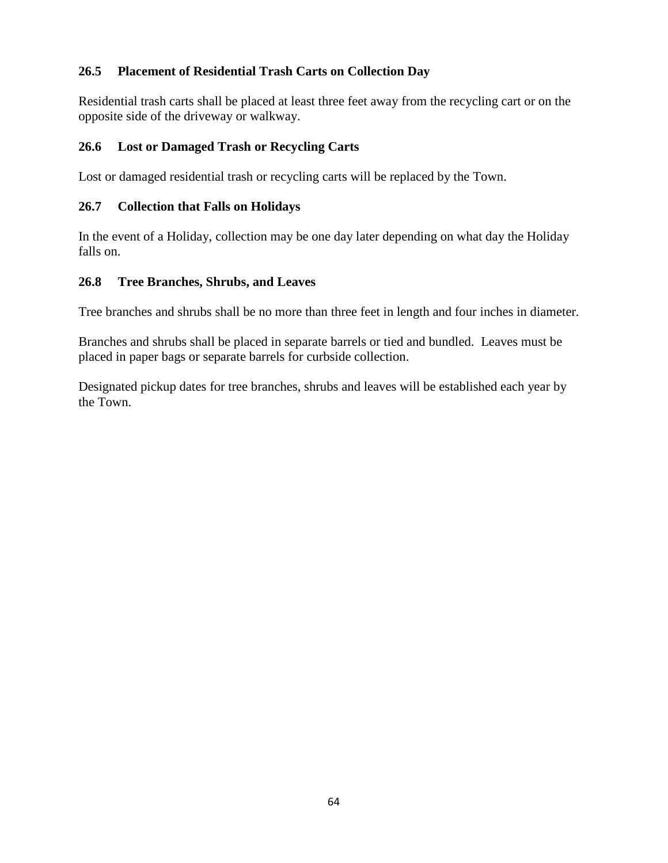## **26.5 Placement of Residential Trash Carts on Collection Day**

Residential trash carts shall be placed at least three feet away from the recycling cart or on the opposite side of the driveway or walkway.

## **26.6 Lost or Damaged Trash or Recycling Carts**

Lost or damaged residential trash or recycling carts will be replaced by the Town.

## **26.7 Collection that Falls on Holidays**

In the event of a Holiday, collection may be one day later depending on what day the Holiday falls on.

## **26.8 Tree Branches, Shrubs, and Leaves**

Tree branches and shrubs shall be no more than three feet in length and four inches in diameter.

Branches and shrubs shall be placed in separate barrels or tied and bundled. Leaves must be placed in paper bags or separate barrels for curbside collection.

Designated pickup dates for tree branches, shrubs and leaves will be established each year by the Town.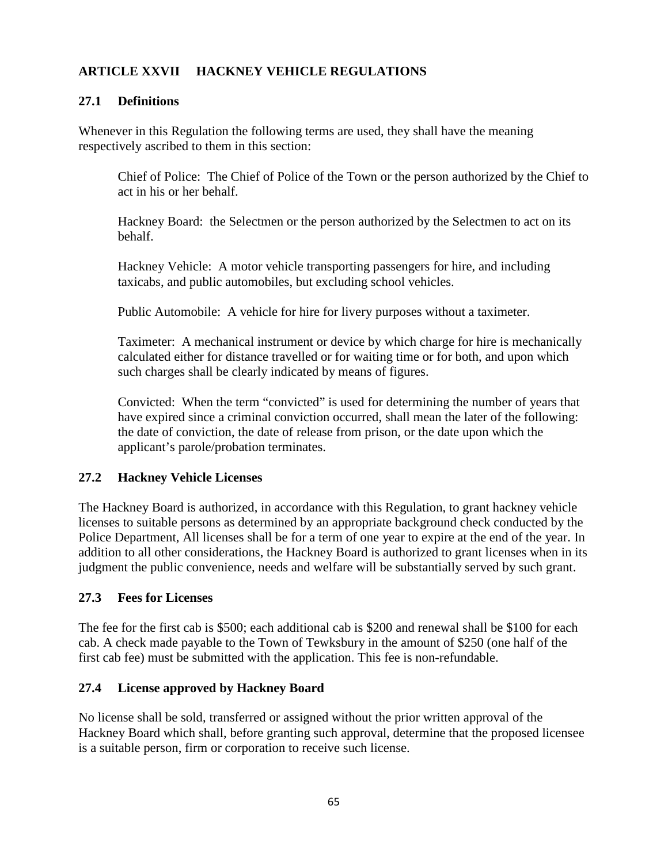# **ARTICLE XXVII HACKNEY VEHICLE REGULATIONS**

#### **27.1 Definitions**

Whenever in this Regulation the following terms are used, they shall have the meaning respectively ascribed to them in this section:

Chief of Police: The Chief of Police of the Town or the person authorized by the Chief to act in his or her behalf.

Hackney Board: the Selectmen or the person authorized by the Selectmen to act on its behalf.

Hackney Vehicle: A motor vehicle transporting passengers for hire, and including taxicabs, and public automobiles, but excluding school vehicles.

Public Automobile: A vehicle for hire for livery purposes without a taximeter.

Taximeter: A mechanical instrument or device by which charge for hire is mechanically calculated either for distance travelled or for waiting time or for both, and upon which such charges shall be clearly indicated by means of figures.

Convicted: When the term "convicted" is used for determining the number of years that have expired since a criminal conviction occurred, shall mean the later of the following: the date of conviction, the date of release from prison, or the date upon which the applicant's parole/probation terminates.

#### **27.2 Hackney Vehicle Licenses**

The Hackney Board is authorized, in accordance with this Regulation, to grant hackney vehicle licenses to suitable persons as determined by an appropriate background check conducted by the Police Department, All licenses shall be for a term of one year to expire at the end of the year. In addition to all other considerations, the Hackney Board is authorized to grant licenses when in its judgment the public convenience, needs and welfare will be substantially served by such grant.

#### **27.3 Fees for Licenses**

The fee for the first cab is \$500; each additional cab is \$200 and renewal shall be \$100 for each cab. A check made payable to the Town of Tewksbury in the amount of \$250 (one half of the first cab fee) must be submitted with the application. This fee is non-refundable.

#### **27.4 License approved by Hackney Board**

No license shall be sold, transferred or assigned without the prior written approval of the Hackney Board which shall, before granting such approval, determine that the proposed licensee is a suitable person, firm or corporation to receive such license.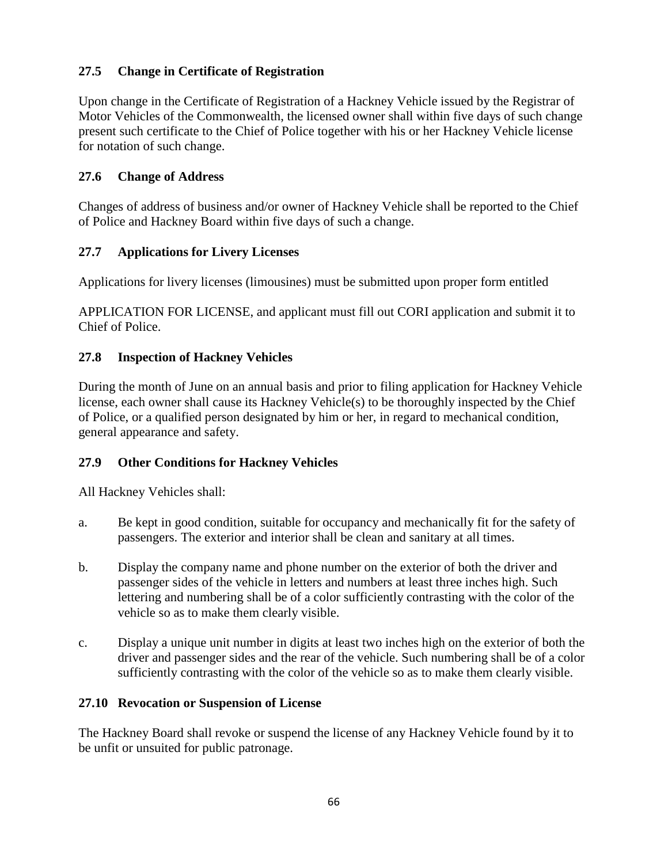# **27.5 Change in Certificate of Registration**

Upon change in the Certificate of Registration of a Hackney Vehicle issued by the Registrar of Motor Vehicles of the Commonwealth, the licensed owner shall within five days of such change present such certificate to the Chief of Police together with his or her Hackney Vehicle license for notation of such change.

## **27.6 Change of Address**

Changes of address of business and/or owner of Hackney Vehicle shall be reported to the Chief of Police and Hackney Board within five days of such a change.

## **27.7 Applications for Livery Licenses**

Applications for livery licenses (limousines) must be submitted upon proper form entitled

APPLICATION FOR LICENSE, and applicant must fill out CORI application and submit it to Chief of Police.

## **27.8 Inspection of Hackney Vehicles**

During the month of June on an annual basis and prior to filing application for Hackney Vehicle license, each owner shall cause its Hackney Vehicle(s) to be thoroughly inspected by the Chief of Police, or a qualified person designated by him or her, in regard to mechanical condition, general appearance and safety.

## **27.9 Other Conditions for Hackney Vehicles**

All Hackney Vehicles shall:

- a. Be kept in good condition, suitable for occupancy and mechanically fit for the safety of passengers. The exterior and interior shall be clean and sanitary at all times.
- b. Display the company name and phone number on the exterior of both the driver and passenger sides of the vehicle in letters and numbers at least three inches high. Such lettering and numbering shall be of a color sufficiently contrasting with the color of the vehicle so as to make them clearly visible.
- c. Display a unique unit number in digits at least two inches high on the exterior of both the driver and passenger sides and the rear of the vehicle. Such numbering shall be of a color sufficiently contrasting with the color of the vehicle so as to make them clearly visible.

## **27.10 Revocation or Suspension of License**

The Hackney Board shall revoke or suspend the license of any Hackney Vehicle found by it to be unfit or unsuited for public patronage.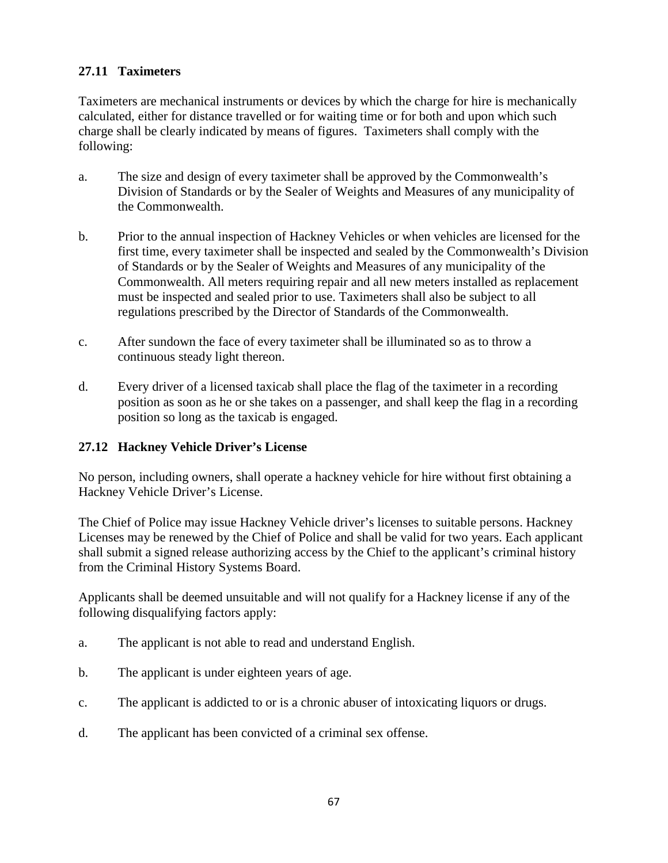# **27.11 Taximeters**

Taximeters are mechanical instruments or devices by which the charge for hire is mechanically calculated, either for distance travelled or for waiting time or for both and upon which such charge shall be clearly indicated by means of figures. Taximeters shall comply with the following:

- a. The size and design of every taximeter shall be approved by the Commonwealth's Division of Standards or by the Sealer of Weights and Measures of any municipality of the Commonwealth.
- b. Prior to the annual inspection of Hackney Vehicles or when vehicles are licensed for the first time, every taximeter shall be inspected and sealed by the Commonwealth's Division of Standards or by the Sealer of Weights and Measures of any municipality of the Commonwealth. All meters requiring repair and all new meters installed as replacement must be inspected and sealed prior to use. Taximeters shall also be subject to all regulations prescribed by the Director of Standards of the Commonwealth.
- c. After sundown the face of every taximeter shall be illuminated so as to throw a continuous steady light thereon.
- d. Every driver of a licensed taxicab shall place the flag of the taximeter in a recording position as soon as he or she takes on a passenger, and shall keep the flag in a recording position so long as the taxicab is engaged.

# **27.12 Hackney Vehicle Driver's License**

No person, including owners, shall operate a hackney vehicle for hire without first obtaining a Hackney Vehicle Driver's License.

The Chief of Police may issue Hackney Vehicle driver's licenses to suitable persons. Hackney Licenses may be renewed by the Chief of Police and shall be valid for two years. Each applicant shall submit a signed release authorizing access by the Chief to the applicant's criminal history from the Criminal History Systems Board.

Applicants shall be deemed unsuitable and will not qualify for a Hackney license if any of the following disqualifying factors apply:

- a. The applicant is not able to read and understand English.
- b. The applicant is under eighteen years of age.
- c. The applicant is addicted to or is a chronic abuser of intoxicating liquors or drugs.
- d. The applicant has been convicted of a criminal sex offense.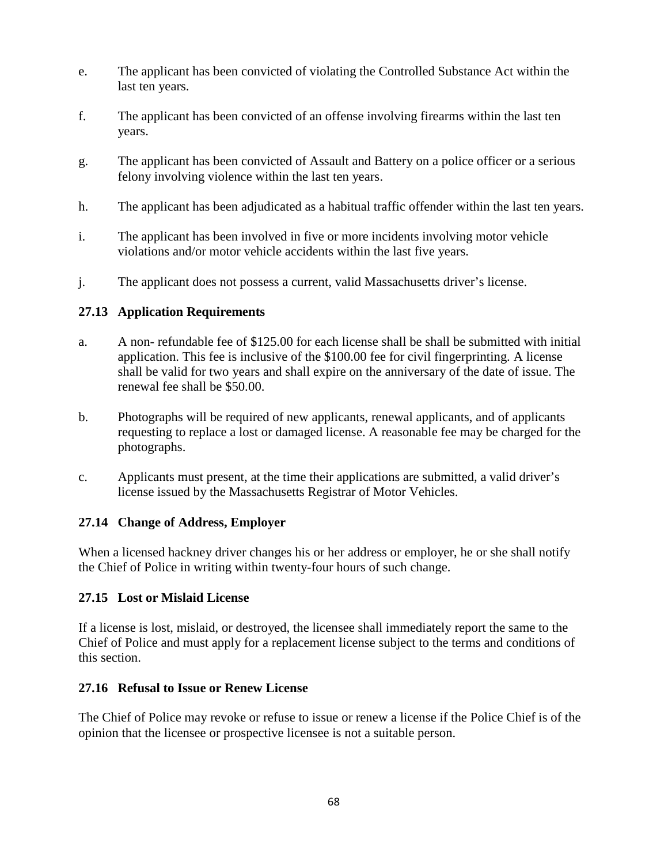- e. The applicant has been convicted of violating the Controlled Substance Act within the last ten years.
- f. The applicant has been convicted of an offense involving firearms within the last ten years.
- g. The applicant has been convicted of Assault and Battery on a police officer or a serious felony involving violence within the last ten years.
- h. The applicant has been adjudicated as a habitual traffic offender within the last ten years.
- i. The applicant has been involved in five or more incidents involving motor vehicle violations and/or motor vehicle accidents within the last five years.
- j. The applicant does not possess a current, valid Massachusetts driver's license.

## **27.13 Application Requirements**

- a. A non- refundable fee of \$125.00 for each license shall be shall be submitted with initial application. This fee is inclusive of the \$100.00 fee for civil fingerprinting. A license shall be valid for two years and shall expire on the anniversary of the date of issue. The renewal fee shall be \$50.00.
- b. Photographs will be required of new applicants, renewal applicants, and of applicants requesting to replace a lost or damaged license. A reasonable fee may be charged for the photographs.
- c. Applicants must present, at the time their applications are submitted, a valid driver's license issued by the Massachusetts Registrar of Motor Vehicles.

## **27.14 Change of Address, Employer**

When a licensed hackney driver changes his or her address or employer, he or she shall notify the Chief of Police in writing within twenty-four hours of such change.

## **27.15 Lost or Mislaid License**

If a license is lost, mislaid, or destroyed, the licensee shall immediately report the same to the Chief of Police and must apply for a replacement license subject to the terms and conditions of this section.

## **27.16 Refusal to Issue or Renew License**

The Chief of Police may revoke or refuse to issue or renew a license if the Police Chief is of the opinion that the licensee or prospective licensee is not a suitable person.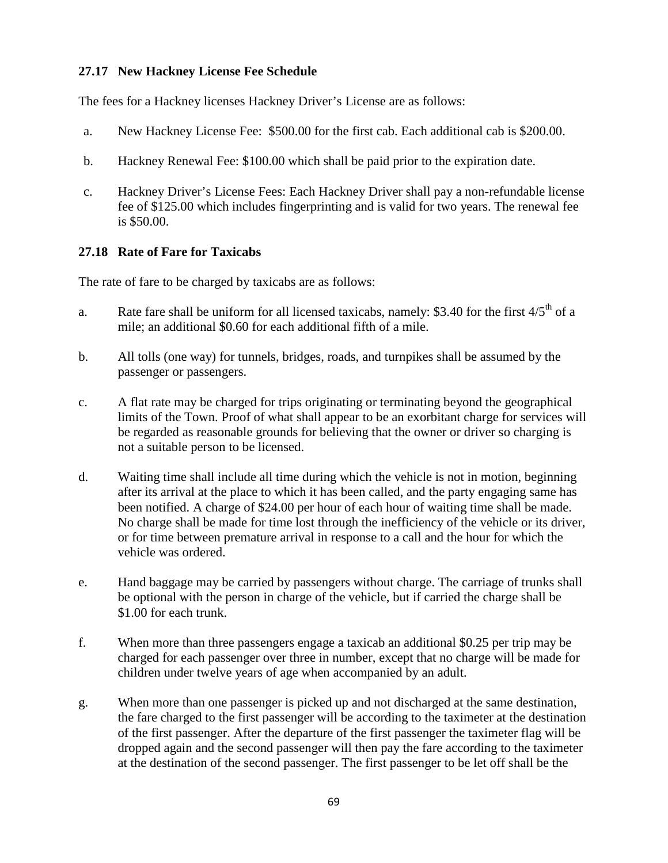## **27.17 New Hackney License Fee Schedule**

The fees for a Hackney licenses Hackney Driver's License are as follows:

- a. New Hackney License Fee: \$500.00 for the first cab. Each additional cab is \$200.00.
- b. Hackney Renewal Fee: \$100.00 which shall be paid prior to the expiration date.
- c. Hackney Driver's License Fees: Each Hackney Driver shall pay a non-refundable license fee of \$125.00 which includes fingerprinting and is valid for two years. The renewal fee is \$50.00.

#### **27.18 Rate of Fare for Taxicabs**

The rate of fare to be charged by taxicabs are as follows:

- a. Rate fare shall be uniform for all licensed taxicabs, namely: \$3.40 for the first  $4/5<sup>th</sup>$  of a mile; an additional \$0.60 for each additional fifth of a mile.
- b. All tolls (one way) for tunnels, bridges, roads, and turnpikes shall be assumed by the passenger or passengers.
- c. A flat rate may be charged for trips originating or terminating beyond the geographical limits of the Town. Proof of what shall appear to be an exorbitant charge for services will be regarded as reasonable grounds for believing that the owner or driver so charging is not a suitable person to be licensed.
- d. Waiting time shall include all time during which the vehicle is not in motion, beginning after its arrival at the place to which it has been called, and the party engaging same has been notified. A charge of \$24.00 per hour of each hour of waiting time shall be made. No charge shall be made for time lost through the inefficiency of the vehicle or its driver, or for time between premature arrival in response to a call and the hour for which the vehicle was ordered.
- e. Hand baggage may be carried by passengers without charge. The carriage of trunks shall be optional with the person in charge of the vehicle, but if carried the charge shall be \$1.00 for each trunk.
- f. When more than three passengers engage a taxicab an additional \$0.25 per trip may be charged for each passenger over three in number, except that no charge will be made for children under twelve years of age when accompanied by an adult.
- g. When more than one passenger is picked up and not discharged at the same destination, the fare charged to the first passenger will be according to the taximeter at the destination of the first passenger. After the departure of the first passenger the taximeter flag will be dropped again and the second passenger will then pay the fare according to the taximeter at the destination of the second passenger. The first passenger to be let off shall be the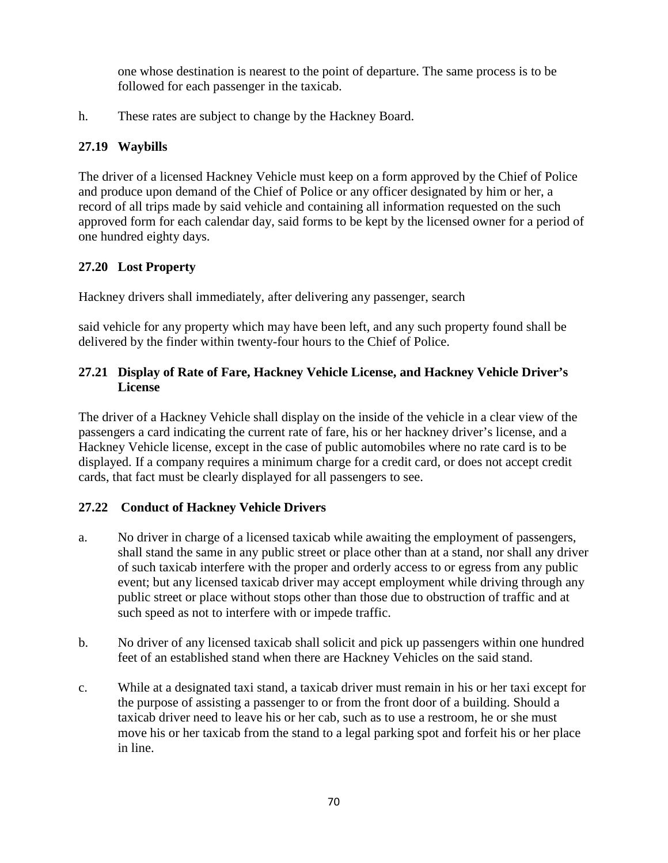one whose destination is nearest to the point of departure. The same process is to be followed for each passenger in the taxicab.

h. These rates are subject to change by the Hackney Board.

# **27.19 Waybills**

The driver of a licensed Hackney Vehicle must keep on a form approved by the Chief of Police and produce upon demand of the Chief of Police or any officer designated by him or her, a record of all trips made by said vehicle and containing all information requested on the such approved form for each calendar day, said forms to be kept by the licensed owner for a period of one hundred eighty days.

# **27.20 Lost Property**

Hackney drivers shall immediately, after delivering any passenger, search

said vehicle for any property which may have been left, and any such property found shall be delivered by the finder within twenty-four hours to the Chief of Police.

## **27.21 Display of Rate of Fare, Hackney Vehicle License, and Hackney Vehicle Driver's License**

The driver of a Hackney Vehicle shall display on the inside of the vehicle in a clear view of the passengers a card indicating the current rate of fare, his or her hackney driver's license, and a Hackney Vehicle license, except in the case of public automobiles where no rate card is to be displayed. If a company requires a minimum charge for a credit card, or does not accept credit cards, that fact must be clearly displayed for all passengers to see.

# **27.22 Conduct of Hackney Vehicle Drivers**

- a. No driver in charge of a licensed taxicab while awaiting the employment of passengers, shall stand the same in any public street or place other than at a stand, nor shall any driver of such taxicab interfere with the proper and orderly access to or egress from any public event; but any licensed taxicab driver may accept employment while driving through any public street or place without stops other than those due to obstruction of traffic and at such speed as not to interfere with or impede traffic.
- b. No driver of any licensed taxicab shall solicit and pick up passengers within one hundred feet of an established stand when there are Hackney Vehicles on the said stand.
- c. While at a designated taxi stand, a taxicab driver must remain in his or her taxi except for the purpose of assisting a passenger to or from the front door of a building. Should a taxicab driver need to leave his or her cab, such as to use a restroom, he or she must move his or her taxicab from the stand to a legal parking spot and forfeit his or her place in line.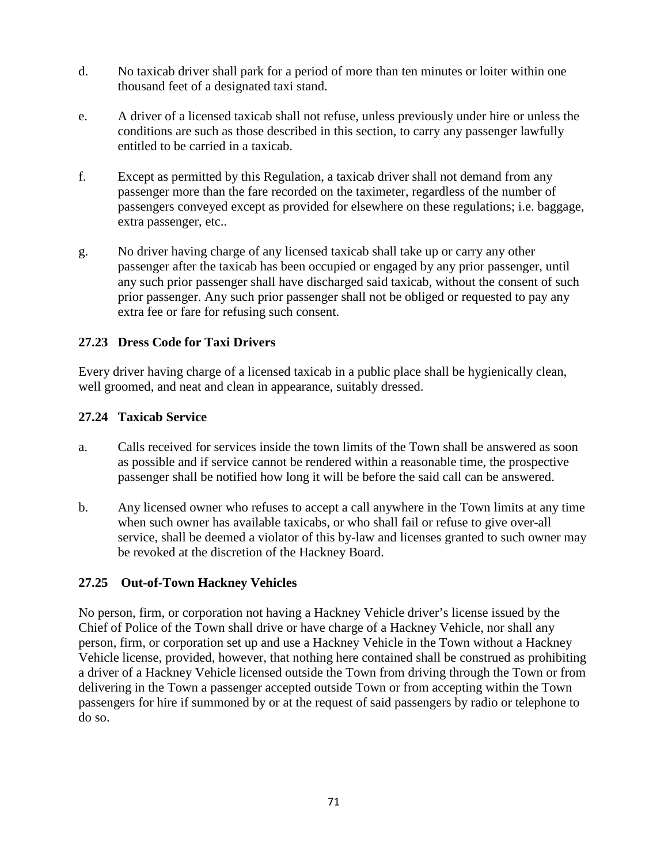- d. No taxicab driver shall park for a period of more than ten minutes or loiter within one thousand feet of a designated taxi stand.
- e. A driver of a licensed taxicab shall not refuse, unless previously under hire or unless the conditions are such as those described in this section, to carry any passenger lawfully entitled to be carried in a taxicab.
- f. Except as permitted by this Regulation, a taxicab driver shall not demand from any passenger more than the fare recorded on the taximeter, regardless of the number of passengers conveyed except as provided for elsewhere on these regulations; i.e. baggage, extra passenger, etc..
- g. No driver having charge of any licensed taxicab shall take up or carry any other passenger after the taxicab has been occupied or engaged by any prior passenger, until any such prior passenger shall have discharged said taxicab, without the consent of such prior passenger. Any such prior passenger shall not be obliged or requested to pay any extra fee or fare for refusing such consent.

## **27.23 Dress Code for Taxi Drivers**

Every driver having charge of a licensed taxicab in a public place shall be hygienically clean, well groomed, and neat and clean in appearance, suitably dressed.

## **27.24 Taxicab Service**

- a. Calls received for services inside the town limits of the Town shall be answered as soon as possible and if service cannot be rendered within a reasonable time, the prospective passenger shall be notified how long it will be before the said call can be answered.
- b. Any licensed owner who refuses to accept a call anywhere in the Town limits at any time when such owner has available taxicabs, or who shall fail or refuse to give over-all service, shall be deemed a violator of this by-law and licenses granted to such owner may be revoked at the discretion of the Hackney Board.

## **27.25 Out-of-Town Hackney Vehicles**

No person, firm, or corporation not having a Hackney Vehicle driver's license issued by the Chief of Police of the Town shall drive or have charge of a Hackney Vehicle, nor shall any person, firm, or corporation set up and use a Hackney Vehicle in the Town without a Hackney Vehicle license, provided, however, that nothing here contained shall be construed as prohibiting a driver of a Hackney Vehicle licensed outside the Town from driving through the Town or from delivering in the Town a passenger accepted outside Town or from accepting within the Town passengers for hire if summoned by or at the request of said passengers by radio or telephone to do so.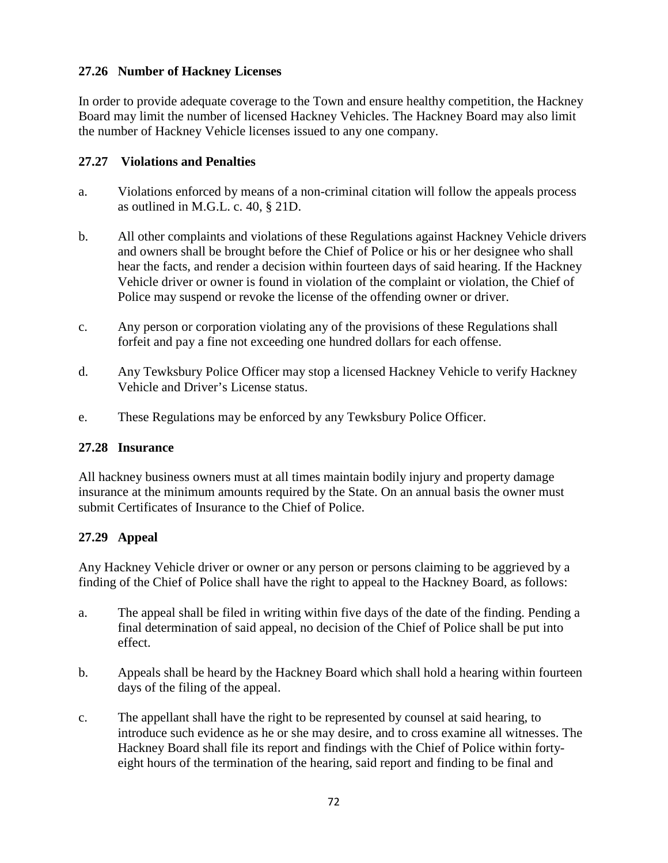## **27.26 Number of Hackney Licenses**

In order to provide adequate coverage to the Town and ensure healthy competition, the Hackney Board may limit the number of licensed Hackney Vehicles. The Hackney Board may also limit the number of Hackney Vehicle licenses issued to any one company.

## **27.27 Violations and Penalties**

- a. Violations enforced by means of a non-criminal citation will follow the appeals process as outlined in M.G.L. c. 40, § 21D.
- b. All other complaints and violations of these Regulations against Hackney Vehicle drivers and owners shall be brought before the Chief of Police or his or her designee who shall hear the facts, and render a decision within fourteen days of said hearing. If the Hackney Vehicle driver or owner is found in violation of the complaint or violation, the Chief of Police may suspend or revoke the license of the offending owner or driver.
- c. Any person or corporation violating any of the provisions of these Regulations shall forfeit and pay a fine not exceeding one hundred dollars for each offense.
- d. Any Tewksbury Police Officer may stop a licensed Hackney Vehicle to verify Hackney Vehicle and Driver's License status.
- e. These Regulations may be enforced by any Tewksbury Police Officer.

## **27.28 Insurance**

All hackney business owners must at all times maintain bodily injury and property damage insurance at the minimum amounts required by the State. On an annual basis the owner must submit Certificates of Insurance to the Chief of Police.

# **27.29 Appeal**

Any Hackney Vehicle driver or owner or any person or persons claiming to be aggrieved by a finding of the Chief of Police shall have the right to appeal to the Hackney Board, as follows:

- a. The appeal shall be filed in writing within five days of the date of the finding. Pending a final determination of said appeal, no decision of the Chief of Police shall be put into effect.
- b. Appeals shall be heard by the Hackney Board which shall hold a hearing within fourteen days of the filing of the appeal.
- c. The appellant shall have the right to be represented by counsel at said hearing, to introduce such evidence as he or she may desire, and to cross examine all witnesses. The Hackney Board shall file its report and findings with the Chief of Police within fortyeight hours of the termination of the hearing, said report and finding to be final and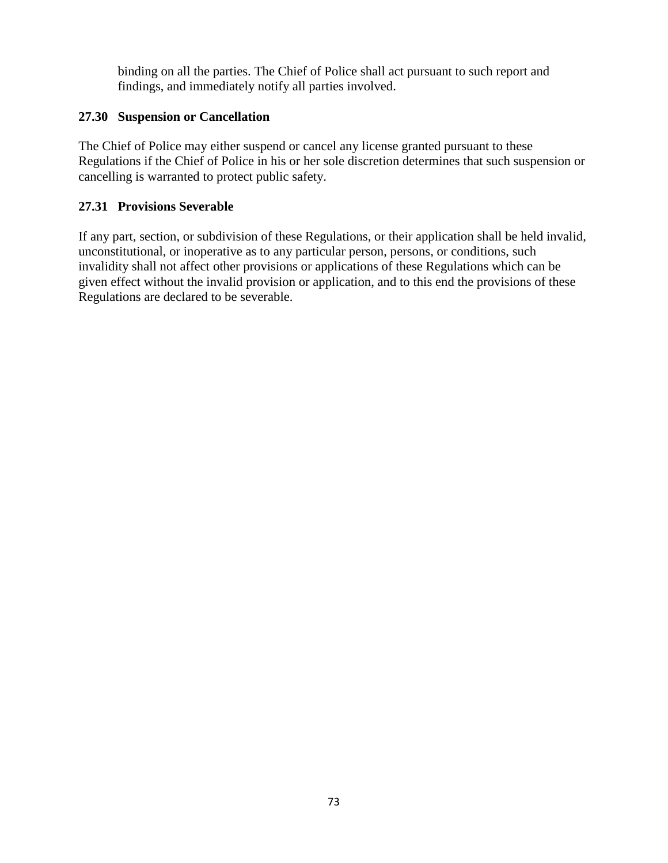binding on all the parties. The Chief of Police shall act pursuant to such report and findings, and immediately notify all parties involved.

## **27.30 Suspension or Cancellation**

The Chief of Police may either suspend or cancel any license granted pursuant to these Regulations if the Chief of Police in his or her sole discretion determines that such suspension or cancelling is warranted to protect public safety.

### **27.31 Provisions Severable**

If any part, section, or subdivision of these Regulations, or their application shall be held invalid, unconstitutional, or inoperative as to any particular person, persons, or conditions, such invalidity shall not affect other provisions or applications of these Regulations which can be given effect without the invalid provision or application, and to this end the provisions of these Regulations are declared to be severable.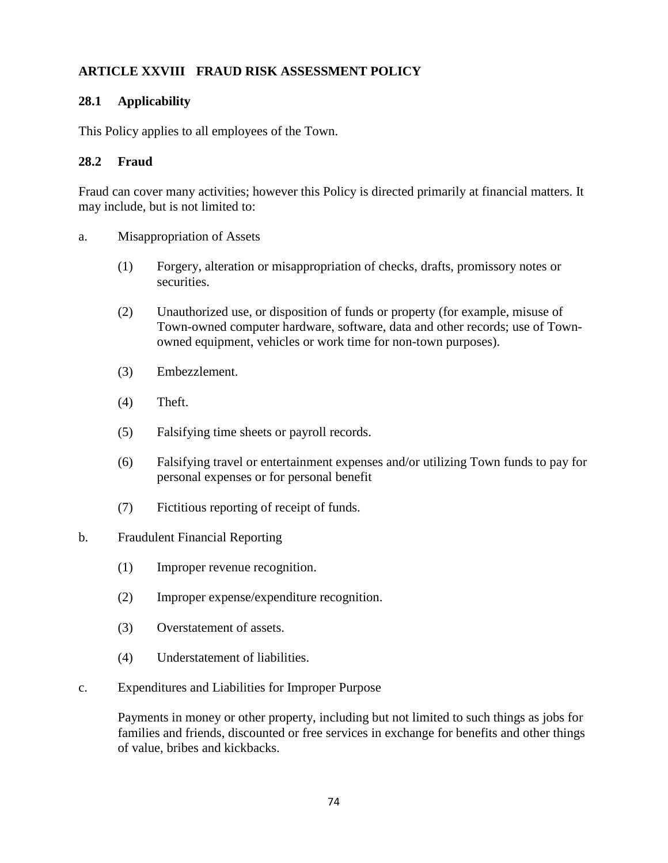# **ARTICLE XXVIII FRAUD RISK ASSESSMENT POLICY**

#### **28.1 Applicability**

This Policy applies to all employees of the Town.

#### **28.2 Fraud**

Fraud can cover many activities; however this Policy is directed primarily at financial matters. It may include, but is not limited to:

- a. Misappropriation of Assets
	- (1) Forgery, alteration or misappropriation of checks, drafts, promissory notes or securities.
	- (2) Unauthorized use, or disposition of funds or property (for example, misuse of Town-owned computer hardware, software, data and other records; use of Townowned equipment, vehicles or work time for non-town purposes).
	- (3) Embezzlement.
	- (4) Theft.
	- (5) Falsifying time sheets or payroll records.
	- (6) Falsifying travel or entertainment expenses and/or utilizing Town funds to pay for personal expenses or for personal benefit
	- (7) Fictitious reporting of receipt of funds.

#### b. Fraudulent Financial Reporting

- (1) Improper revenue recognition.
- (2) Improper expense/expenditure recognition.
- (3) Overstatement of assets.
- (4) Understatement of liabilities.
- c. Expenditures and Liabilities for Improper Purpose

Payments in money or other property, including but not limited to such things as jobs for families and friends, discounted or free services in exchange for benefits and other things of value, bribes and kickbacks.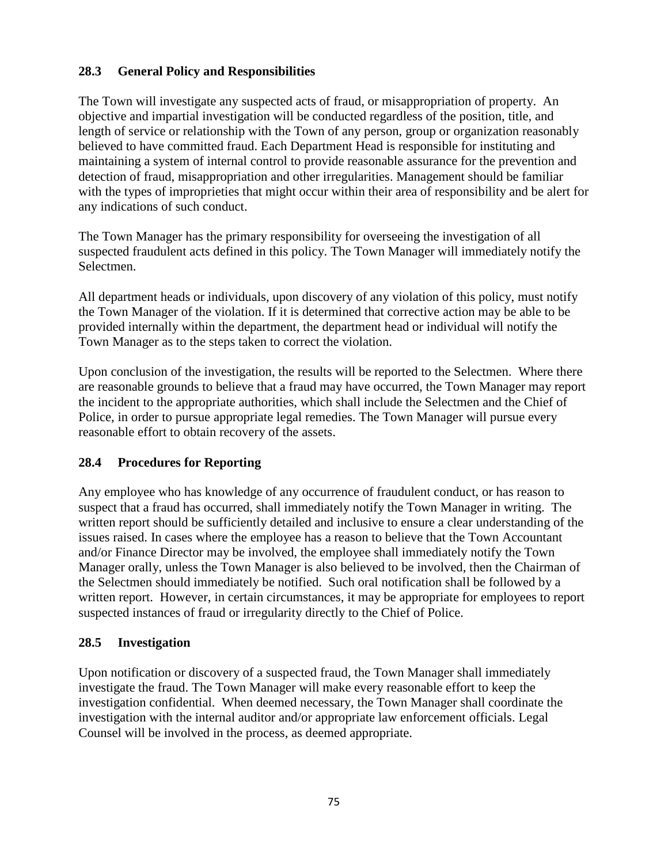## **28.3 General Policy and Responsibilities**

The Town will investigate any suspected acts of fraud, or misappropriation of property. An objective and impartial investigation will be conducted regardless of the position, title, and length of service or relationship with the Town of any person, group or organization reasonably believed to have committed fraud. Each Department Head is responsible for instituting and maintaining a system of internal control to provide reasonable assurance for the prevention and detection of fraud, misappropriation and other irregularities. Management should be familiar with the types of improprieties that might occur within their area of responsibility and be alert for any indications of such conduct.

The Town Manager has the primary responsibility for overseeing the investigation of all suspected fraudulent acts defined in this policy. The Town Manager will immediately notify the Selectmen.

All department heads or individuals, upon discovery of any violation of this policy, must notify the Town Manager of the violation. If it is determined that corrective action may be able to be provided internally within the department, the department head or individual will notify the Town Manager as to the steps taken to correct the violation.

Upon conclusion of the investigation, the results will be reported to the Selectmen. Where there are reasonable grounds to believe that a fraud may have occurred, the Town Manager may report the incident to the appropriate authorities, which shall include the Selectmen and the Chief of Police, in order to pursue appropriate legal remedies. The Town Manager will pursue every reasonable effort to obtain recovery of the assets.

# **28.4 Procedures for Reporting**

Any employee who has knowledge of any occurrence of fraudulent conduct, or has reason to suspect that a fraud has occurred, shall immediately notify the Town Manager in writing. The written report should be sufficiently detailed and inclusive to ensure a clear understanding of the issues raised. In cases where the employee has a reason to believe that the Town Accountant and/or Finance Director may be involved, the employee shall immediately notify the Town Manager orally, unless the Town Manager is also believed to be involved, then the Chairman of the Selectmen should immediately be notified. Such oral notification shall be followed by a written report. However, in certain circumstances, it may be appropriate for employees to report suspected instances of fraud or irregularity directly to the Chief of Police.

## **28.5 Investigation**

Upon notification or discovery of a suspected fraud, the Town Manager shall immediately investigate the fraud. The Town Manager will make every reasonable effort to keep the investigation confidential. When deemed necessary, the Town Manager shall coordinate the investigation with the internal auditor and/or appropriate law enforcement officials. Legal Counsel will be involved in the process, as deemed appropriate.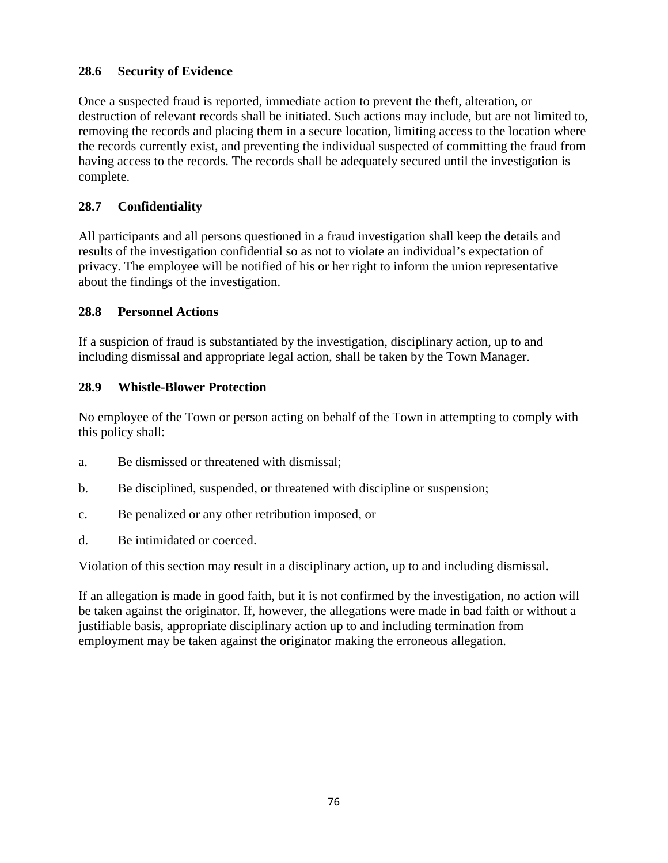## **28.6 Security of Evidence**

Once a suspected fraud is reported, immediate action to prevent the theft, alteration, or destruction of relevant records shall be initiated. Such actions may include, but are not limited to, removing the records and placing them in a secure location, limiting access to the location where the records currently exist, and preventing the individual suspected of committing the fraud from having access to the records. The records shall be adequately secured until the investigation is complete.

# **28.7 Confidentiality**

All participants and all persons questioned in a fraud investigation shall keep the details and results of the investigation confidential so as not to violate an individual's expectation of privacy. The employee will be notified of his or her right to inform the union representative about the findings of the investigation.

#### **28.8 Personnel Actions**

If a suspicion of fraud is substantiated by the investigation, disciplinary action, up to and including dismissal and appropriate legal action, shall be taken by the Town Manager.

#### **28.9 Whistle-Blower Protection**

No employee of the Town or person acting on behalf of the Town in attempting to comply with this policy shall:

- a. Be dismissed or threatened with dismissal;
- b. Be disciplined, suspended, or threatened with discipline or suspension;
- c. Be penalized or any other retribution imposed, or
- d. Be intimidated or coerced.

Violation of this section may result in a disciplinary action, up to and including dismissal.

If an allegation is made in good faith, but it is not confirmed by the investigation, no action will be taken against the originator. If, however, the allegations were made in bad faith or without a justifiable basis, appropriate disciplinary action up to and including termination from employment may be taken against the originator making the erroneous allegation.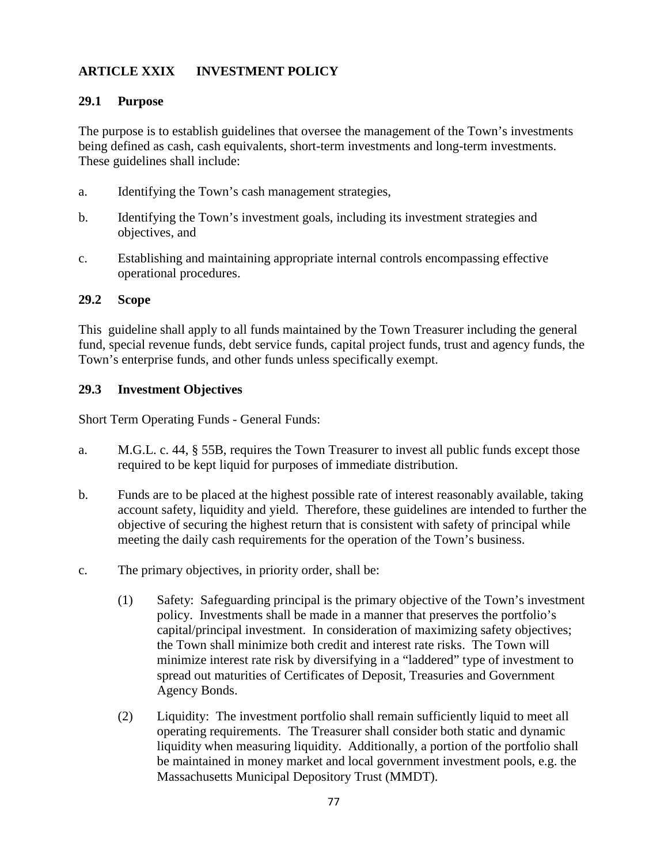# **ARTICLE XXIX INVESTMENT POLICY**

#### **29.1 Purpose**

The purpose is to establish guidelines that oversee the management of the Town's investments being defined as cash, cash equivalents, short-term investments and long-term investments. These guidelines shall include:

- a. Identifying the Town's cash management strategies,
- b. Identifying the Town's investment goals, including its investment strategies and objectives, and
- c. Establishing and maintaining appropriate internal controls encompassing effective operational procedures.

#### **29.2 Scope**

This guideline shall apply to all funds maintained by the Town Treasurer including the general fund, special revenue funds, debt service funds, capital project funds, trust and agency funds, the Town's enterprise funds, and other funds unless specifically exempt.

#### **29.3 Investment Objectives**

Short Term Operating Funds - General Funds:

- a. M.G.L. c. 44, § 55B, requires the Town Treasurer to invest all public funds except those required to be kept liquid for purposes of immediate distribution.
- b. Funds are to be placed at the highest possible rate of interest reasonably available, taking account safety, liquidity and yield. Therefore, these guidelines are intended to further the objective of securing the highest return that is consistent with safety of principal while meeting the daily cash requirements for the operation of the Town's business.
- c. The primary objectives, in priority order, shall be:
	- (1) Safety: Safeguarding principal is the primary objective of the Town's investment policy. Investments shall be made in a manner that preserves the portfolio's capital/principal investment. In consideration of maximizing safety objectives; the Town shall minimize both credit and interest rate risks. The Town will minimize interest rate risk by diversifying in a "laddered" type of investment to spread out maturities of Certificates of Deposit, Treasuries and Government Agency Bonds.
	- (2) Liquidity: The investment portfolio shall remain sufficiently liquid to meet all operating requirements. The Treasurer shall consider both static and dynamic liquidity when measuring liquidity. Additionally, a portion of the portfolio shall be maintained in money market and local government investment pools, e.g. the Massachusetts Municipal Depository Trust (MMDT).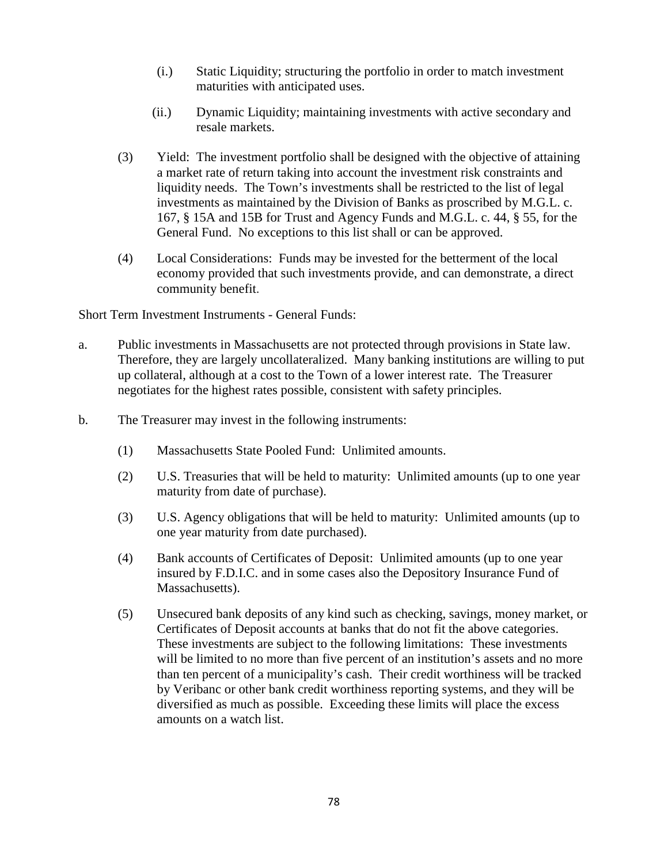- (i.) Static Liquidity; structuring the portfolio in order to match investment maturities with anticipated uses.
- (ii.) Dynamic Liquidity; maintaining investments with active secondary and resale markets.
- (3) Yield: The investment portfolio shall be designed with the objective of attaining a market rate of return taking into account the investment risk constraints and liquidity needs. The Town's investments shall be restricted to the list of legal investments as maintained by the Division of Banks as proscribed by M.G.L. c. 167, § 15A and 15B for Trust and Agency Funds and M.G.L. c. 44, § 55, for the General Fund. No exceptions to this list shall or can be approved.
- (4) Local Considerations: Funds may be invested for the betterment of the local economy provided that such investments provide, and can demonstrate, a direct community benefit.

Short Term Investment Instruments - General Funds:

- a. Public investments in Massachusetts are not protected through provisions in State law. Therefore, they are largely uncollateralized. Many banking institutions are willing to put up collateral, although at a cost to the Town of a lower interest rate. The Treasurer negotiates for the highest rates possible, consistent with safety principles.
- b. The Treasurer may invest in the following instruments:
	- (1) Massachusetts State Pooled Fund: Unlimited amounts.
	- (2) U.S. Treasuries that will be held to maturity: Unlimited amounts (up to one year maturity from date of purchase).
	- (3) U.S. Agency obligations that will be held to maturity: Unlimited amounts (up to one year maturity from date purchased).
	- (4) Bank accounts of Certificates of Deposit: Unlimited amounts (up to one year insured by F.D.I.C. and in some cases also the Depository Insurance Fund of Massachusetts).
	- (5) Unsecured bank deposits of any kind such as checking, savings, money market, or Certificates of Deposit accounts at banks that do not fit the above categories. These investments are subject to the following limitations: These investments will be limited to no more than five percent of an institution's assets and no more than ten percent of a municipality's cash. Their credit worthiness will be tracked by Veribanc or other bank credit worthiness reporting systems, and they will be diversified as much as possible. Exceeding these limits will place the excess amounts on a watch list.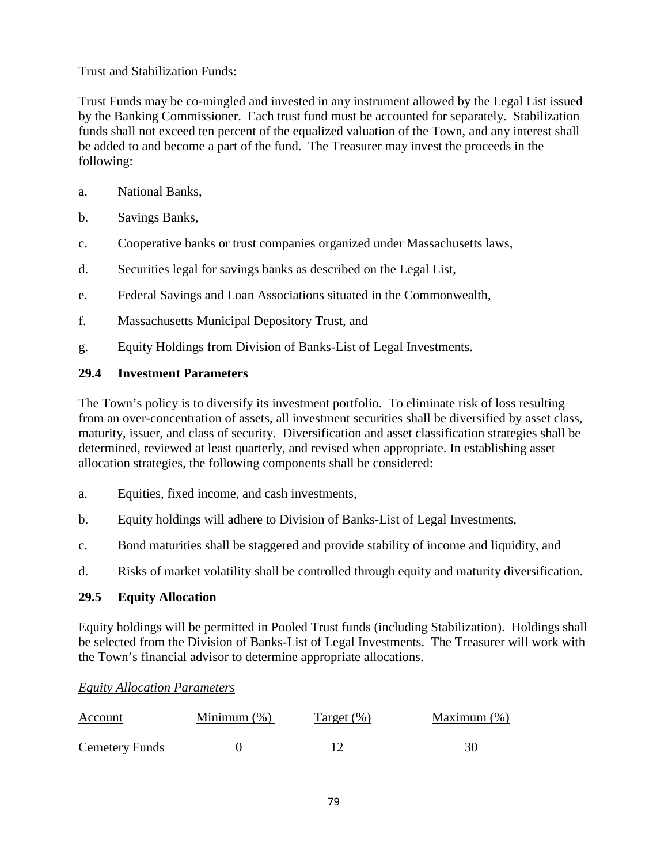Trust and Stabilization Funds:

Trust Funds may be co-mingled and invested in any instrument allowed by the Legal List issued by the Banking Commissioner. Each trust fund must be accounted for separately. Stabilization funds shall not exceed ten percent of the equalized valuation of the Town, and any interest shall be added to and become a part of the fund. The Treasurer may invest the proceeds in the following:

- a. National Banks,
- b. Savings Banks,
- c. Cooperative banks or trust companies organized under Massachusetts laws,
- d. Securities legal for savings banks as described on the Legal List,
- e. Federal Savings and Loan Associations situated in the Commonwealth,
- f. Massachusetts Municipal Depository Trust, and
- g. Equity Holdings from Division of Banks-List of Legal Investments.

#### **29.4 Investment Parameters**

The Town's policy is to diversify its investment portfolio. To eliminate risk of loss resulting from an over-concentration of assets, all investment securities shall be diversified by asset class, maturity, issuer, and class of security. Diversification and asset classification strategies shall be determined, reviewed at least quarterly, and revised when appropriate. In establishing asset allocation strategies, the following components shall be considered:

- a. Equities, fixed income, and cash investments,
- b. Equity holdings will adhere to Division of Banks-List of Legal Investments,
- c. Bond maturities shall be staggered and provide stability of income and liquidity, and
- d. Risks of market volatility shall be controlled through equity and maturity diversification.

#### **29.5 Equity Allocation**

Equity holdings will be permitted in Pooled Trust funds (including Stabilization). Holdings shall be selected from the Division of Banks-List of Legal Investments. The Treasurer will work with the Town's financial advisor to determine appropriate allocations.

#### *Equity Allocation Parameters*

| <u>Account</u>        | Minimum $(\%)$ | Target $(\%)$ | Maximum $(\%)$ |
|-----------------------|----------------|---------------|----------------|
| <b>Cemetery Funds</b> |                |               |                |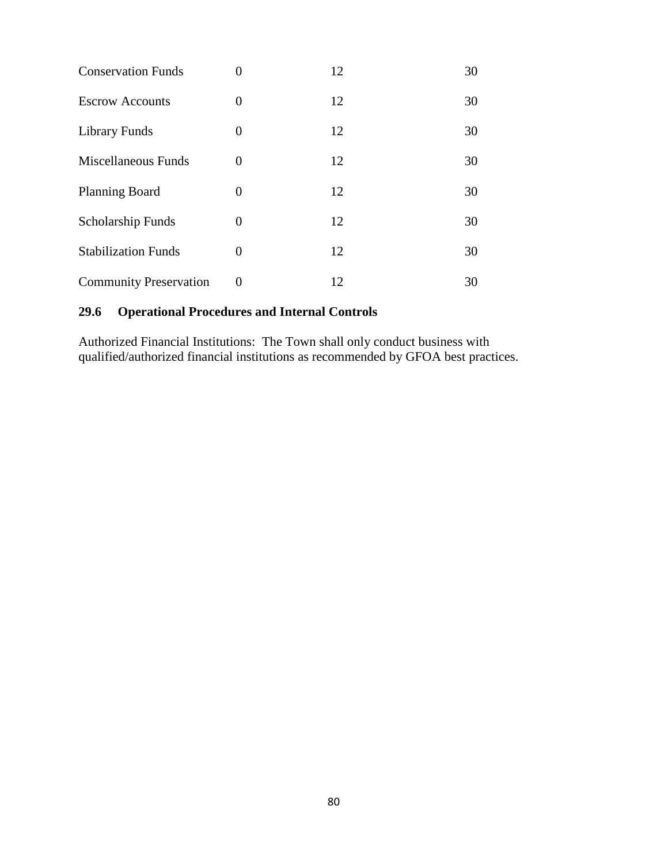| <b>Conservation Funds</b>     | 0        | 12 | 30 |
|-------------------------------|----------|----|----|
| <b>Escrow Accounts</b>        | 0        | 12 | 30 |
| Library Funds                 | 0        | 12 | 30 |
| Miscellaneous Funds           | 0        | 12 | 30 |
| <b>Planning Board</b>         | 0        | 12 | 30 |
| <b>Scholarship Funds</b>      | 0        | 12 | 30 |
| <b>Stabilization Funds</b>    | 0        | 12 | 30 |
| <b>Community Preservation</b> | $\theta$ | 12 | 30 |

# **29.6 Operational Procedures and Internal Controls**

Authorized Financial Institutions: The Town shall only conduct business with qualified/authorized financial institutions as recommended by GFOA best practices.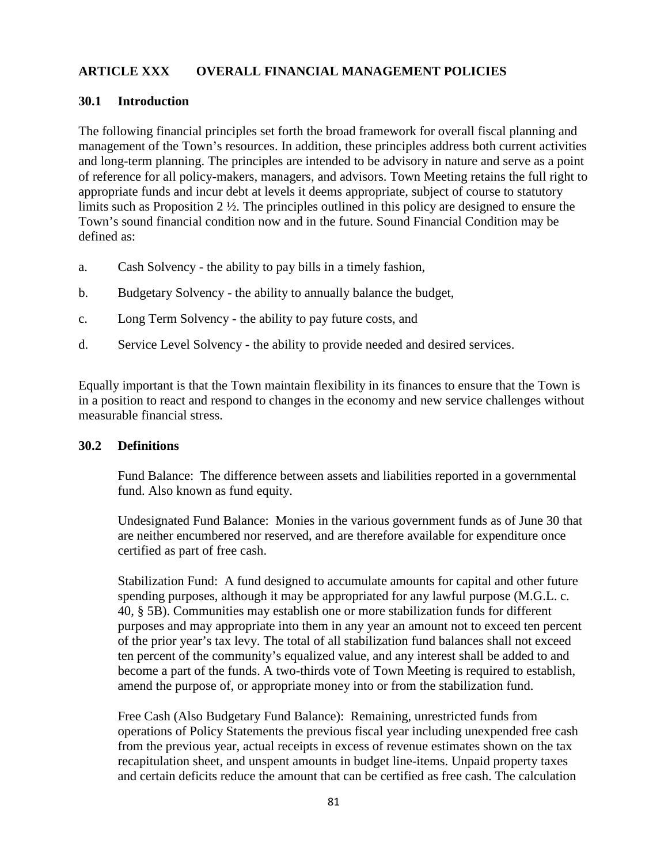## **ARTICLE XXX OVERALL FINANCIAL MANAGEMENT POLICIES**

#### **30.1 Introduction**

The following financial principles set forth the broad framework for overall fiscal planning and management of the Town's resources. In addition, these principles address both current activities and long-term planning. The principles are intended to be advisory in nature and serve as a point of reference for all policy-makers, managers, and advisors. Town Meeting retains the full right to appropriate funds and incur debt at levels it deems appropriate, subject of course to statutory limits such as Proposition 2 ½. The principles outlined in this policy are designed to ensure the Town's sound financial condition now and in the future. Sound Financial Condition may be defined as:

- a. Cash Solvency the ability to pay bills in a timely fashion,
- b. Budgetary Solvency the ability to annually balance the budget,
- c. Long Term Solvency the ability to pay future costs, and
- d. Service Level Solvency the ability to provide needed and desired services.

Equally important is that the Town maintain flexibility in its finances to ensure that the Town is in a position to react and respond to changes in the economy and new service challenges without measurable financial stress.

#### **30.2 Definitions**

Fund Balance: The difference between assets and liabilities reported in a governmental fund. Also known as fund equity.

Undesignated Fund Balance: Monies in the various government funds as of June 30 that are neither encumbered nor reserved, and are therefore available for expenditure once certified as part of free cash.

Stabilization Fund: A fund designed to accumulate amounts for capital and other future spending purposes, although it may be appropriated for any lawful purpose (M.G.L. c. 40, § 5B). Communities may establish one or more stabilization funds for different purposes and may appropriate into them in any year an amount not to exceed ten percent of the prior year's tax levy. The total of all stabilization fund balances shall not exceed ten percent of the community's equalized value, and any interest shall be added to and become a part of the funds. A two-thirds vote of Town Meeting is required to establish, amend the purpose of, or appropriate money into or from the stabilization fund.

Free Cash (Also Budgetary Fund Balance): Remaining, unrestricted funds from operations of Policy Statements the previous fiscal year including unexpended free cash from the previous year, actual receipts in excess of revenue estimates shown on the tax recapitulation sheet, and unspent amounts in budget line-items. Unpaid property taxes and certain deficits reduce the amount that can be certified as free cash. The calculation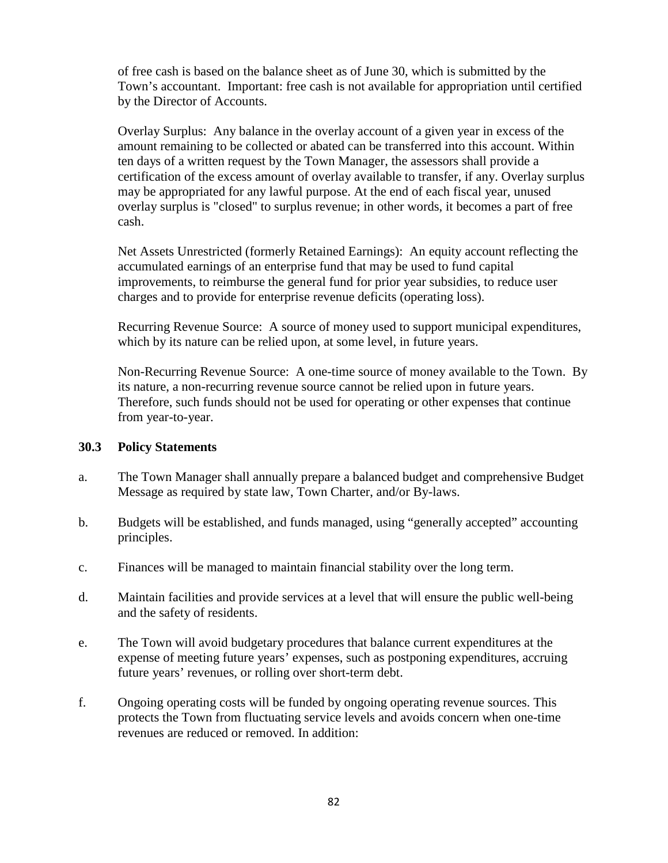of free cash is based on the balance sheet as of June 30, which is submitted by the Town's accountant. Important: free cash is not available for appropriation until certified by the Director of Accounts.

Overlay Surplus: Any balance in the overlay account of a given year in excess of the amount remaining to be collected or abated can be transferred into this account. Within ten days of a written request by the Town Manager, the assessors shall provide a certification of the excess amount of overlay available to transfer, if any. Overlay surplus may be appropriated for any lawful purpose. At the end of each fiscal year, unused overlay surplus is "closed" to surplus revenue; in other words, it becomes a part of free cash.

Net Assets Unrestricted (formerly Retained Earnings): An equity account reflecting the accumulated earnings of an enterprise fund that may be used to fund capital improvements, to reimburse the general fund for prior year subsidies, to reduce user charges and to provide for enterprise revenue deficits (operating loss).

Recurring Revenue Source: A source of money used to support municipal expenditures, which by its nature can be relied upon, at some level, in future years.

Non-Recurring Revenue Source: A one-time source of money available to the Town. By its nature, a non-recurring revenue source cannot be relied upon in future years. Therefore, such funds should not be used for operating or other expenses that continue from year-to-year.

#### **30.3 Policy Statements**

- a. The Town Manager shall annually prepare a balanced budget and comprehensive Budget Message as required by state law, Town Charter, and/or By-laws.
- b. Budgets will be established, and funds managed, using "generally accepted" accounting principles.
- c. Finances will be managed to maintain financial stability over the long term.
- d. Maintain facilities and provide services at a level that will ensure the public well-being and the safety of residents.
- e. The Town will avoid budgetary procedures that balance current expenditures at the expense of meeting future years' expenses, such as postponing expenditures, accruing future years' revenues, or rolling over short-term debt.
- f. Ongoing operating costs will be funded by ongoing operating revenue sources. This protects the Town from fluctuating service levels and avoids concern when one-time revenues are reduced or removed. In addition: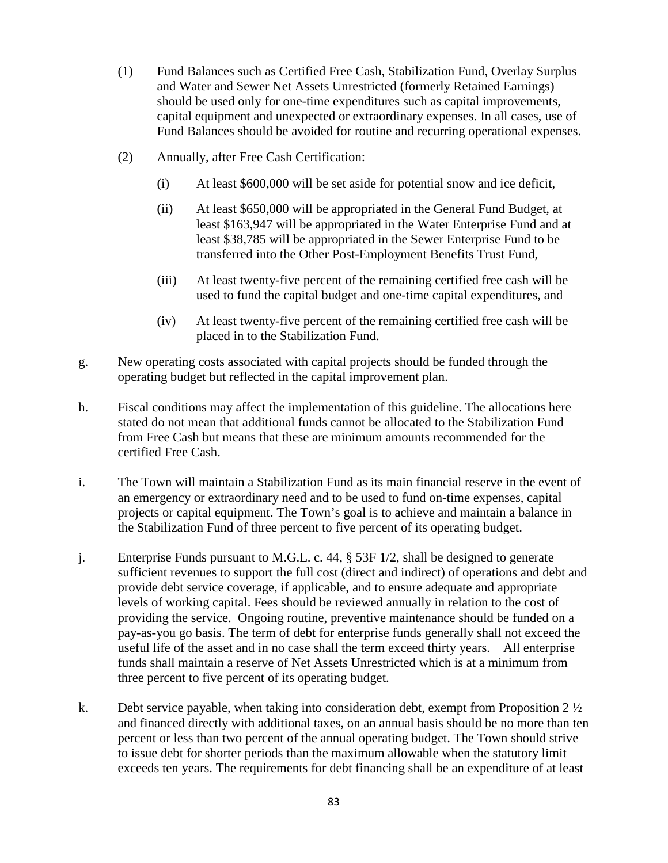- (1) Fund Balances such as Certified Free Cash, Stabilization Fund, Overlay Surplus and Water and Sewer Net Assets Unrestricted (formerly Retained Earnings) should be used only for one-time expenditures such as capital improvements, capital equipment and unexpected or extraordinary expenses. In all cases, use of Fund Balances should be avoided for routine and recurring operational expenses.
- (2) Annually, after Free Cash Certification:
	- (i) At least \$600,000 will be set aside for potential snow and ice deficit,
	- (ii) At least \$650,000 will be appropriated in the General Fund Budget, at least \$163,947 will be appropriated in the Water Enterprise Fund and at least \$38,785 will be appropriated in the Sewer Enterprise Fund to be transferred into the Other Post-Employment Benefits Trust Fund,
	- (iii) At least twenty-five percent of the remaining certified free cash will be used to fund the capital budget and one-time capital expenditures, and
	- (iv) At least twenty-five percent of the remaining certified free cash will be placed in to the Stabilization Fund.
- g. New operating costs associated with capital projects should be funded through the operating budget but reflected in the capital improvement plan.
- h. Fiscal conditions may affect the implementation of this guideline. The allocations here stated do not mean that additional funds cannot be allocated to the Stabilization Fund from Free Cash but means that these are minimum amounts recommended for the certified Free Cash.
- i. The Town will maintain a Stabilization Fund as its main financial reserve in the event of an emergency or extraordinary need and to be used to fund on-time expenses, capital projects or capital equipment. The Town's goal is to achieve and maintain a balance in the Stabilization Fund of three percent to five percent of its operating budget.
- j. Enterprise Funds pursuant to M.G.L. c. 44, § 53F 1/2, shall be designed to generate sufficient revenues to support the full cost (direct and indirect) of operations and debt and provide debt service coverage, if applicable, and to ensure adequate and appropriate levels of working capital. Fees should be reviewed annually in relation to the cost of providing the service. Ongoing routine, preventive maintenance should be funded on a pay-as-you go basis. The term of debt for enterprise funds generally shall not exceed the useful life of the asset and in no case shall the term exceed thirty years. All enterprise funds shall maintain a reserve of Net Assets Unrestricted which is at a minimum from three percent to five percent of its operating budget.
- k. Debt service payable, when taking into consideration debt, exempt from Proposition 2  $\frac{1}{2}$ and financed directly with additional taxes, on an annual basis should be no more than ten percent or less than two percent of the annual operating budget. The Town should strive to issue debt for shorter periods than the maximum allowable when the statutory limit exceeds ten years. The requirements for debt financing shall be an expenditure of at least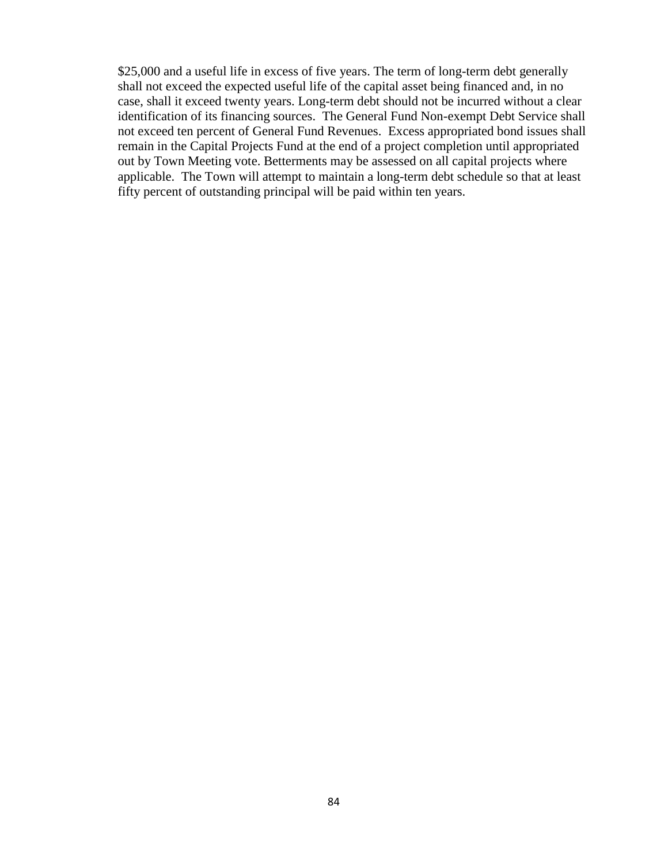\$25,000 and a useful life in excess of five years. The term of long-term debt generally shall not exceed the expected useful life of the capital asset being financed and, in no case, shall it exceed twenty years. Long-term debt should not be incurred without a clear identification of its financing sources. The General Fund Non-exempt Debt Service shall not exceed ten percent of General Fund Revenues. Excess appropriated bond issues shall remain in the Capital Projects Fund at the end of a project completion until appropriated out by Town Meeting vote. Betterments may be assessed on all capital projects where applicable. The Town will attempt to maintain a long-term debt schedule so that at least fifty percent of outstanding principal will be paid within ten years.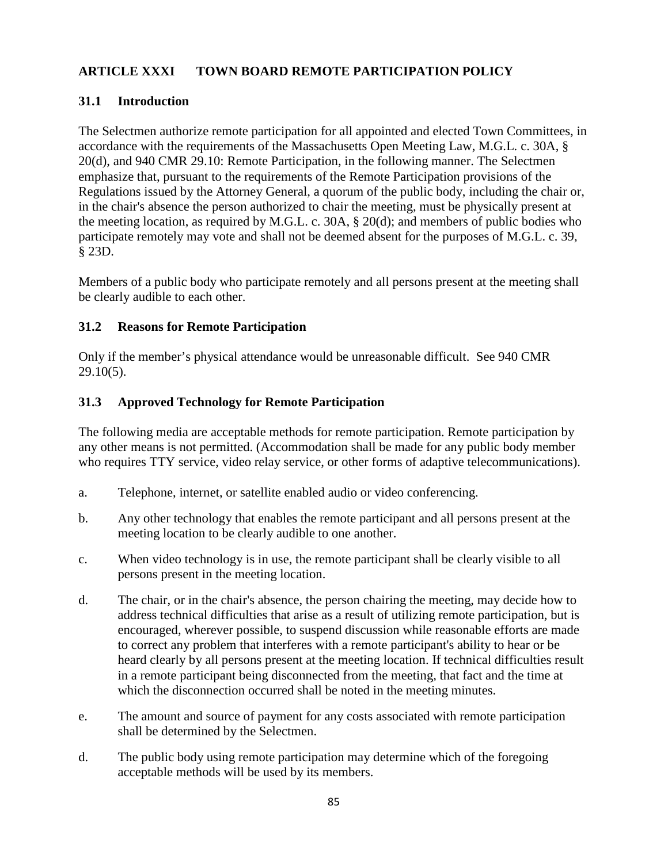## **ARTICLE XXXI TOWN BOARD REMOTE PARTICIPATION POLICY**

### **31.1 Introduction**

The Selectmen authorize remote participation for all appointed and elected Town Committees, in accordance with the requirements of the Massachusetts Open Meeting Law, M.G.L. c. 30A, § 20(d), and 940 CMR 29.10: Remote Participation, in the following manner. The Selectmen emphasize that, pursuant to the requirements of the Remote Participation provisions of the Regulations issued by the Attorney General, a quorum of the public body, including the chair or, in the chair's absence the person authorized to chair the meeting, must be physically present at the meeting location, as required by M.G.L. c. 30A, § 20(d); and members of public bodies who participate remotely may vote and shall not be deemed absent for the purposes of M.G.L. c. 39, § 23D.

Members of a public body who participate remotely and all persons present at the meeting shall be clearly audible to each other.

#### **31.2 Reasons for Remote Participation**

Only if the member's physical attendance would be unreasonable difficult. See 940 CMR 29.10(5).

#### **31.3 Approved Technology for Remote Participation**

The following media are acceptable methods for remote participation. Remote participation by any other means is not permitted. (Accommodation shall be made for any public body member who requires TTY service, video relay service, or other forms of adaptive telecommunications).

- a. Telephone, internet, or satellite enabled audio or video conferencing.
- b. Any other technology that enables the remote participant and all persons present at the meeting location to be clearly audible to one another.
- c. When video technology is in use, the remote participant shall be clearly visible to all persons present in the meeting location.
- d. The chair, or in the chair's absence, the person chairing the meeting, may decide how to address technical difficulties that arise as a result of utilizing remote participation, but is encouraged, wherever possible, to suspend discussion while reasonable efforts are made to correct any problem that interferes with a remote participant's ability to hear or be heard clearly by all persons present at the meeting location. If technical difficulties result in a remote participant being disconnected from the meeting, that fact and the time at which the disconnection occurred shall be noted in the meeting minutes.
- e. The amount and source of payment for any costs associated with remote participation shall be determined by the Selectmen.
- d. The public body using remote participation may determine which of the foregoing acceptable methods will be used by its members.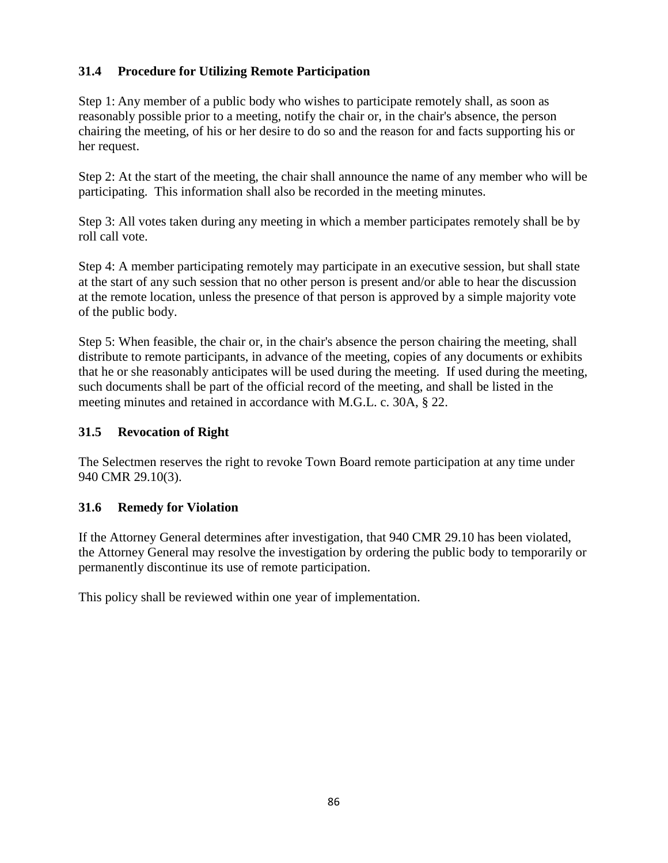# **31.4 Procedure for Utilizing Remote Participation**

Step 1: Any member of a public body who wishes to participate remotely shall, as soon as reasonably possible prior to a meeting, notify the chair or, in the chair's absence, the person chairing the meeting, of his or her desire to do so and the reason for and facts supporting his or her request.

Step 2: At the start of the meeting, the chair shall announce the name of any member who will be participating. This information shall also be recorded in the meeting minutes.

Step 3: All votes taken during any meeting in which a member participates remotely shall be by roll call vote.

Step 4: A member participating remotely may participate in an executive session, but shall state at the start of any such session that no other person is present and/or able to hear the discussion at the remote location, unless the presence of that person is approved by a simple majority vote of the public body.

Step 5: When feasible, the chair or, in the chair's absence the person chairing the meeting, shall distribute to remote participants, in advance of the meeting, copies of any documents or exhibits that he or she reasonably anticipates will be used during the meeting. If used during the meeting, such documents shall be part of the official record of the meeting, and shall be listed in the meeting minutes and retained in accordance with M.G.L. c. 30A, § 22.

## **31.5 Revocation of Right**

The Selectmen reserves the right to revoke Town Board remote participation at any time under 940 CMR 29.10(3).

## **31.6 Remedy for Violation**

If the Attorney General determines after investigation, that 940 CMR 29.10 has been violated, the Attorney General may resolve the investigation by ordering the public body to temporarily or permanently discontinue its use of remote participation.

This policy shall be reviewed within one year of implementation.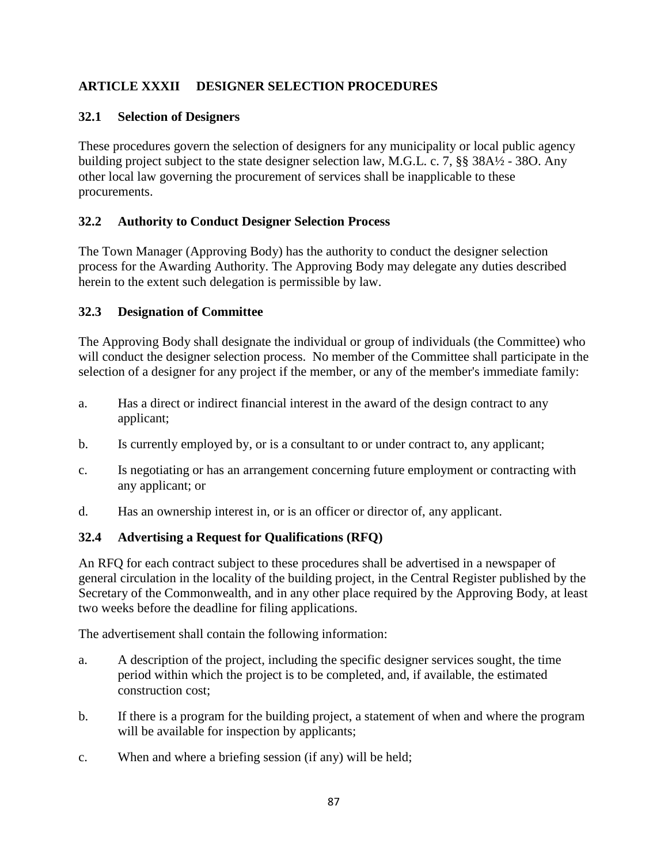# **ARTICLE XXXII DESIGNER SELECTION PROCEDURES**

## **32.1 Selection of Designers**

These procedures govern the selection of designers for any municipality or local public agency building project subject to the state designer selection law, M.G.L. c. 7, §§ 38A½ - 38O. Any other local law governing the procurement of services shall be inapplicable to these procurements.

## **32.2 Authority to Conduct Designer Selection Process**

The Town Manager (Approving Body) has the authority to conduct the designer selection process for the Awarding Authority. The Approving Body may delegate any duties described herein to the extent such delegation is permissible by law.

## **32.3 Designation of Committee**

The Approving Body shall designate the individual or group of individuals (the Committee) who will conduct the designer selection process. No member of the Committee shall participate in the selection of a designer for any project if the member, or any of the member's immediate family:

- a. Has a direct or indirect financial interest in the award of the design contract to any applicant;
- b. Is currently employed by, or is a consultant to or under contract to, any applicant;
- c. Is negotiating or has an arrangement concerning future employment or contracting with any applicant; or
- d. Has an ownership interest in, or is an officer or director of, any applicant.

# **32.4 Advertising a Request for Qualifications (RFQ)**

An RFQ for each contract subject to these procedures shall be advertised in a newspaper of general circulation in the locality of the building project, in the Central Register published by the Secretary of the Commonwealth, and in any other place required by the Approving Body, at least two weeks before the deadline for filing applications.

The advertisement shall contain the following information:

- a. A description of the project, including the specific designer services sought, the time period within which the project is to be completed, and, if available, the estimated construction cost;
- b. If there is a program for the building project, a statement of when and where the program will be available for inspection by applicants;
- c. When and where a briefing session (if any) will be held;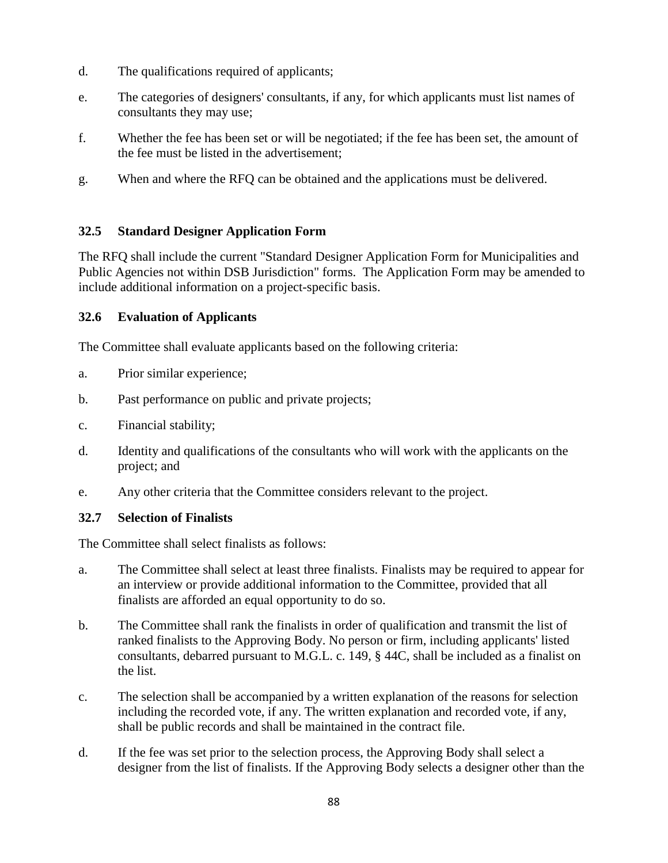- d. The qualifications required of applicants;
- e. The categories of designers' consultants, if any, for which applicants must list names of consultants they may use;
- f. Whether the fee has been set or will be negotiated; if the fee has been set, the amount of the fee must be listed in the advertisement;
- g. When and where the RFQ can be obtained and the applications must be delivered.

## **32.5 Standard Designer Application Form**

The RFQ shall include the current "Standard Designer Application Form for Municipalities and Public Agencies not within DSB Jurisdiction" forms. The Application Form may be amended to include additional information on a project-specific basis.

## **32.6 Evaluation of Applicants**

The Committee shall evaluate applicants based on the following criteria:

- a. Prior similar experience;
- b. Past performance on public and private projects;
- c. Financial stability;
- d. Identity and qualifications of the consultants who will work with the applicants on the project; and
- e. Any other criteria that the Committee considers relevant to the project.

## **32.7 Selection of Finalists**

The Committee shall select finalists as follows:

- a. The Committee shall select at least three finalists. Finalists may be required to appear for an interview or provide additional information to the Committee, provided that all finalists are afforded an equal opportunity to do so.
- b. The Committee shall rank the finalists in order of qualification and transmit the list of ranked finalists to the Approving Body. No person or firm, including applicants' listed consultants, debarred pursuant to M.G.L. c. 149, § 44C, shall be included as a finalist on the list.
- c. The selection shall be accompanied by a written explanation of the reasons for selection including the recorded vote, if any. The written explanation and recorded vote, if any, shall be public records and shall be maintained in the contract file.
- d. If the fee was set prior to the selection process, the Approving Body shall select a designer from the list of finalists. If the Approving Body selects a designer other than the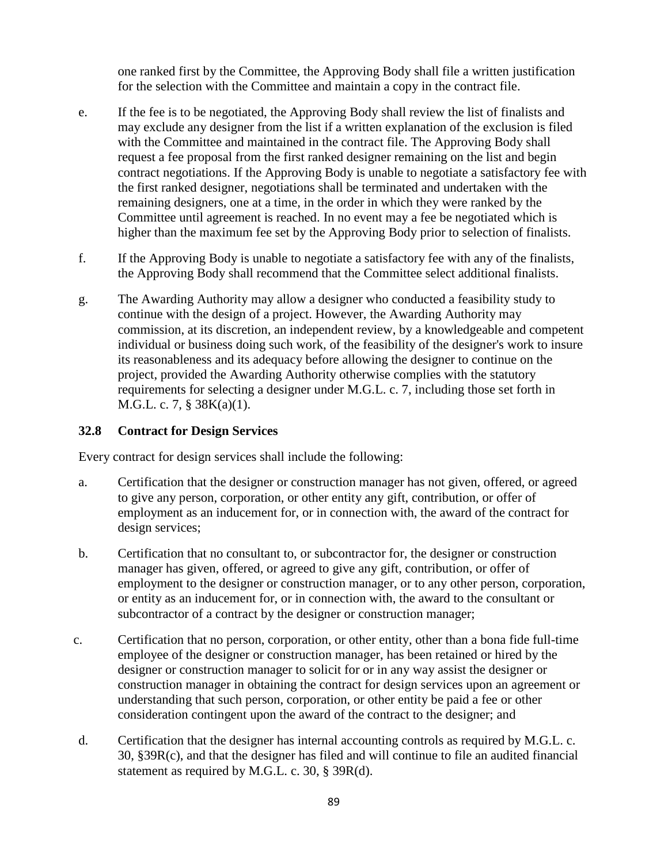one ranked first by the Committee, the Approving Body shall file a written justification for the selection with the Committee and maintain a copy in the contract file.

- e. If the fee is to be negotiated, the Approving Body shall review the list of finalists and may exclude any designer from the list if a written explanation of the exclusion is filed with the Committee and maintained in the contract file. The Approving Body shall request a fee proposal from the first ranked designer remaining on the list and begin contract negotiations. If the Approving Body is unable to negotiate a satisfactory fee with the first ranked designer, negotiations shall be terminated and undertaken with the remaining designers, one at a time, in the order in which they were ranked by the Committee until agreement is reached. In no event may a fee be negotiated which is higher than the maximum fee set by the Approving Body prior to selection of finalists.
- f. If the Approving Body is unable to negotiate a satisfactory fee with any of the finalists, the Approving Body shall recommend that the Committee select additional finalists.
- g. The Awarding Authority may allow a designer who conducted a feasibility study to continue with the design of a project. However, the Awarding Authority may commission, at its discretion, an independent review, by a knowledgeable and competent individual or business doing such work, of the feasibility of the designer's work to insure its reasonableness and its adequacy before allowing the designer to continue on the project, provided the Awarding Authority otherwise complies with the statutory requirements for selecting a designer under M.G.L. c. 7, including those set forth in M.G.L. c. 7, § 38K(a)(1).

### **32.8 Contract for Design Services**

Every contract for design services shall include the following:

- a. Certification that the designer or construction manager has not given, offered, or agreed to give any person, corporation, or other entity any gift, contribution, or offer of employment as an inducement for, or in connection with, the award of the contract for design services;
- b. Certification that no consultant to, or subcontractor for, the designer or construction manager has given, offered, or agreed to give any gift, contribution, or offer of employment to the designer or construction manager, or to any other person, corporation, or entity as an inducement for, or in connection with, the award to the consultant or subcontractor of a contract by the designer or construction manager;
- c. Certification that no person, corporation, or other entity, other than a bona fide full-time employee of the designer or construction manager, has been retained or hired by the designer or construction manager to solicit for or in any way assist the designer or construction manager in obtaining the contract for design services upon an agreement or understanding that such person, corporation, or other entity be paid a fee or other consideration contingent upon the award of the contract to the designer; and
- d. Certification that the designer has internal accounting controls as required by M.G.L. c. 30, §39R(c), and that the designer has filed and will continue to file an audited financial statement as required by M.G.L. c. 30, § 39R(d).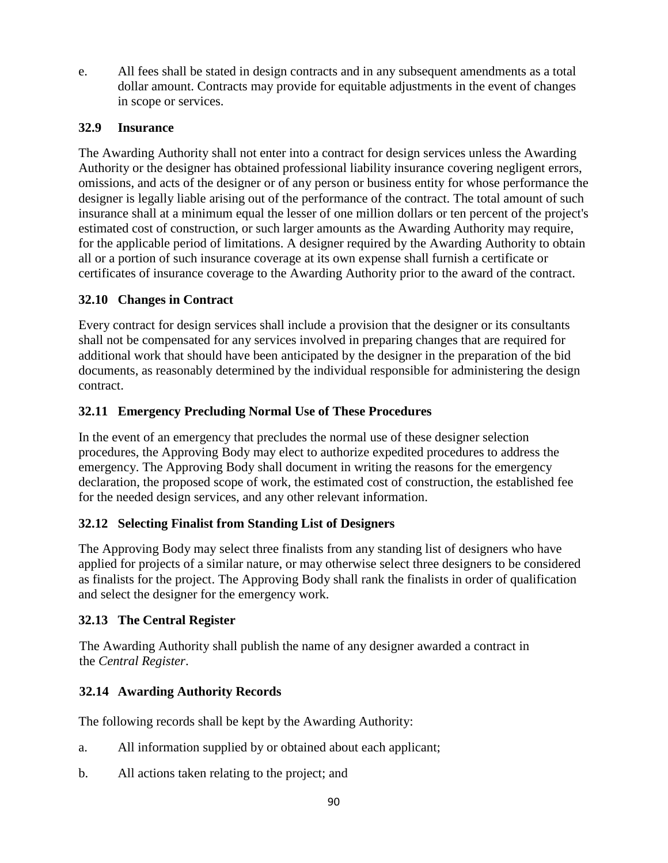e. All fees shall be stated in design contracts and in any subsequent amendments as a total dollar amount. Contracts may provide for equitable adjustments in the event of changes in scope or services.

## **32.9 Insurance**

The Awarding Authority shall not enter into a contract for design services unless the Awarding Authority or the designer has obtained professional liability insurance covering negligent errors, omissions, and acts of the designer or of any person or business entity for whose performance the designer is legally liable arising out of the performance of the contract. The total amount of such insurance shall at a minimum equal the lesser of one million dollars or ten percent of the project's estimated cost of construction, or such larger amounts as the Awarding Authority may require, for the applicable period of limitations. A designer required by the Awarding Authority to obtain all or a portion of such insurance coverage at its own expense shall furnish a certificate or certificates of insurance coverage to the Awarding Authority prior to the award of the contract.

## **32.10 Changes in Contract**

Every contract for design services shall include a provision that the designer or its consultants shall not be compensated for any services involved in preparing changes that are required for additional work that should have been anticipated by the designer in the preparation of the bid documents, as reasonably determined by the individual responsible for administering the design contract.

## **32.11 Emergency Precluding Normal Use of These Procedures**

In the event of an emergency that precludes the normal use of these designer selection procedures, the Approving Body may elect to authorize expedited procedures to address the emergency. The Approving Body shall document in writing the reasons for the emergency declaration, the proposed scope of work, the estimated cost of construction, the established fee for the needed design services, and any other relevant information.

## **32.12 Selecting Finalist from Standing List of Designers**

The Approving Body may select three finalists from any standing list of designers who have applied for projects of a similar nature, or may otherwise select three designers to be considered as finalists for the project. The Approving Body shall rank the finalists in order of qualification and select the designer for the emergency work.

## **32.13 The Central Register**

The Awarding Authority shall publish the name of any designer awarded a contract in the *Central Register*.

# **32.14 Awarding Authority Records**

The following records shall be kept by the Awarding Authority:

- a. All information supplied by or obtained about each applicant;
- b. All actions taken relating to the project; and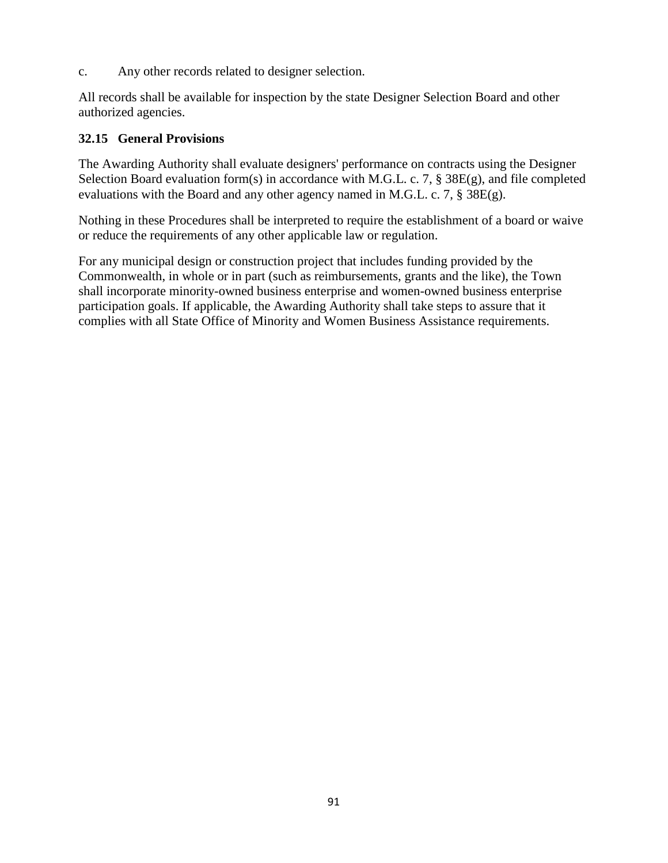c. Any other records related to designer selection.

All records shall be available for inspection by the state Designer Selection Board and other authorized agencies.

### **32.15 General Provisions**

The Awarding Authority shall evaluate designers' performance on contracts using the Designer Selection Board evaluation form(s) in accordance with M.G.L. c. 7, § 38E(g), and file completed evaluations with the Board and any other agency named in M.G.L. c. 7,  $\S 38E(g)$ .

Nothing in these Procedures shall be interpreted to require the establishment of a board or waive or reduce the requirements of any other applicable law or regulation.

For any municipal design or construction project that includes funding provided by the Commonwealth, in whole or in part (such as reimbursements, grants and the like), the Town shall incorporate minority-owned business enterprise and women-owned business enterprise participation goals. If applicable, the Awarding Authority shall take steps to assure that it complies with all State Office of Minority and Women Business Assistance requirements.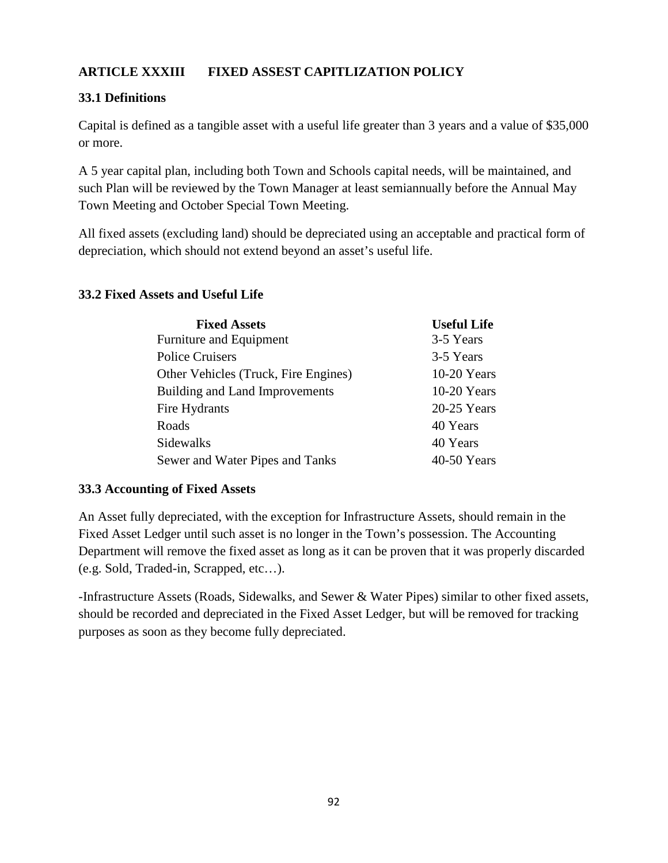# **ARTICLE XXXIII FIXED ASSEST CAPITLIZATION POLICY**

# **33.1 Definitions**

Capital is defined as a tangible asset with a useful life greater than 3 years and a value of \$35,000 or more.

A 5 year capital plan, including both Town and Schools capital needs, will be maintained, and such Plan will be reviewed by the Town Manager at least semiannually before the Annual May Town Meeting and October Special Town Meeting.

All fixed assets (excluding land) should be depreciated using an acceptable and practical form of depreciation, which should not extend beyond an asset's useful life.

| <b>Fixed Assets</b>                  | <b>Useful Life</b> |
|--------------------------------------|--------------------|
| Furniture and Equipment              | 3-5 Years          |
| <b>Police Cruisers</b>               | 3-5 Years          |
| Other Vehicles (Truck, Fire Engines) | $10-20$ Years      |
| Building and Land Improvements       | $10-20$ Years      |
| Fire Hydrants                        | $20-25$ Years      |
| Roads                                | 40 Years           |
| Sidewalks                            | 40 Years           |
| Sewer and Water Pipes and Tanks      | $40-50$ Years      |

## **33.2 Fixed Assets and Useful Life**

## **33.3 Accounting of Fixed Assets**

An Asset fully depreciated, with the exception for Infrastructure Assets, should remain in the Fixed Asset Ledger until such asset is no longer in the Town's possession. The Accounting Department will remove the fixed asset as long as it can be proven that it was properly discarded (e.g. Sold, Traded-in, Scrapped, etc…).

-Infrastructure Assets (Roads, Sidewalks, and Sewer & Water Pipes) similar to other fixed assets, should be recorded and depreciated in the Fixed Asset Ledger, but will be removed for tracking purposes as soon as they become fully depreciated.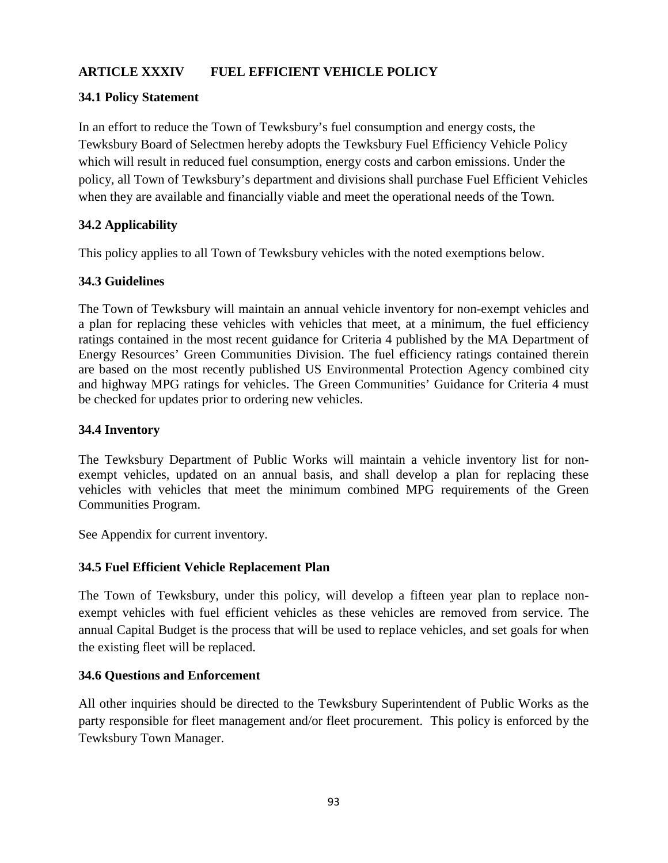# **ARTICLE XXXIV FUEL EFFICIENT VEHICLE POLICY**

## **34.1 Policy Statement**

In an effort to reduce the Town of Tewksbury's fuel consumption and energy costs, the Tewksbury Board of Selectmen hereby adopts the Tewksbury Fuel Efficiency Vehicle Policy which will result in reduced fuel consumption, energy costs and carbon emissions. Under the policy, all Town of Tewksbury's department and divisions shall purchase Fuel Efficient Vehicles when they are available and financially viable and meet the operational needs of the Town.

## **34.2 Applicability**

This policy applies to all Town of Tewksbury vehicles with the noted exemptions below.

## **34.3 Guidelines**

The Town of Tewksbury will maintain an annual vehicle inventory for non-exempt vehicles and a plan for replacing these vehicles with vehicles that meet, at a minimum, the fuel efficiency ratings contained in the most recent guidance for Criteria 4 published by the MA Department of Energy Resources' Green Communities Division. The fuel efficiency ratings contained therein are based on the most recently published US Environmental Protection Agency combined city and highway MPG ratings for vehicles. The Green Communities' Guidance for Criteria 4 must be checked for updates prior to ordering new vehicles.

## **34.4 Inventory**

The Tewksbury Department of Public Works will maintain a vehicle inventory list for nonexempt vehicles, updated on an annual basis, and shall develop a plan for replacing these vehicles with vehicles that meet the minimum combined MPG requirements of the Green Communities Program.

See Appendix for current inventory.

## **34.5 Fuel Efficient Vehicle Replacement Plan**

The Town of Tewksbury, under this policy, will develop a fifteen year plan to replace nonexempt vehicles with fuel efficient vehicles as these vehicles are removed from service. The annual Capital Budget is the process that will be used to replace vehicles, and set goals for when the existing fleet will be replaced.

## **34.6 Questions and Enforcement**

All other inquiries should be directed to the Tewksbury Superintendent of Public Works as the party responsible for fleet management and/or fleet procurement. This policy is enforced by the Tewksbury Town Manager.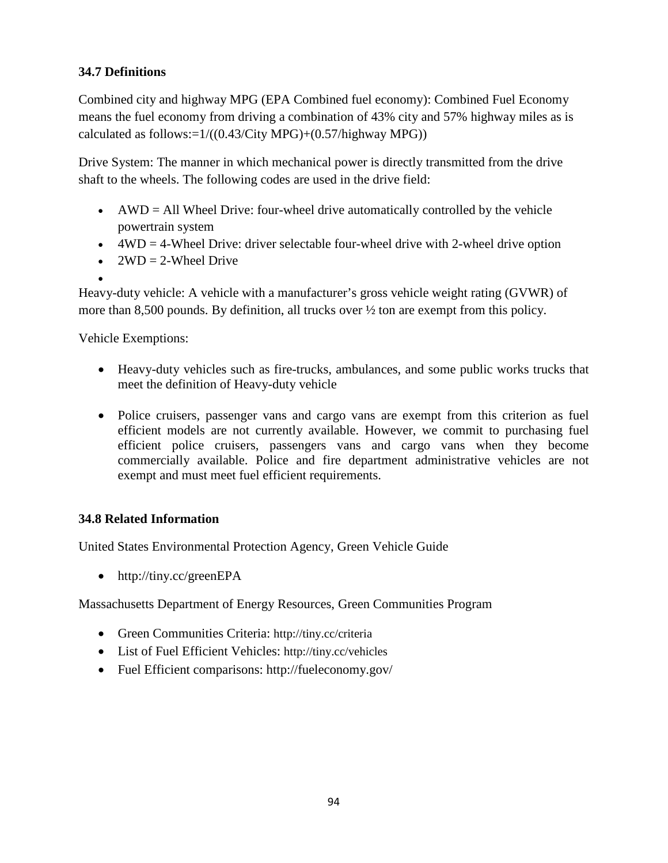# **34.7 Definitions**

Combined city and highway MPG (EPA Combined fuel economy): Combined Fuel Economy means the fuel economy from driving a combination of 43% city and 57% highway miles as is calculated as follows: $=1/((0.43/\text{City MPG})+(0.57/\text{highway MPG}))$ 

Drive System: The manner in which mechanical power is directly transmitted from the drive shaft to the wheels. The following codes are used in the drive field:

- AWD = All Wheel Drive: four-wheel drive automatically controlled by the vehicle powertrain system
- $\bullet$  4WD = 4-Wheel Drive: driver selectable four-wheel drive with 2-wheel drive option
- $2WD = 2$ -Wheel Drive
- •

Heavy-duty vehicle: A vehicle with a manufacturer's gross vehicle weight rating (GVWR) of more than 8,500 pounds. By definition, all trucks over  $\frac{1}{2}$  ton are exempt from this policy.

Vehicle Exemptions:

- Heavy-duty vehicles such as fire-trucks, ambulances, and some public works trucks that meet the definition of Heavy-duty vehicle
- Police cruisers, passenger vans and cargo vans are exempt from this criterion as fuel efficient models are not currently available. However, we commit to purchasing fuel efficient police cruisers, passengers vans and cargo vans when they become commercially available. Police and fire department administrative vehicles are not exempt and must meet fuel efficient requirements.

# **34.8 Related Information**

United States Environmental Protection Agency, Green Vehicle Guide

• http://tiny.cc/greenEPA

Massachusetts Department of Energy Resources, Green Communities Program

- Green Communities Criteria:<http://tiny.cc/criteria>
- List of Fuel Efficient Vehicles:<http://tiny.cc/vehicles>
- Fuel Efficient comparisons: http://fueleconomy.gov/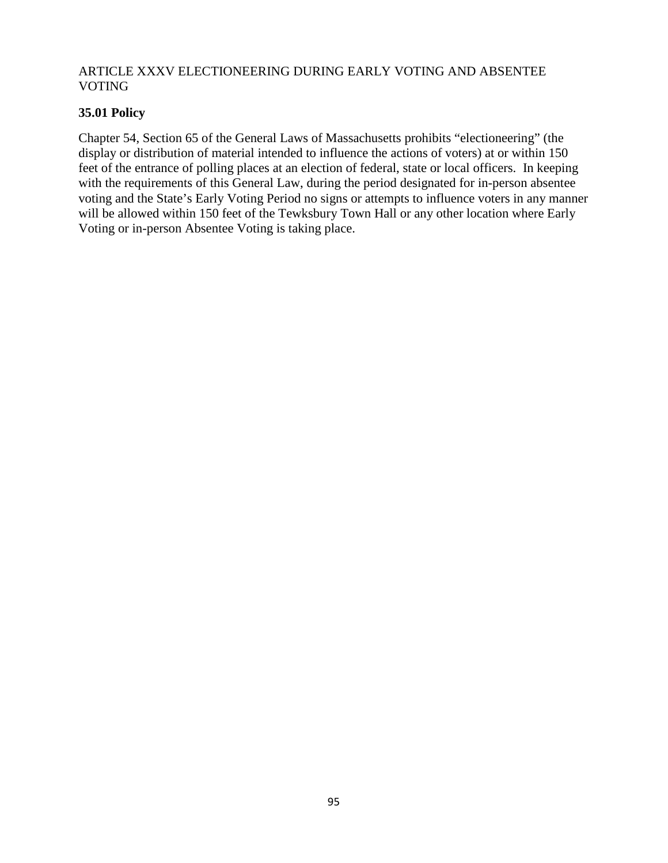## ARTICLE XXXV ELECTIONEERING DURING EARLY VOTING AND ABSENTEE VOTING

## **35.01 Policy**

Chapter 54, Section 65 of the General Laws of Massachusetts prohibits "electioneering" (the display or distribution of material intended to influence the actions of voters) at or within 150 feet of the entrance of polling places at an election of federal, state or local officers. In keeping with the requirements of this General Law, during the period designated for in-person absentee voting and the State's Early Voting Period no signs or attempts to influence voters in any manner will be allowed within 150 feet of the Tewksbury Town Hall or any other location where Early Voting or in-person Absentee Voting is taking place.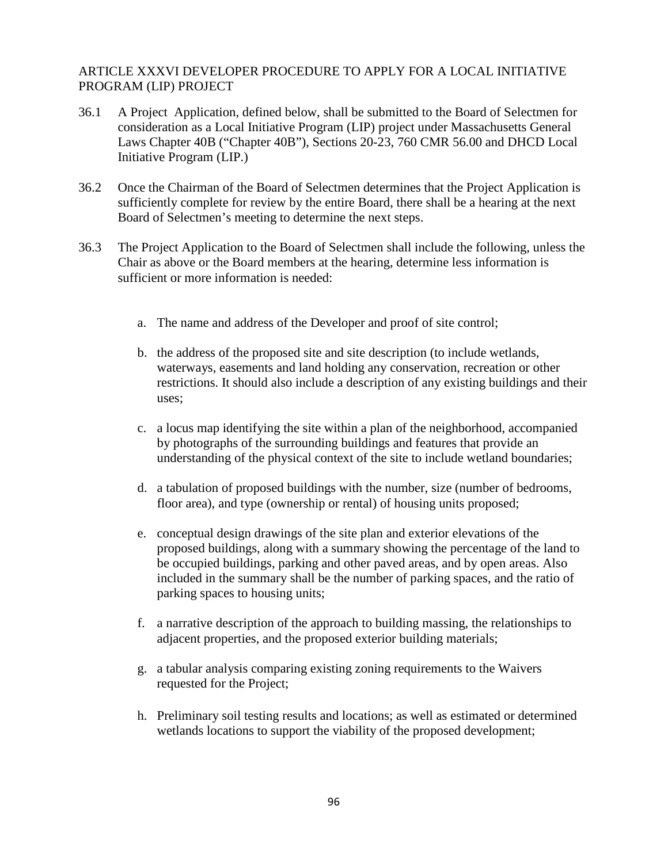### ARTICLE XXXVI DEVELOPER PROCEDURE TO APPLY FOR A LOCAL INITIATIVE PROGRAM (LIP) PROJECT

- 36.1 A Project Application, defined below, shall be submitted to the Board of Selectmen for consideration as a Local Initiative Program (LIP) project under Massachusetts General Laws Chapter 40B ("Chapter 40B"), Sections 20-23, 760 CMR 56.00 and DHCD Local Initiative Program (LIP.)
- 36.2 Once the Chairman of the Board of Selectmen determines that the Project Application is sufficiently complete for review by the entire Board, there shall be a hearing at the next Board of Selectmen's meeting to determine the next steps.
- 36.3 The Project Application to the Board of Selectmen shall include the following, unless the Chair as above or the Board members at the hearing, determine less information is sufficient or more information is needed:
	- a. The name and address of the Developer and proof of site control;
	- b. the address of the proposed site and site description (to include wetlands, waterways, easements and land holding any conservation, recreation or other restrictions. It should also include a description of any existing buildings and their uses;
	- c. a locus map identifying the site within a plan of the neighborhood, accompanied by photographs of the surrounding buildings and features that provide an understanding of the physical context of the site to include wetland boundaries;
	- d. a tabulation of proposed buildings with the number, size (number of bedrooms, floor area), and type (ownership or rental) of housing units proposed;
	- e. conceptual design drawings of the site plan and exterior elevations of the proposed buildings, along with a summary showing the percentage of the land to be occupied buildings, parking and other paved areas, and by open areas. Also included in the summary shall be the number of parking spaces, and the ratio of parking spaces to housing units;
	- f. a narrative description of the approach to building massing, the relationships to adjacent properties, and the proposed exterior building materials;
	- g. a tabular analysis comparing existing zoning requirements to the Waivers requested for the Project;
	- h. Preliminary soil testing results and locations; as well as estimated or determined wetlands locations to support the viability of the proposed development;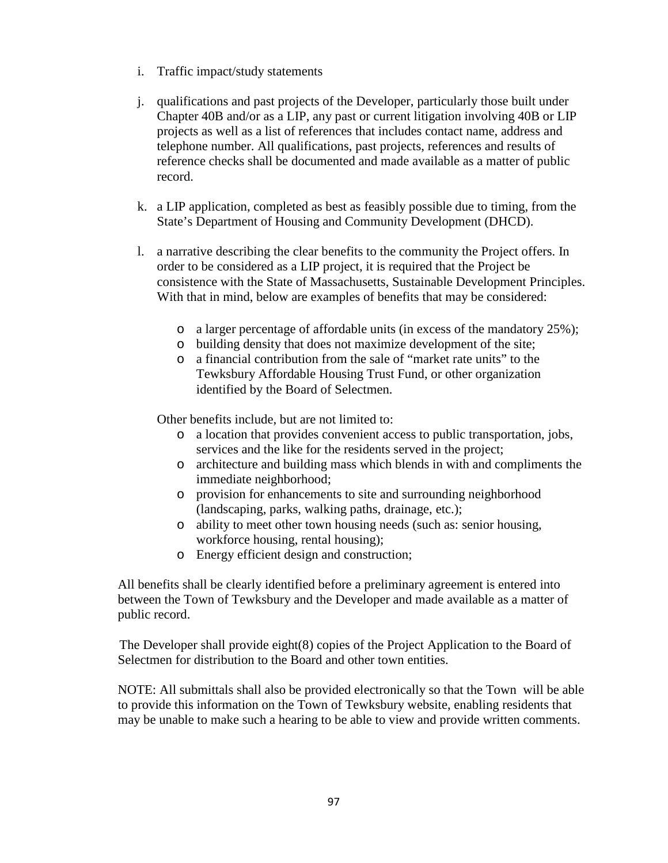- i. Traffic impact/study statements
- j. qualifications and past projects of the Developer, particularly those built under Chapter 40B and/or as a LIP, any past or current litigation involving 40B or LIP projects as well as a list of references that includes contact name, address and telephone number. All qualifications, past projects, references and results of reference checks shall be documented and made available as a matter of public record.
- k. a LIP application, completed as best as feasibly possible due to timing, from the State's Department of Housing and Community Development (DHCD).
- l. a narrative describing the clear benefits to the community the Project offers. In order to be considered as a LIP project, it is required that the Project be consistence with the State of Massachusetts, Sustainable Development Principles. With that in mind, below are examples of benefits that may be considered:
	- o a larger percentage of affordable units (in excess of the mandatory 25%);
	- o building density that does not maximize development of the site;
	- o a financial contribution from the sale of "market rate units" to the Tewksbury Affordable Housing Trust Fund, or other organization identified by the Board of Selectmen.

Other benefits include, but are not limited to:

- o a location that provides convenient access to public transportation, jobs, services and the like for the residents served in the project;
- o architecture and building mass which blends in with and compliments the immediate neighborhood;
- o provision for enhancements to site and surrounding neighborhood (landscaping, parks, walking paths, drainage, etc.);
- o ability to meet other town housing needs (such as: senior housing, workforce housing, rental housing);
- o Energy efficient design and construction;

All benefits shall be clearly identified before a preliminary agreement is entered into between the Town of Tewksbury and the Developer and made available as a matter of public record.

The Developer shall provide eight(8) copies of the Project Application to the Board of Selectmen for distribution to the Board and other town entities.

NOTE: All submittals shall also be provided electronically so that the Town will be able to provide this information on the Town of Tewksbury website, enabling residents that may be unable to make such a hearing to be able to view and provide written comments.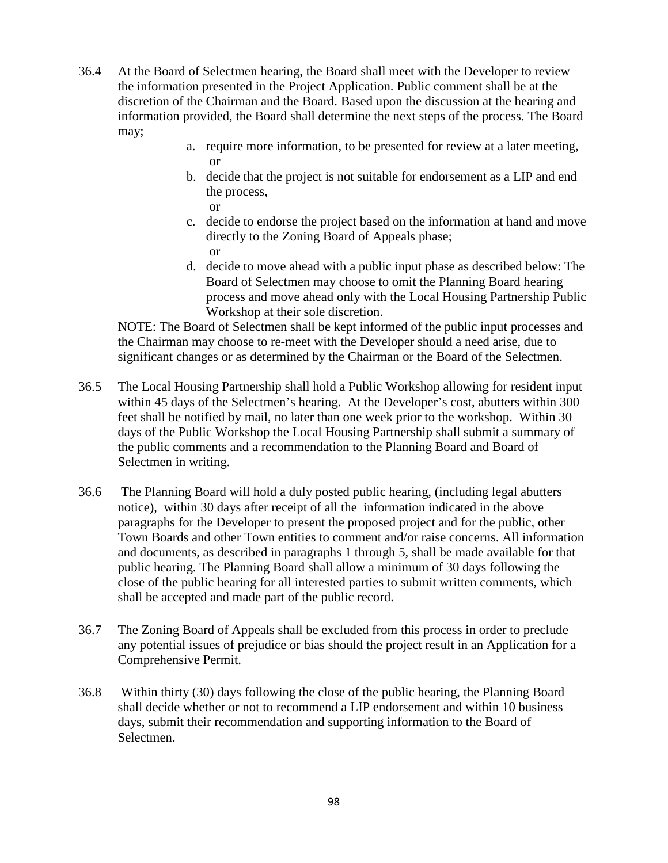- 36.4 At the Board of Selectmen hearing, the Board shall meet with the Developer to review the information presented in the Project Application. Public comment shall be at the discretion of the Chairman and the Board. Based upon the discussion at the hearing and information provided, the Board shall determine the next steps of the process. The Board may;
	- a. require more information, to be presented for review at a later meeting, or
	- b. decide that the project is not suitable for endorsement as a LIP and end the process, or
	- c. decide to endorse the project based on the information at hand and move directly to the Zoning Board of Appeals phase; or
	- d. decide to move ahead with a public input phase as described below: The Board of Selectmen may choose to omit the Planning Board hearing process and move ahead only with the Local Housing Partnership Public Workshop at their sole discretion.

NOTE: The Board of Selectmen shall be kept informed of the public input processes and the Chairman may choose to re-meet with the Developer should a need arise, due to significant changes or as determined by the Chairman or the Board of the Selectmen.

- 36.5 The Local Housing Partnership shall hold a Public Workshop allowing for resident input within 45 days of the Selectmen's hearing. At the Developer's cost, abutters within 300 feet shall be notified by mail, no later than one week prior to the workshop. Within 30 days of the Public Workshop the Local Housing Partnership shall submit a summary of the public comments and a recommendation to the Planning Board and Board of Selectmen in writing.
- 36.6 The Planning Board will hold a duly posted public hearing, (including legal abutters notice), within 30 days after receipt of all the information indicated in the above paragraphs for the Developer to present the proposed project and for the public, other Town Boards and other Town entities to comment and/or raise concerns. All information and documents, as described in paragraphs 1 through 5, shall be made available for that public hearing. The Planning Board shall allow a minimum of 30 days following the close of the public hearing for all interested parties to submit written comments, which shall be accepted and made part of the public record.
- 36.7 The Zoning Board of Appeals shall be excluded from this process in order to preclude any potential issues of prejudice or bias should the project result in an Application for a Comprehensive Permit.
- 36.8 Within thirty (30) days following the close of the public hearing, the Planning Board shall decide whether or not to recommend a LIP endorsement and within 10 business days, submit their recommendation and supporting information to the Board of Selectmen.